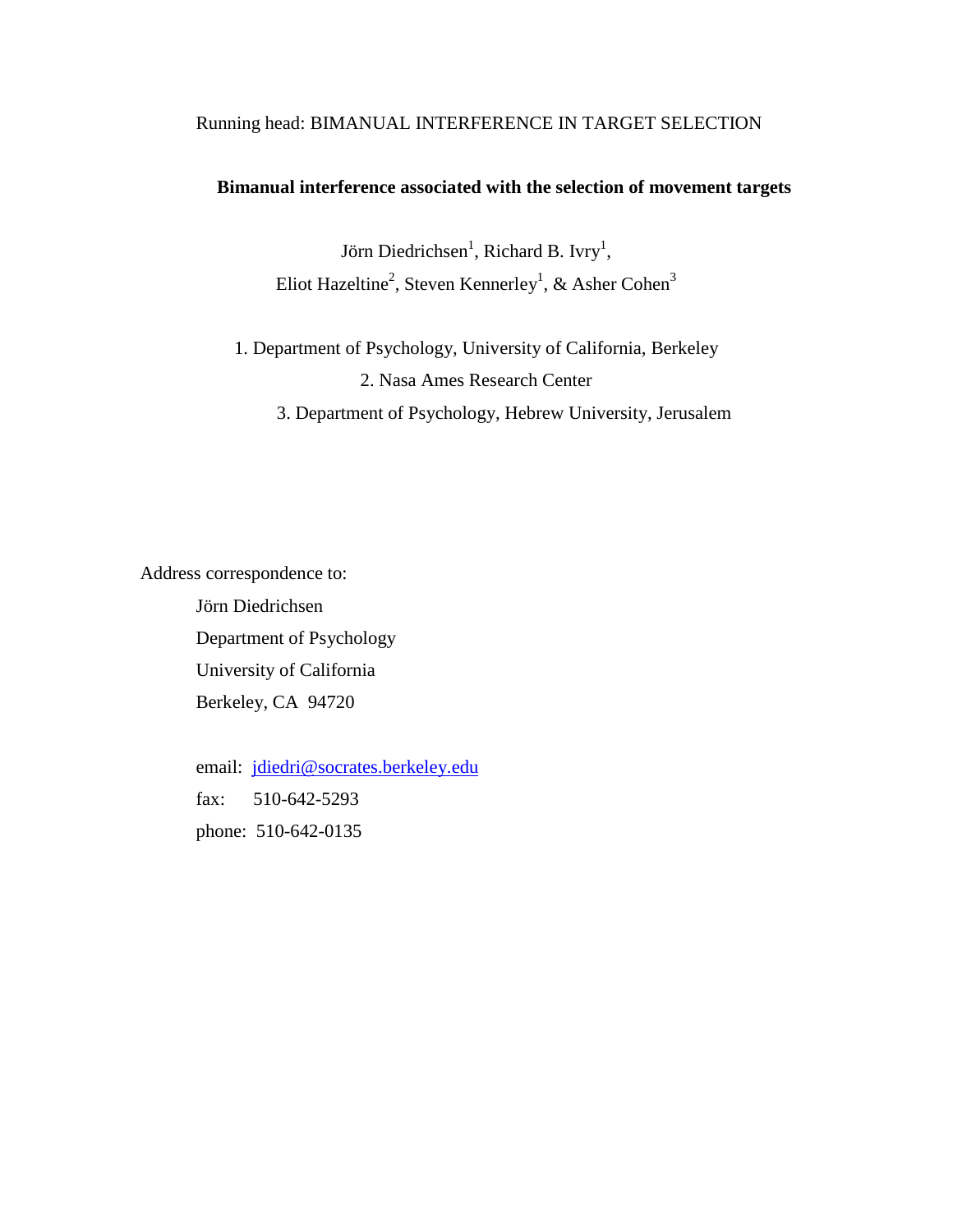# Running head: BIMANUAL INTERFERENCE IN TARGET SELECTION

# **Bimanual interference associated with the selection of movement targets**

Jörn Diedrichsen<sup>1</sup>, Richard B. Ivry<sup>1</sup>, Eliot Hazeltine<sup>2</sup>, Steven Kennerley<sup>1</sup>, & Asher Cohen<sup>3</sup>

1. Department of Psychology, University of California, Berkeley 2. Nasa Ames Research Center

3. Department of Psychology, Hebrew University, Jerusalem

Address correspondence to:

Jörn Diedrichsen Department of Psychology University of California Berkeley, CA 94720

email: jdiedri@socrates.berkeley.edu fax: 510-642-5293 phone: 510-642-0135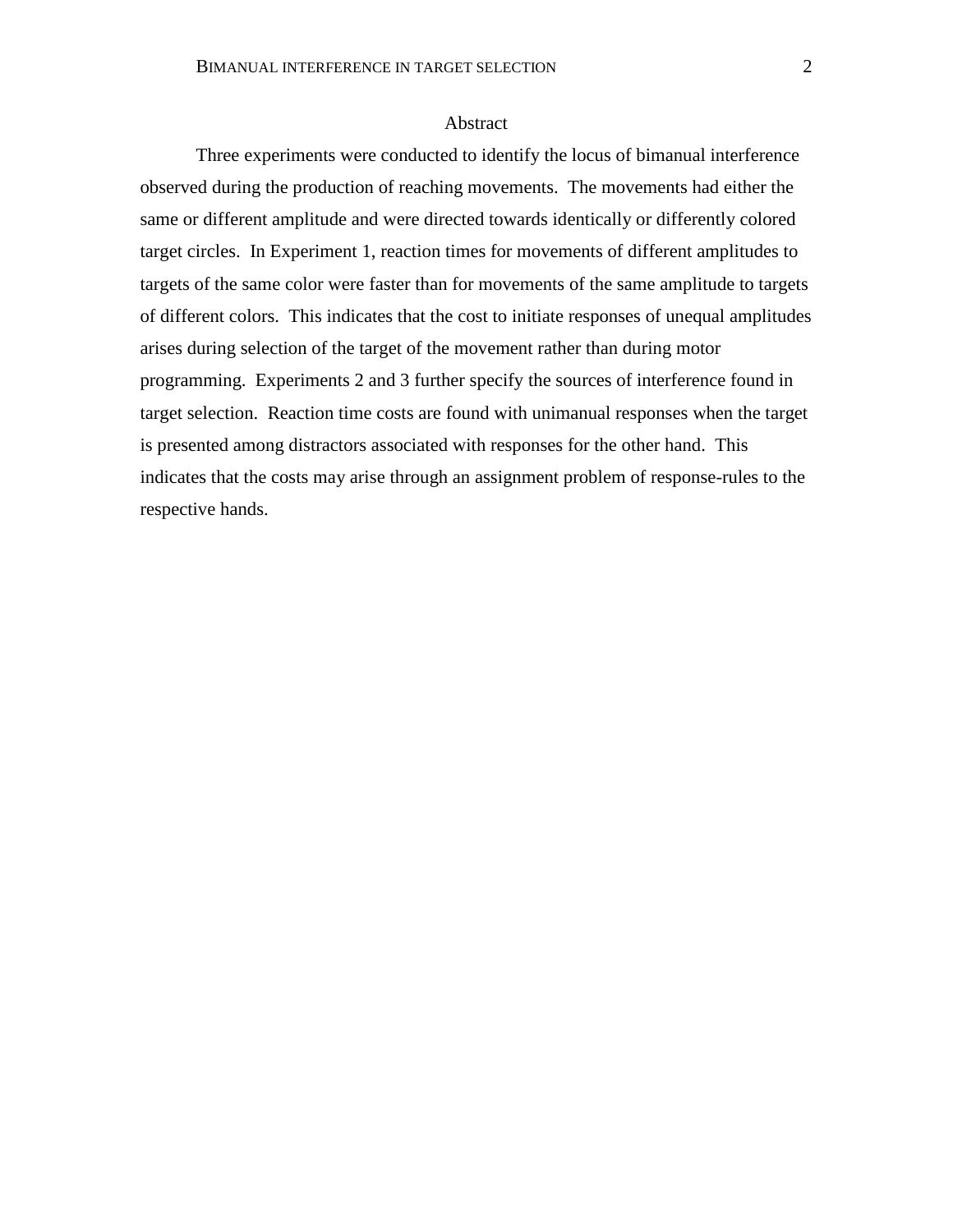#### Abstract

Three experiments were conducted to identify the locus of bimanual interference observed during the production of reaching movements. The movements had either the same or different amplitude and were directed towards identically or differently colored target circles. In Experiment 1, reaction times for movements of different amplitudes to targets of the same color were faster than for movements of the same amplitude to targets of different colors. This indicates that the cost to initiate responses of unequal amplitudes arises during selection of the target of the movement rather than during motor programming. Experiments 2 and 3 further specify the sources of interference found in target selection. Reaction time costs are found with unimanual responses when the target is presented among distractors associated with responses for the other hand. This indicates that the costs may arise through an assignment problem of response-rules to the respective hands.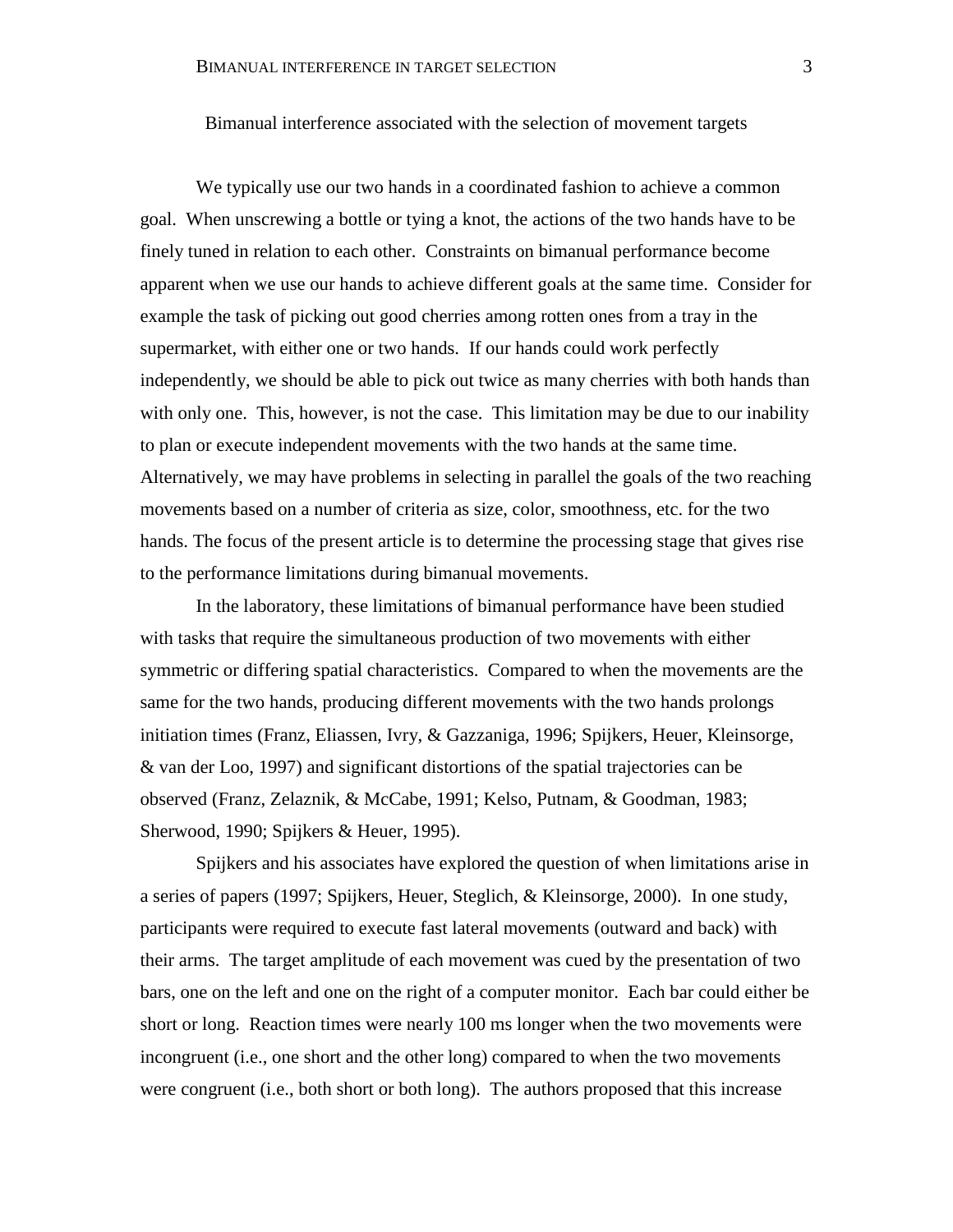# Bimanual interference associated with the selection of movement targets

We typically use our two hands in a coordinated fashion to achieve a common goal. When unscrewing a bottle or tying a knot, the actions of the two hands have to be finely tuned in relation to each other. Constraints on bimanual performance become apparent when we use our hands to achieve different goals at the same time. Consider for example the task of picking out good cherries among rotten ones from a tray in the supermarket, with either one or two hands. If our hands could work perfectly independently, we should be able to pick out twice as many cherries with both hands than with only one. This, however, is not the case. This limitation may be due to our inability to plan or execute independent movements with the two hands at the same time. Alternatively, we may have problems in selecting in parallel the goals of the two reaching movements based on a number of criteria as size, color, smoothness, etc. for the two hands. The focus of the present article is to determine the processing stage that gives rise to the performance limitations during bimanual movements.

In the laboratory, these limitations of bimanual performance have been studied with tasks that require the simultaneous production of two movements with either symmetric or differing spatial characteristics. Compared to when the movements are the same for the two hands, producing different movements with the two hands prolongs initiation times (Franz, Eliassen, Ivry, & Gazzaniga, 1996; Spijkers, Heuer, Kleinsorge, & van der Loo, 1997) and significant distortions of the spatial trajectories can be observed (Franz, Zelaznik, & McCabe, 1991; Kelso, Putnam, & Goodman, 1983; Sherwood, 1990; Spijkers & Heuer, 1995).

Spijkers and his associates have explored the question of when limitations arise in a series of papers (1997; Spijkers, Heuer, Steglich, & Kleinsorge, 2000). In one study, participants were required to execute fast lateral movements (outward and back) with their arms. The target amplitude of each movement was cued by the presentation of two bars, one on the left and one on the right of a computer monitor. Each bar could either be short or long. Reaction times were nearly 100 ms longer when the two movements were incongruent (i.e., one short and the other long) compared to when the two movements were congruent (i.e., both short or both long). The authors proposed that this increase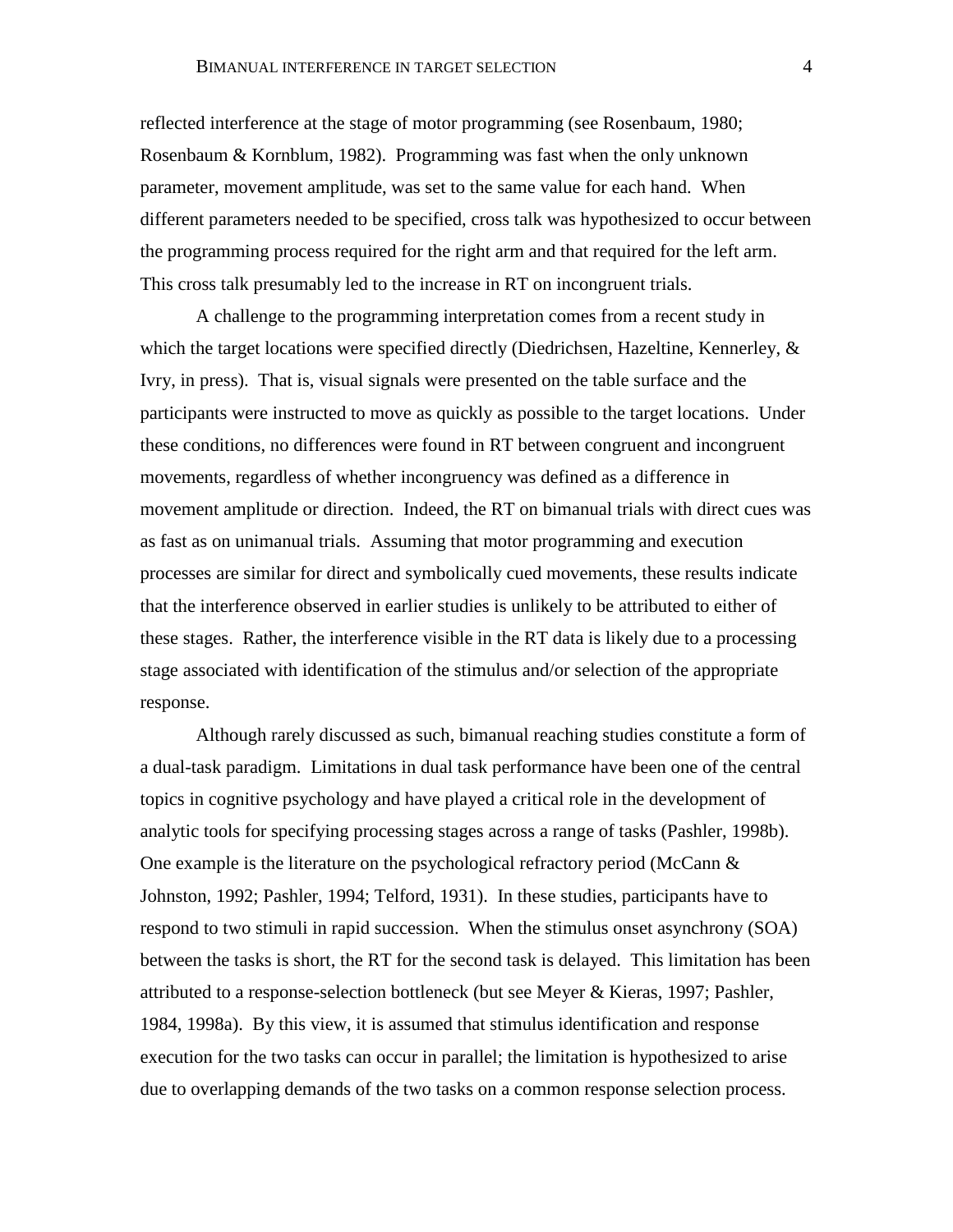reflected interference at the stage of motor programming (see Rosenbaum, 1980; Rosenbaum & Kornblum, 1982). Programming was fast when the only unknown parameter, movement amplitude, was set to the same value for each hand. When different parameters needed to be specified, cross talk was hypothesized to occur between the programming process required for the right arm and that required for the left arm. This cross talk presumably led to the increase in RT on incongruent trials.

A challenge to the programming interpretation comes from a recent study in which the target locations were specified directly (Diedrichsen, Hazeltine, Kennerley,  $\&$ Ivry, in press). That is, visual signals were presented on the table surface and the participants were instructed to move as quickly as possible to the target locations. Under these conditions, no differences were found in RT between congruent and incongruent movements, regardless of whether incongruency was defined as a difference in movement amplitude or direction. Indeed, the RT on bimanual trials with direct cues was as fast as on unimanual trials. Assuming that motor programming and execution processes are similar for direct and symbolically cued movements, these results indicate that the interference observed in earlier studies is unlikely to be attributed to either of these stages. Rather, the interference visible in the RT data is likely due to a processing stage associated with identification of the stimulus and/or selection of the appropriate response.

Although rarely discussed as such, bimanual reaching studies constitute a form of a dual-task paradigm. Limitations in dual task performance have been one of the central topics in cognitive psychology and have played a critical role in the development of analytic tools for specifying processing stages across a range of tasks (Pashler, 1998b). One example is the literature on the psychological refractory period (McCann & Johnston, 1992; Pashler, 1994; Telford, 1931). In these studies, participants have to respond to two stimuli in rapid succession. When the stimulus onset asynchrony (SOA) between the tasks is short, the RT for the second task is delayed. This limitation has been attributed to a response-selection bottleneck (but see Meyer & Kieras, 1997; Pashler, 1984, 1998a). By this view, it is assumed that stimulus identification and response execution for the two tasks can occur in parallel; the limitation is hypothesized to arise due to overlapping demands of the two tasks on a common response selection process.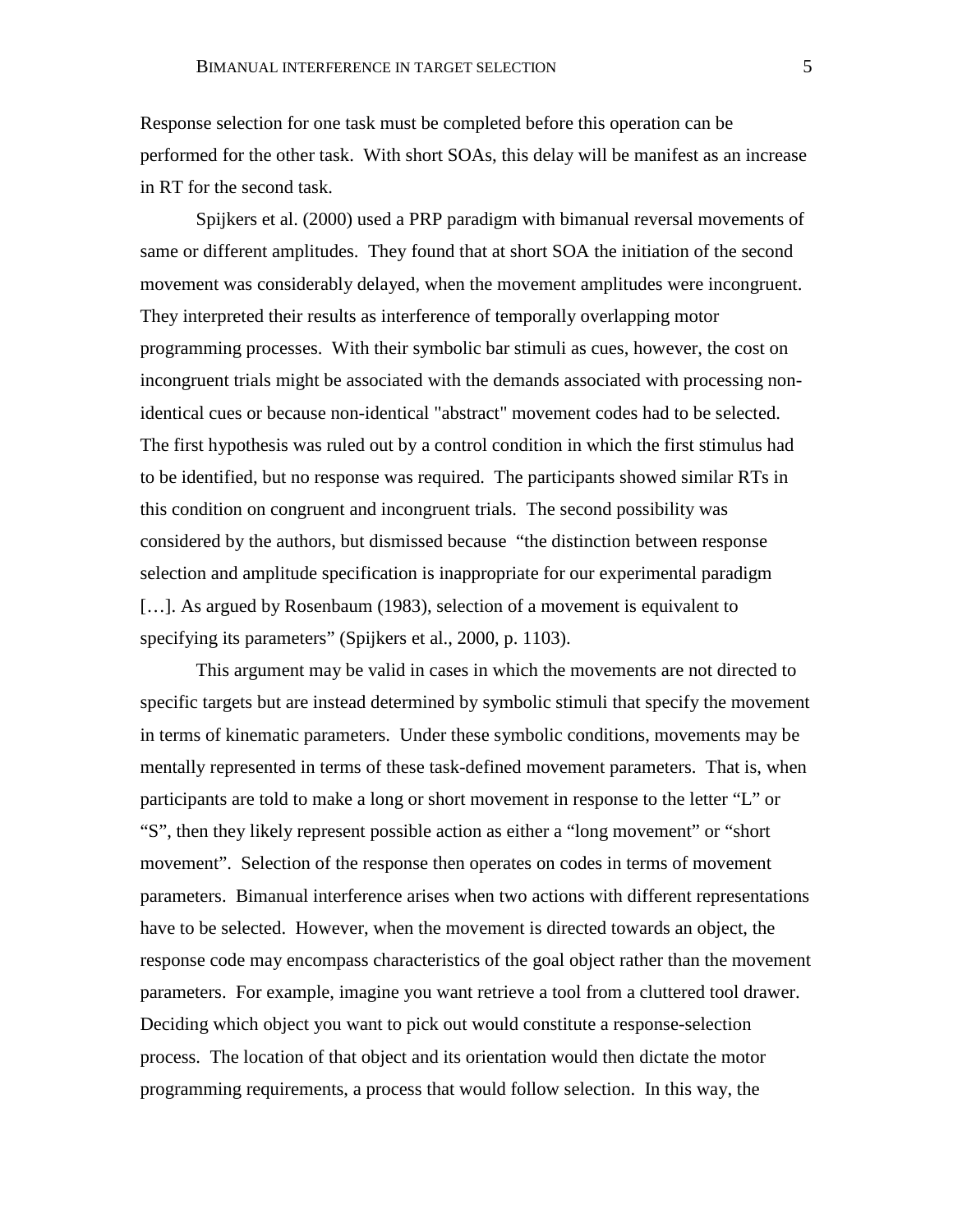Response selection for one task must be completed before this operation can be performed for the other task. With short SOAs, this delay will be manifest as an increase in RT for the second task.

Spijkers et al. (2000) used a PRP paradigm with bimanual reversal movements of same or different amplitudes. They found that at short SOA the initiation of the second movement was considerably delayed, when the movement amplitudes were incongruent. They interpreted their results as interference of temporally overlapping motor programming processes. With their symbolic bar stimuli as cues, however, the cost on incongruent trials might be associated with the demands associated with processing nonidentical cues or because non-identical "abstract" movement codes had to be selected. The first hypothesis was ruled out by a control condition in which the first stimulus had to be identified, but no response was required. The participants showed similar RTs in this condition on congruent and incongruent trials. The second possibility was considered by the authors, but dismissed because "the distinction between response selection and amplitude specification is inappropriate for our experimental paradigm [...]. As argued by Rosenbaum (1983), selection of a movement is equivalent to specifying its parameters" (Spijkers et al., 2000, p. 1103).

This argument may be valid in cases in which the movements are not directed to specific targets but are instead determined by symbolic stimuli that specify the movement in terms of kinematic parameters. Under these symbolic conditions, movements may be mentally represented in terms of these task-defined movement parameters. That is, when participants are told to make a long or short movement in response to the letter "L" or "S", then they likely represent possible action as either a "long movement" or "short movement". Selection of the response then operates on codes in terms of movement parameters. Bimanual interference arises when two actions with different representations have to be selected. However, when the movement is directed towards an object, the response code may encompass characteristics of the goal object rather than the movement parameters. For example, imagine you want retrieve a tool from a cluttered tool drawer. Deciding which object you want to pick out would constitute a response-selection process. The location of that object and its orientation would then dictate the motor programming requirements, a process that would follow selection. In this way, the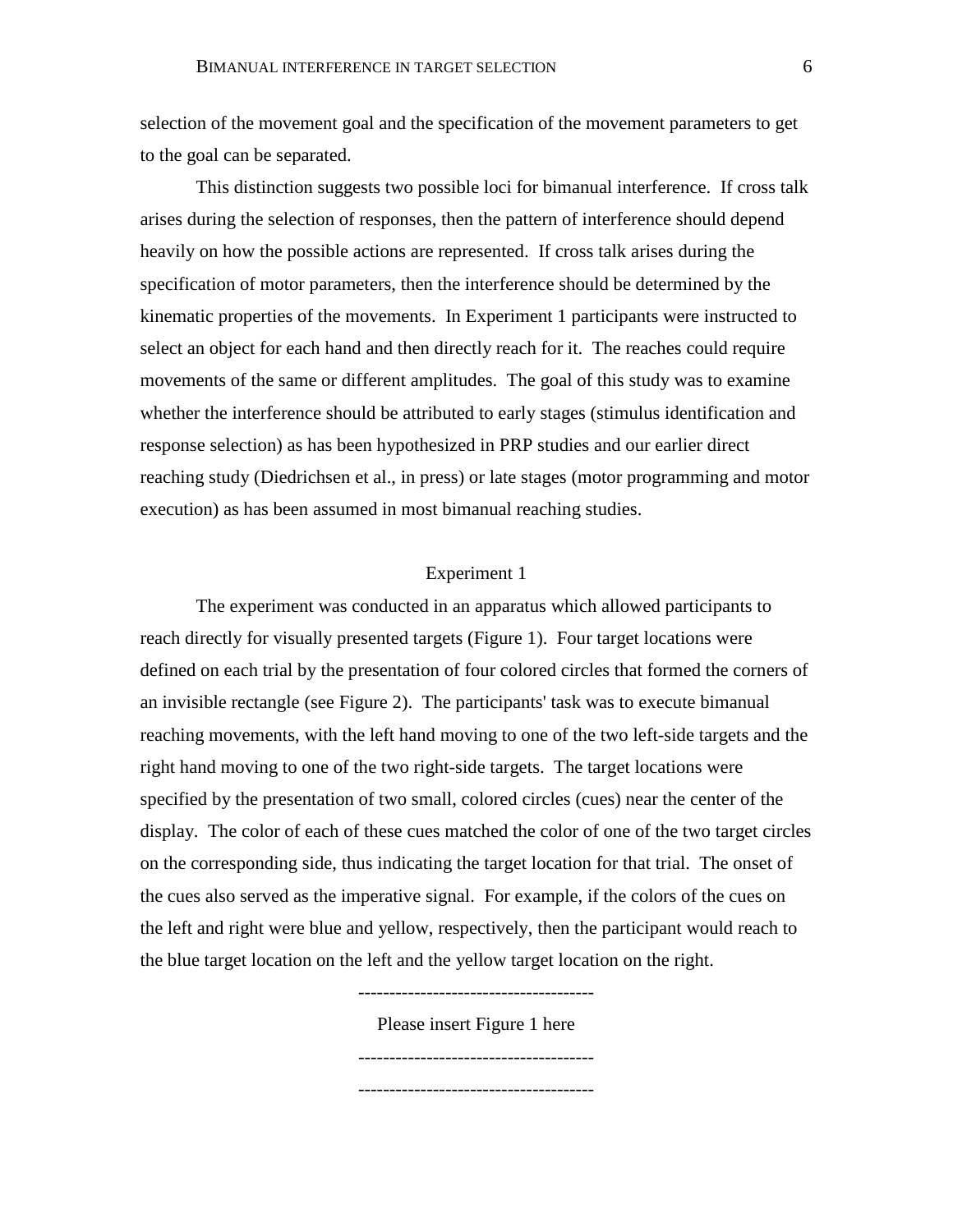selection of the movement goal and the specification of the movement parameters to get to the goal can be separated.

This distinction suggests two possible loci for bimanual interference. If cross talk arises during the selection of responses, then the pattern of interference should depend heavily on how the possible actions are represented. If cross talk arises during the specification of motor parameters, then the interference should be determined by the kinematic properties of the movements. In Experiment 1 participants were instructed to select an object for each hand and then directly reach for it. The reaches could require movements of the same or different amplitudes. The goal of this study was to examine whether the interference should be attributed to early stages (stimulus identification and response selection) as has been hypothesized in PRP studies and our earlier direct reaching study (Diedrichsen et al., in press) or late stages (motor programming and motor execution) as has been assumed in most bimanual reaching studies.

# Experiment 1

The experiment was conducted in an apparatus which allowed participants to reach directly for visually presented targets (Figure 1). Four target locations were defined on each trial by the presentation of four colored circles that formed the corners of an invisible rectangle (see Figure 2). The participants' task was to execute bimanual reaching movements, with the left hand moving to one of the two left-side targets and the right hand moving to one of the two right-side targets. The target locations were specified by the presentation of two small, colored circles (cues) near the center of the display. The color of each of these cues matched the color of one of the two target circles on the corresponding side, thus indicating the target location for that trial. The onset of the cues also served as the imperative signal. For example, if the colors of the cues on the left and right were blue and yellow, respectively, then the participant would reach to the blue target location on the left and the yellow target location on the right.

--------------------------------------

Please insert Figure 1 here --------------------------------------

--------------------------------------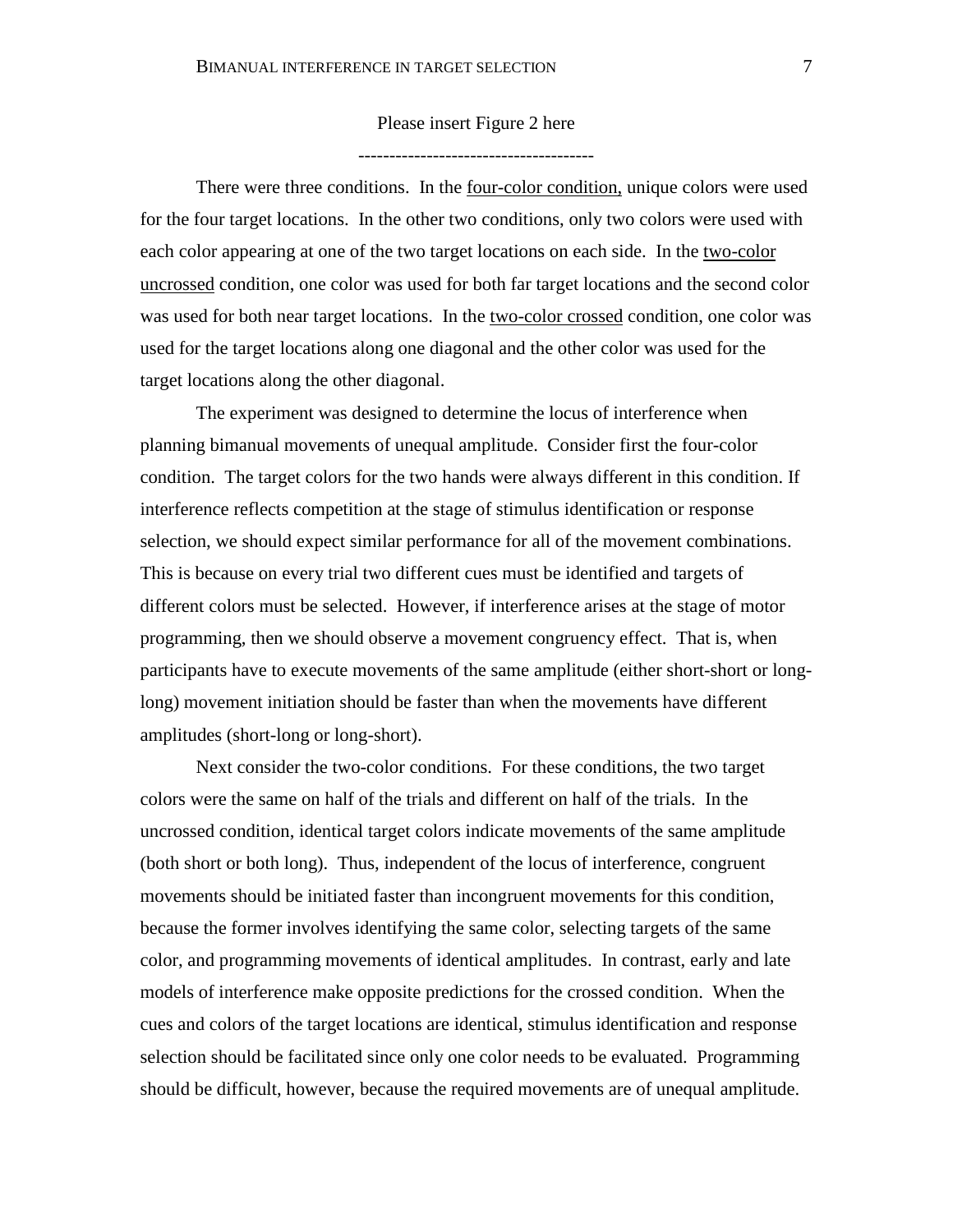Please insert Figure 2 here

--------------------------------------

There were three conditions. In the <u>four-color condition</u>, unique colors were used for the four target locations. In the other two conditions, only two colors were used with each color appearing at one of the two target locations on each side. In the two-color uncrossed condition, one color was used for both far target locations and the second color was used for both near target locations. In the two-color crossed condition, one color was used for the target locations along one diagonal and the other color was used for the target locations along the other diagonal.

The experiment was designed to determine the locus of interference when planning bimanual movements of unequal amplitude. Consider first the four-color condition. The target colors for the two hands were always different in this condition. If interference reflects competition at the stage of stimulus identification or response selection, we should expect similar performance for all of the movement combinations. This is because on every trial two different cues must be identified and targets of different colors must be selected. However, if interference arises at the stage of motor programming, then we should observe a movement congruency effect. That is, when participants have to execute movements of the same amplitude (either short-short or longlong) movement initiation should be faster than when the movements have different amplitudes (short-long or long-short).

Next consider the two-color conditions. For these conditions, the two target colors were the same on half of the trials and different on half of the trials. In the uncrossed condition, identical target colors indicate movements of the same amplitude (both short or both long). Thus, independent of the locus of interference, congruent movements should be initiated faster than incongruent movements for this condition, because the former involves identifying the same color, selecting targets of the same color, and programming movements of identical amplitudes. In contrast, early and late models of interference make opposite predictions for the crossed condition. When the cues and colors of the target locations are identical, stimulus identification and response selection should be facilitated since only one color needs to be evaluated. Programming should be difficult, however, because the required movements are of unequal amplitude.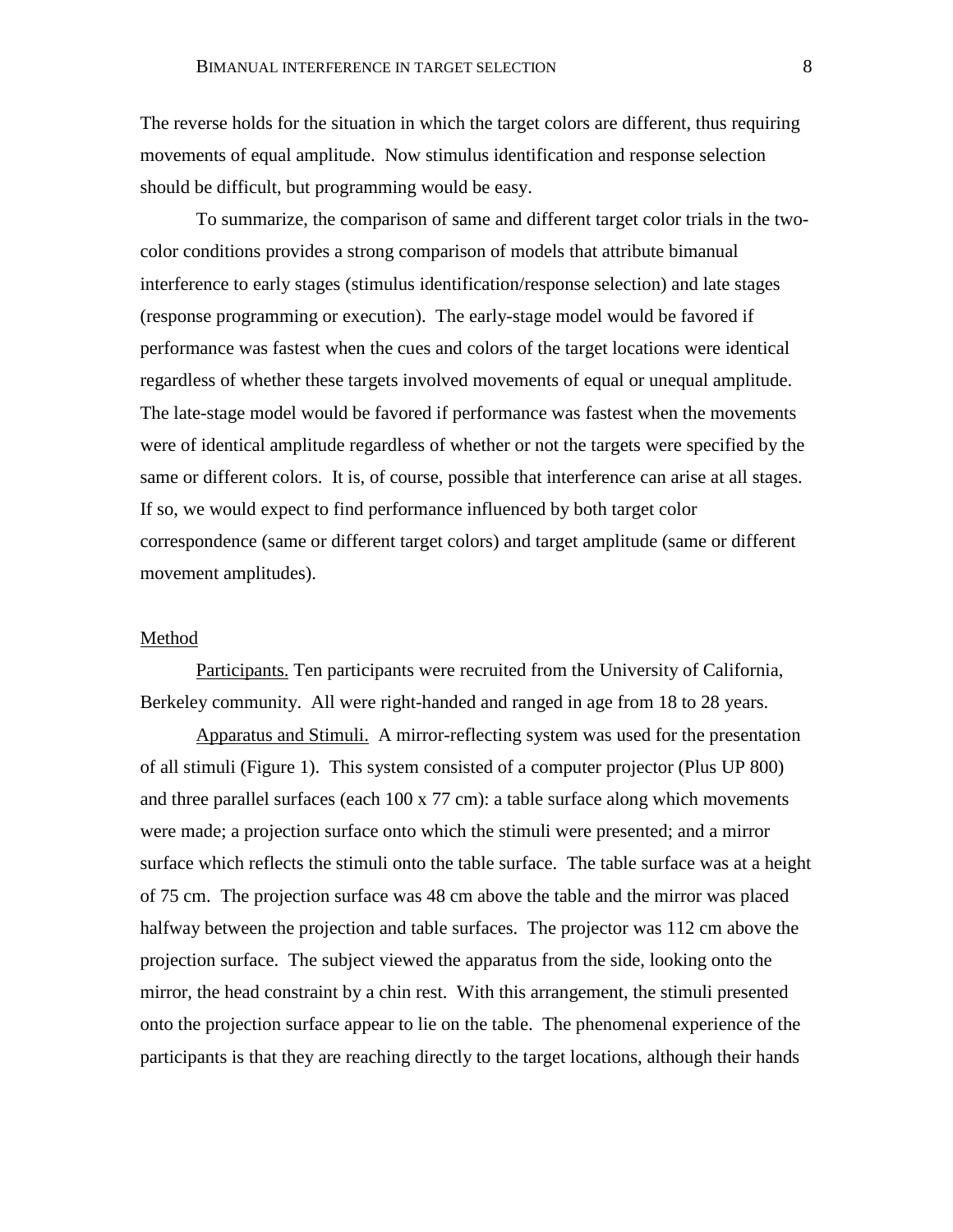The reverse holds for the situation in which the target colors are different, thus requiring movements of equal amplitude. Now stimulus identification and response selection should be difficult, but programming would be easy.

To summarize, the comparison of same and different target color trials in the twocolor conditions provides a strong comparison of models that attribute bimanual interference to early stages (stimulus identification/response selection) and late stages (response programming or execution). The early-stage model would be favored if performance was fastest when the cues and colors of the target locations were identical regardless of whether these targets involved movements of equal or unequal amplitude. The late-stage model would be favored if performance was fastest when the movements were of identical amplitude regardless of whether or not the targets were specified by the same or different colors. It is, of course, possible that interference can arise at all stages. If so, we would expect to find performance influenced by both target color correspondence (same or different target colors) and target amplitude (same or different movement amplitudes).

#### Method

Participants. Ten participants were recruited from the University of California, Berkeley community. All were right-handed and ranged in age from 18 to 28 years.

Apparatus and Stimuli. A mirror-reflecting system was used for the presentation of all stimuli (Figure 1). This system consisted of a computer projector (Plus UP 800) and three parallel surfaces (each 100 x 77 cm): a table surface along which movements were made; a projection surface onto which the stimuli were presented; and a mirror surface which reflects the stimuli onto the table surface. The table surface was at a height of 75 cm. The projection surface was 48 cm above the table and the mirror was placed halfway between the projection and table surfaces. The projector was 112 cm above the projection surface. The subject viewed the apparatus from the side, looking onto the mirror, the head constraint by a chin rest. With this arrangement, the stimuli presented onto the projection surface appear to lie on the table. The phenomenal experience of the participants is that they are reaching directly to the target locations, although their hands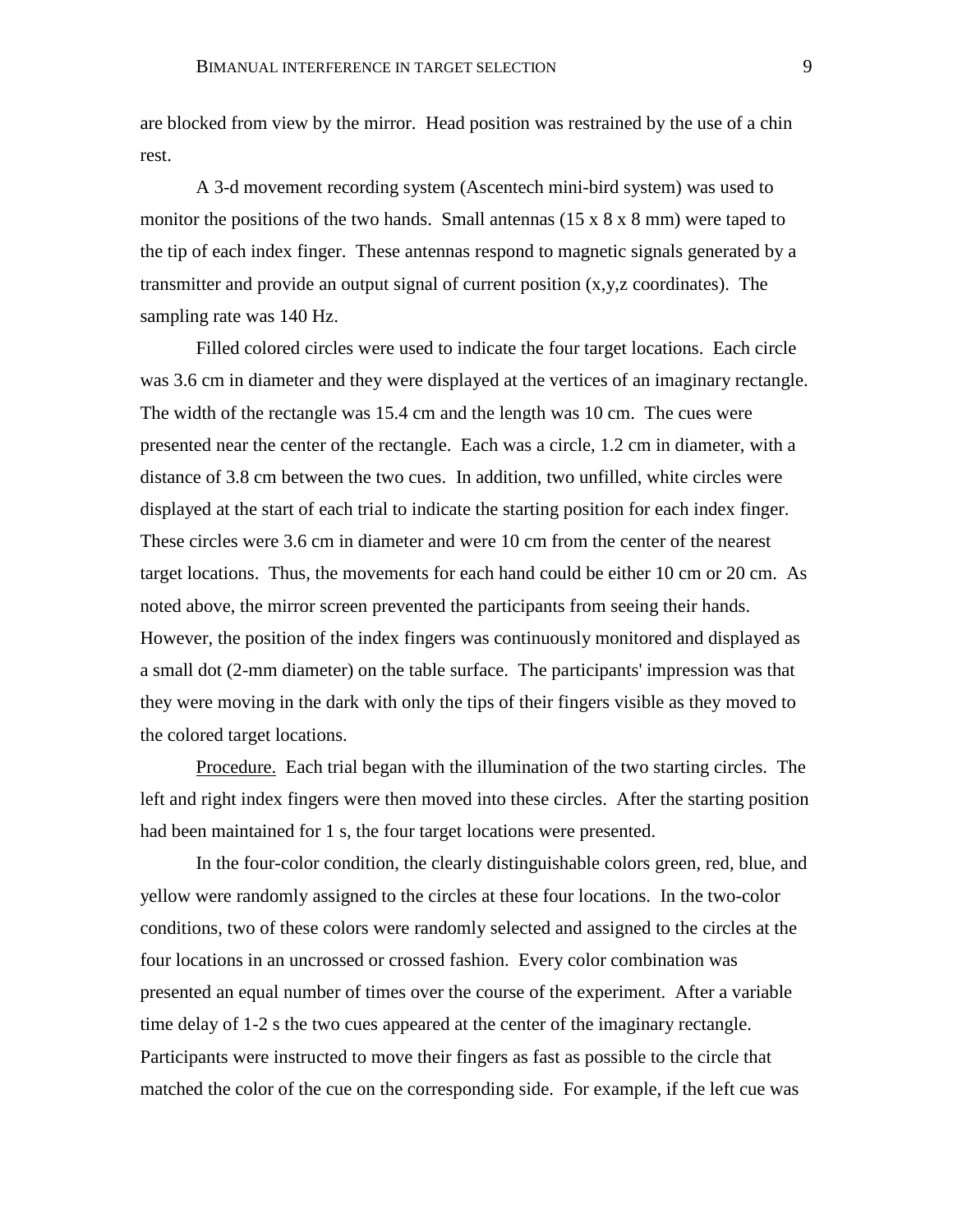are blocked from view by the mirror. Head position was restrained by the use of a chin rest.

A 3-d movement recording system (Ascentech mini-bird system) was used to monitor the positions of the two hands. Small antennas  $(15 \times 8 \times 8 \text{ mm})$  were taped to the tip of each index finger. These antennas respond to magnetic signals generated by a transmitter and provide an output signal of current position  $(x,y,z)$  coordinates). The sampling rate was 140 Hz.

Filled colored circles were used to indicate the four target locations. Each circle was 3.6 cm in diameter and they were displayed at the vertices of an imaginary rectangle. The width of the rectangle was 15.4 cm and the length was 10 cm. The cues were presented near the center of the rectangle. Each was a circle, 1.2 cm in diameter, with a distance of 3.8 cm between the two cues. In addition, two unfilled, white circles were displayed at the start of each trial to indicate the starting position for each index finger. These circles were 3.6 cm in diameter and were 10 cm from the center of the nearest target locations. Thus, the movements for each hand could be either 10 cm or 20 cm. As noted above, the mirror screen prevented the participants from seeing their hands. However, the position of the index fingers was continuously monitored and displayed as a small dot (2-mm diameter) on the table surface. The participants' impression was that they were moving in the dark with only the tips of their fingers visible as they moved to the colored target locations.

Procedure. Each trial began with the illumination of the two starting circles. The left and right index fingers were then moved into these circles. After the starting position had been maintained for 1 s, the four target locations were presented.

In the four-color condition, the clearly distinguishable colors green, red, blue, and yellow were randomly assigned to the circles at these four locations. In the two-color conditions, two of these colors were randomly selected and assigned to the circles at the four locations in an uncrossed or crossed fashion. Every color combination was presented an equal number of times over the course of the experiment. After a variable time delay of 1-2 s the two cues appeared at the center of the imaginary rectangle. Participants were instructed to move their fingers as fast as possible to the circle that matched the color of the cue on the corresponding side. For example, if the left cue was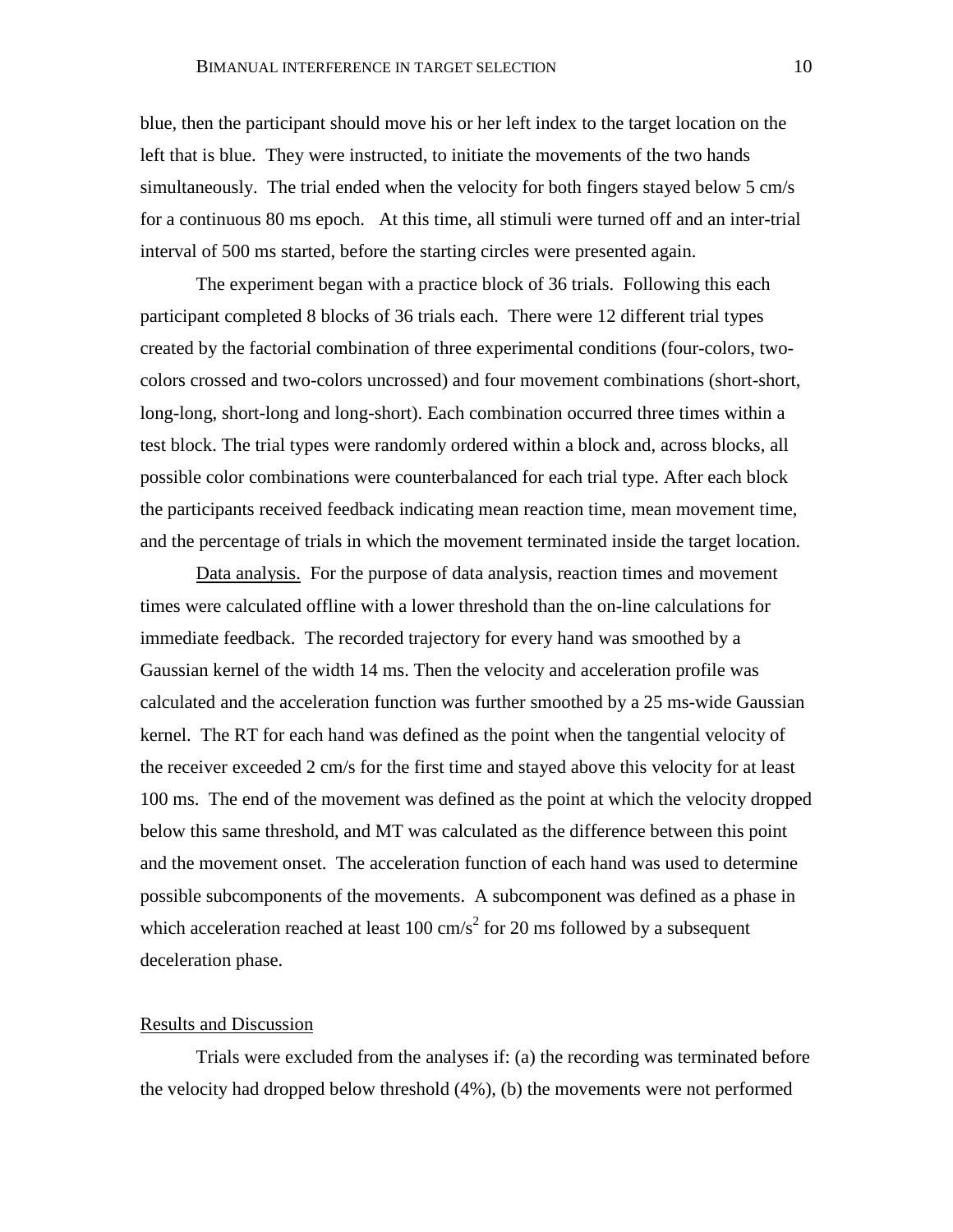blue, then the participant should move his or her left index to the target location on the left that is blue. They were instructed, to initiate the movements of the two hands simultaneously. The trial ended when the velocity for both fingers stayed below 5 cm/s for a continuous 80 ms epoch. At this time, all stimuli were turned off and an inter-trial interval of 500 ms started, before the starting circles were presented again.

The experiment began with a practice block of 36 trials. Following this each participant completed 8 blocks of 36 trials each. There were 12 different trial types created by the factorial combination of three experimental conditions (four-colors, twocolors crossed and two-colors uncrossed) and four movement combinations (short-short, long-long, short-long and long-short). Each combination occurred three times within a test block. The trial types were randomly ordered within a block and, across blocks, all possible color combinations were counterbalanced for each trial type. After each block the participants received feedback indicating mean reaction time, mean movement time, and the percentage of trials in which the movement terminated inside the target location.

Data analysis. For the purpose of data analysis, reaction times and movement times were calculated offline with a lower threshold than the on-line calculations for immediate feedback. The recorded trajectory for every hand was smoothed by a Gaussian kernel of the width 14 ms. Then the velocity and acceleration profile was calculated and the acceleration function was further smoothed by a 25 ms-wide Gaussian kernel. The RT for each hand was defined as the point when the tangential velocity of the receiver exceeded 2 cm/s for the first time and stayed above this velocity for at least 100 ms. The end of the movement was defined as the point at which the velocity dropped below this same threshold, and MT was calculated as the difference between this point and the movement onset. The acceleration function of each hand was used to determine possible subcomponents of the movements. A subcomponent was defined as a phase in which acceleration reached at least  $100 \text{ cm/s}^2$  for 20 ms followed by a subsequent deceleration phase.

#### Results and Discussion

Trials were excluded from the analyses if: (a) the recording was terminated before the velocity had dropped below threshold (4%), (b) the movements were not performed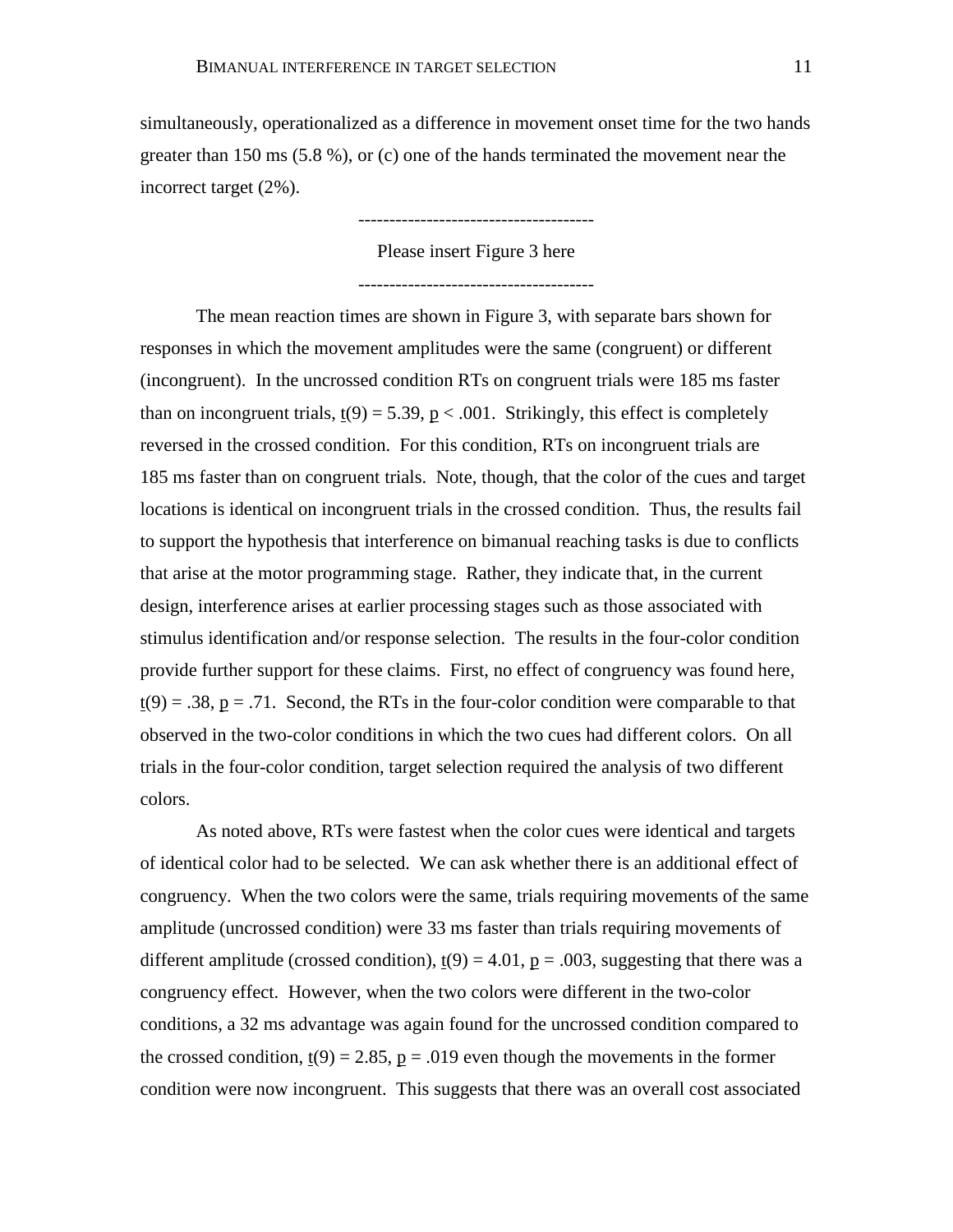simultaneously, operationalized as a difference in movement onset time for the two hands greater than 150 ms (5.8 %), or (c) one of the hands terminated the movement near the incorrect target (2%).

> -------------------------------------- Please insert Figure 3 here

> --------------------------------------

The mean reaction times are shown in Figure 3, with separate bars shown for responses in which the movement amplitudes were the same (congruent) or different (incongruent). In the uncrossed condition RTs on congruent trials were 185 ms faster than on incongruent trials,  $t(9) = 5.39$ ,  $p < .001$ . Strikingly, this effect is completely reversed in the crossed condition. For this condition, RTs on incongruent trials are 185 ms faster than on congruent trials. Note, though, that the color of the cues and target locations is identical on incongruent trials in the crossed condition. Thus, the results fail to support the hypothesis that interference on bimanual reaching tasks is due to conflicts that arise at the motor programming stage. Rather, they indicate that, in the current design, interference arises at earlier processing stages such as those associated with stimulus identification and/or response selection. The results in the four-color condition provide further support for these claims. First, no effect of congruency was found here,  $t(9) = .38$ ,  $p = .71$ . Second, the RTs in the four-color condition were comparable to that observed in the two-color conditions in which the two cues had different colors. On all trials in the four-color condition, target selection required the analysis of two different colors.

As noted above, RTs were fastest when the color cues were identical and targets of identical color had to be selected. We can ask whether there is an additional effect of congruency. When the two colors were the same, trials requiring movements of the same amplitude (uncrossed condition) were 33 ms faster than trials requiring movements of different amplitude (crossed condition),  $t(9) = 4.01$ ,  $p = .003$ , suggesting that there was a congruency effect. However, when the two colors were different in the two-color conditions, a 32 ms advantage was again found for the uncrossed condition compared to the crossed condition,  $t(9) = 2.85$ ,  $p = .019$  even though the movements in the former condition were now incongruent. This suggests that there was an overall cost associated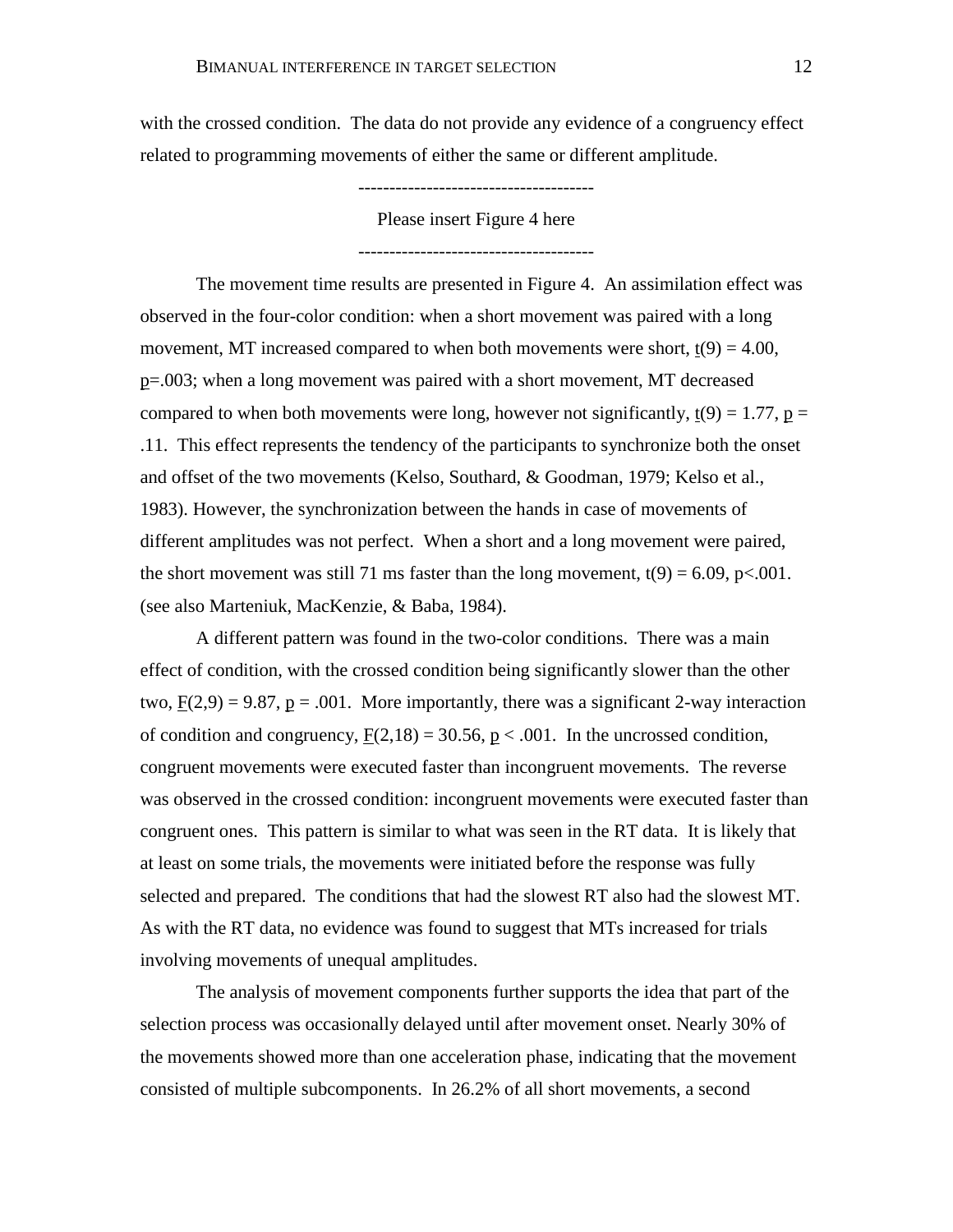with the crossed condition. The data do not provide any evidence of a congruency effect related to programming movements of either the same or different amplitude.

### --------------------------------------

Please insert Figure 4 here

--------------------------------------

The movement time results are presented in Figure 4. An assimilation effect was observed in the four-color condition: when a short movement was paired with a long movement, MT increased compared to when both movements were short,  $\underline{t}(9) = 4.00$ , p=.003; when a long movement was paired with a short movement, MT decreased compared to when both movements were long, however not significantly,  $t(9) = 1.77$ ,  $p =$ .11. This effect represents the tendency of the participants to synchronize both the onset and offset of the two movements (Kelso, Southard, & Goodman, 1979; Kelso et al., 1983). However, the synchronization between the hands in case of movements of different amplitudes was not perfect. When a short and a long movement were paired, the short movement was still 71 ms faster than the long movement,  $t(9) = 6.09$ , p<.001. (see also Marteniuk, MacKenzie, & Baba, 1984).

A different pattern was found in the two-color conditions. There was a main effect of condition, with the crossed condition being significantly slower than the other two,  $F(2,9) = 9.87$ ,  $p = .001$ . More importantly, there was a significant 2-way interaction of condition and congruency,  $F(2,18) = 30.56$ ,  $p < .001$ . In the uncrossed condition, congruent movements were executed faster than incongruent movements. The reverse was observed in the crossed condition: incongruent movements were executed faster than congruent ones. This pattern is similar to what was seen in the RT data. It is likely that at least on some trials, the movements were initiated before the response was fully selected and prepared. The conditions that had the slowest RT also had the slowest MT. As with the RT data, no evidence was found to suggest that MTs increased for trials involving movements of unequal amplitudes.

The analysis of movement components further supports the idea that part of the selection process was occasionally delayed until after movement onset. Nearly 30% of the movements showed more than one acceleration phase, indicating that the movement consisted of multiple subcomponents. In 26.2% of all short movements, a second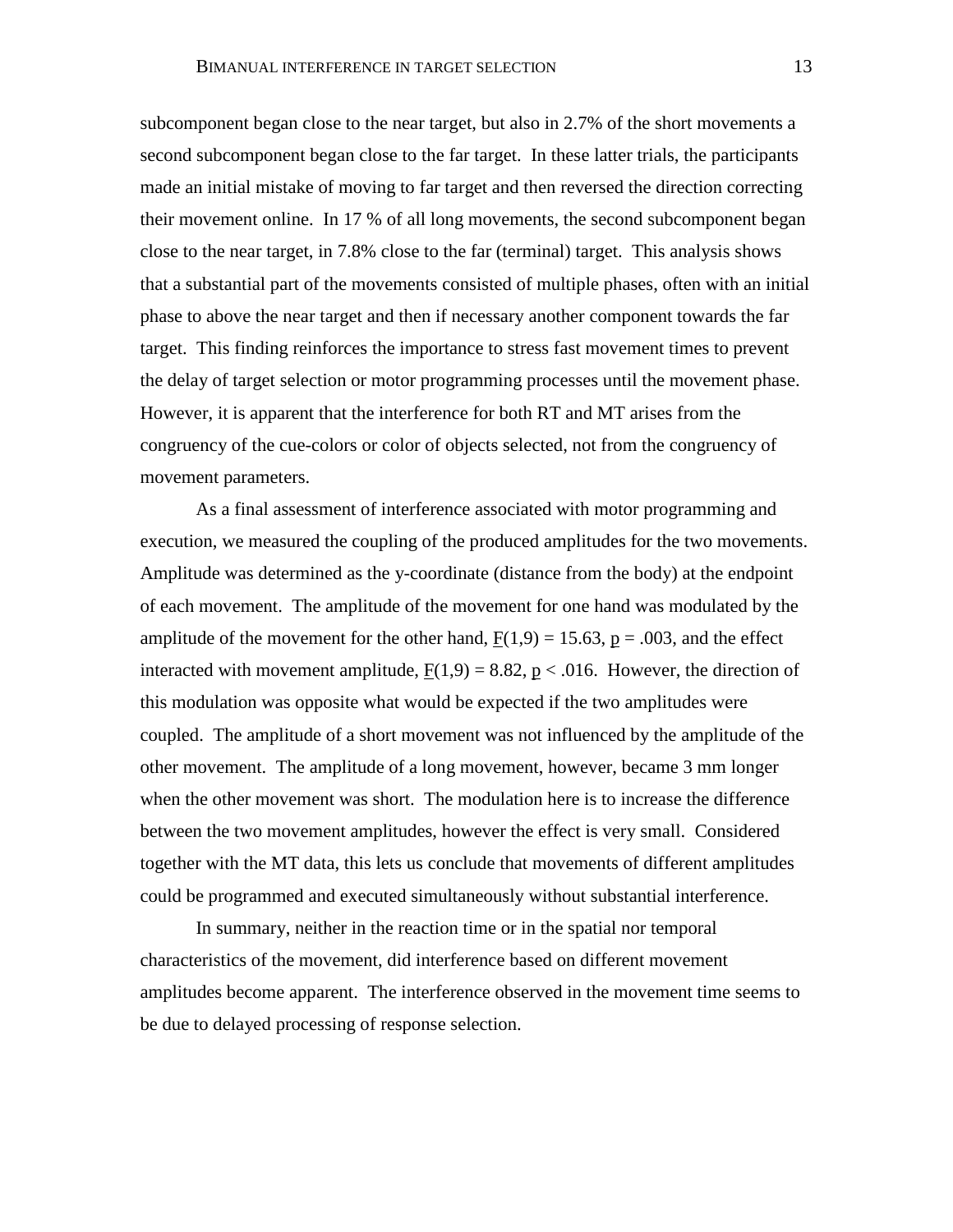subcomponent began close to the near target, but also in 2.7% of the short movements a second subcomponent began close to the far target. In these latter trials, the participants made an initial mistake of moving to far target and then reversed the direction correcting their movement online. In 17 % of all long movements, the second subcomponent began close to the near target, in 7.8% close to the far (terminal) target. This analysis shows that a substantial part of the movements consisted of multiple phases, often with an initial phase to above the near target and then if necessary another component towards the far target. This finding reinforces the importance to stress fast movement times to prevent the delay of target selection or motor programming processes until the movement phase. However, it is apparent that the interference for both RT and MT arises from the congruency of the cue-colors or color of objects selected, not from the congruency of movement parameters.

As a final assessment of interference associated with motor programming and execution, we measured the coupling of the produced amplitudes for the two movements. Amplitude was determined as the y-coordinate (distance from the body) at the endpoint of each movement. The amplitude of the movement for one hand was modulated by the amplitude of the movement for the other hand,  $F(1,9) = 15.63$ ,  $p = .003$ , and the effect interacted with movement amplitude,  $\underline{F}(1,9) = 8.82$ ,  $\underline{p} < .016$ . However, the direction of this modulation was opposite what would be expected if the two amplitudes were coupled. The amplitude of a short movement was not influenced by the amplitude of the other movement. The amplitude of a long movement, however, became 3 mm longer when the other movement was short. The modulation here is to increase the difference between the two movement amplitudes, however the effect is very small. Considered together with the MT data, this lets us conclude that movements of different amplitudes could be programmed and executed simultaneously without substantial interference.

In summary, neither in the reaction time or in the spatial nor temporal characteristics of the movement, did interference based on different movement amplitudes become apparent. The interference observed in the movement time seems to be due to delayed processing of response selection.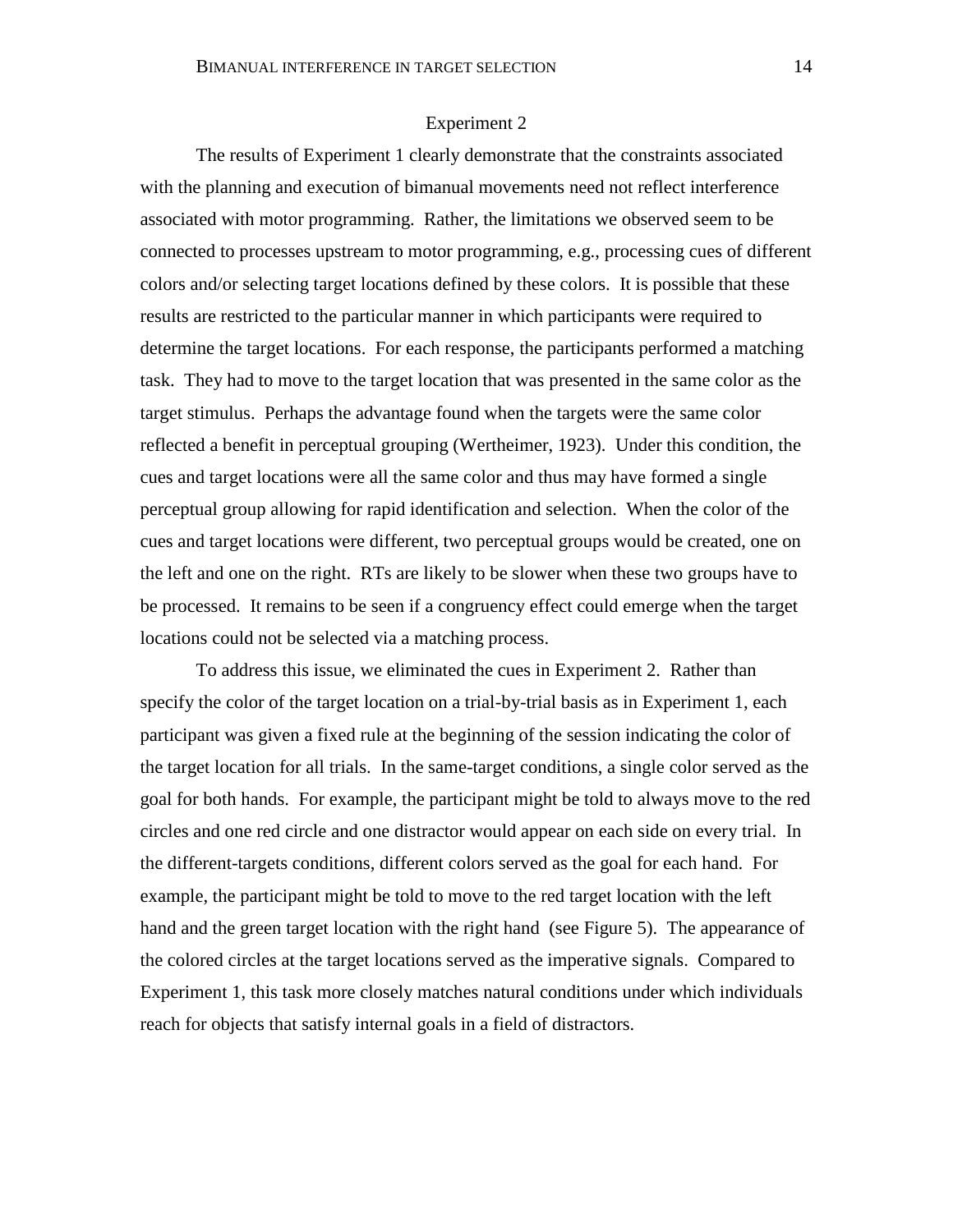# Experiment 2

The results of Experiment 1 clearly demonstrate that the constraints associated with the planning and execution of bimanual movements need not reflect interference associated with motor programming. Rather, the limitations we observed seem to be connected to processes upstream to motor programming, e.g., processing cues of different colors and/or selecting target locations defined by these colors. It is possible that these results are restricted to the particular manner in which participants were required to determine the target locations. For each response, the participants performed a matching task. They had to move to the target location that was presented in the same color as the target stimulus. Perhaps the advantage found when the targets were the same color reflected a benefit in perceptual grouping (Wertheimer, 1923). Under this condition, the cues and target locations were all the same color and thus may have formed a single perceptual group allowing for rapid identification and selection. When the color of the cues and target locations were different, two perceptual groups would be created, one on the left and one on the right. RTs are likely to be slower when these two groups have to be processed. It remains to be seen if a congruency effect could emerge when the target locations could not be selected via a matching process.

To address this issue, we eliminated the cues in Experiment 2. Rather than specify the color of the target location on a trial-by-trial basis as in Experiment 1, each participant was given a fixed rule at the beginning of the session indicating the color of the target location for all trials. In the same-target conditions, a single color served as the goal for both hands. For example, the participant might be told to always move to the red circles and one red circle and one distractor would appear on each side on every trial. In the different-targets conditions, different colors served as the goal for each hand. For example, the participant might be told to move to the red target location with the left hand and the green target location with the right hand (see Figure 5). The appearance of the colored circles at the target locations served as the imperative signals. Compared to Experiment 1, this task more closely matches natural conditions under which individuals reach for objects that satisfy internal goals in a field of distractors.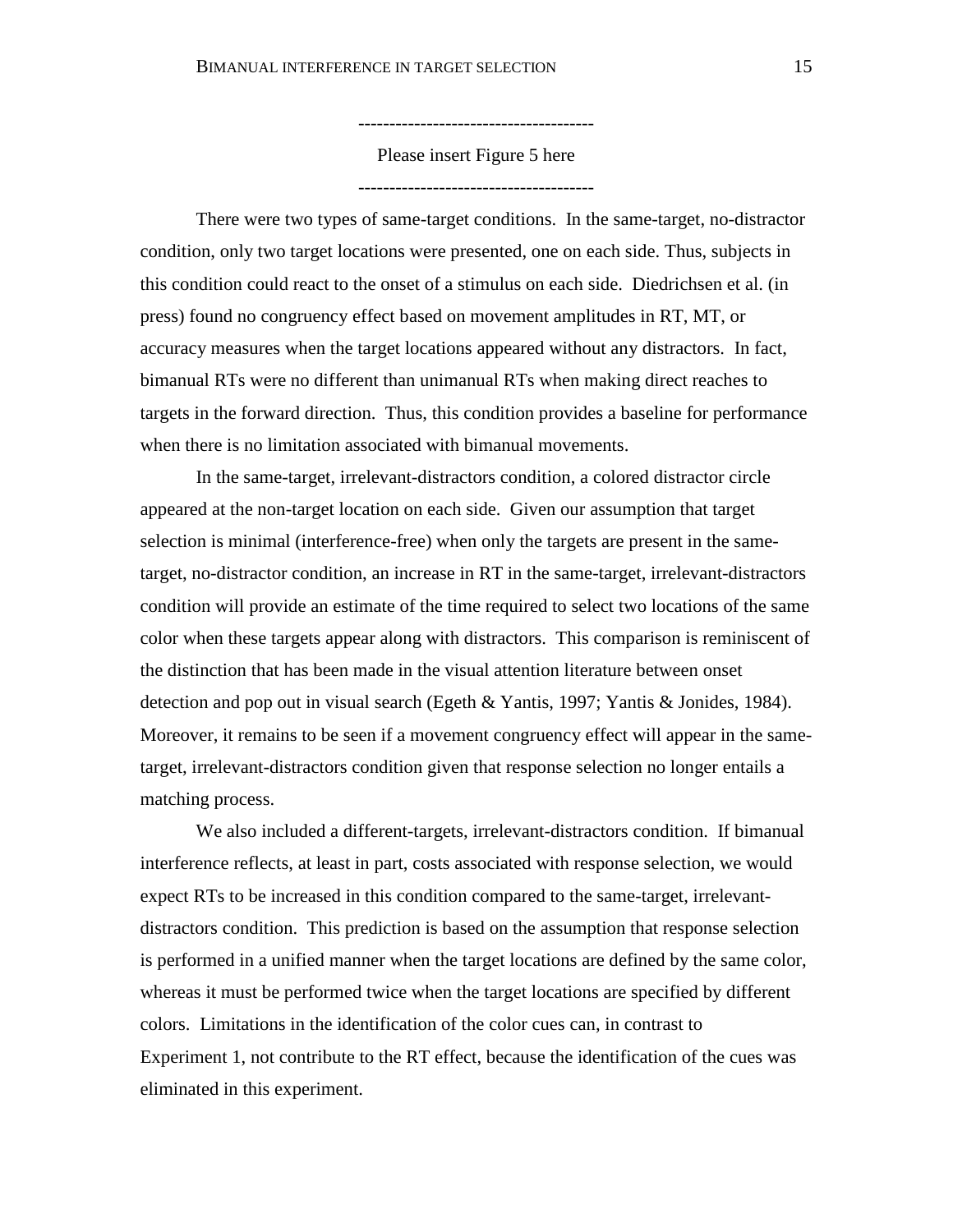--------------------------------------

Please insert Figure 5 here

--------------------------------------

There were two types of same-target conditions. In the same-target, no-distractor condition, only two target locations were presented, one on each side. Thus, subjects in this condition could react to the onset of a stimulus on each side. Diedrichsen et al. (in press) found no congruency effect based on movement amplitudes in RT, MT, or accuracy measures when the target locations appeared without any distractors. In fact, bimanual RTs were no different than unimanual RTs when making direct reaches to targets in the forward direction. Thus, this condition provides a baseline for performance when there is no limitation associated with bimanual movements.

In the same-target, irrelevant-distractors condition, a colored distractor circle appeared at the non-target location on each side. Given our assumption that target selection is minimal (interference-free) when only the targets are present in the sametarget, no-distractor condition, an increase in RT in the same-target, irrelevant-distractors condition will provide an estimate of the time required to select two locations of the same color when these targets appear along with distractors. This comparison is reminiscent of the distinction that has been made in the visual attention literature between onset detection and pop out in visual search (Egeth & Yantis, 1997; Yantis & Jonides, 1984). Moreover, it remains to be seen if a movement congruency effect will appear in the sametarget, irrelevant-distractors condition given that response selection no longer entails a matching process.

We also included a different-targets, irrelevant-distractors condition. If bimanual interference reflects, at least in part, costs associated with response selection, we would expect RTs to be increased in this condition compared to the same-target, irrelevantdistractors condition. This prediction is based on the assumption that response selection is performed in a unified manner when the target locations are defined by the same color, whereas it must be performed twice when the target locations are specified by different colors. Limitations in the identification of the color cues can, in contrast to Experiment 1, not contribute to the RT effect, because the identification of the cues was eliminated in this experiment.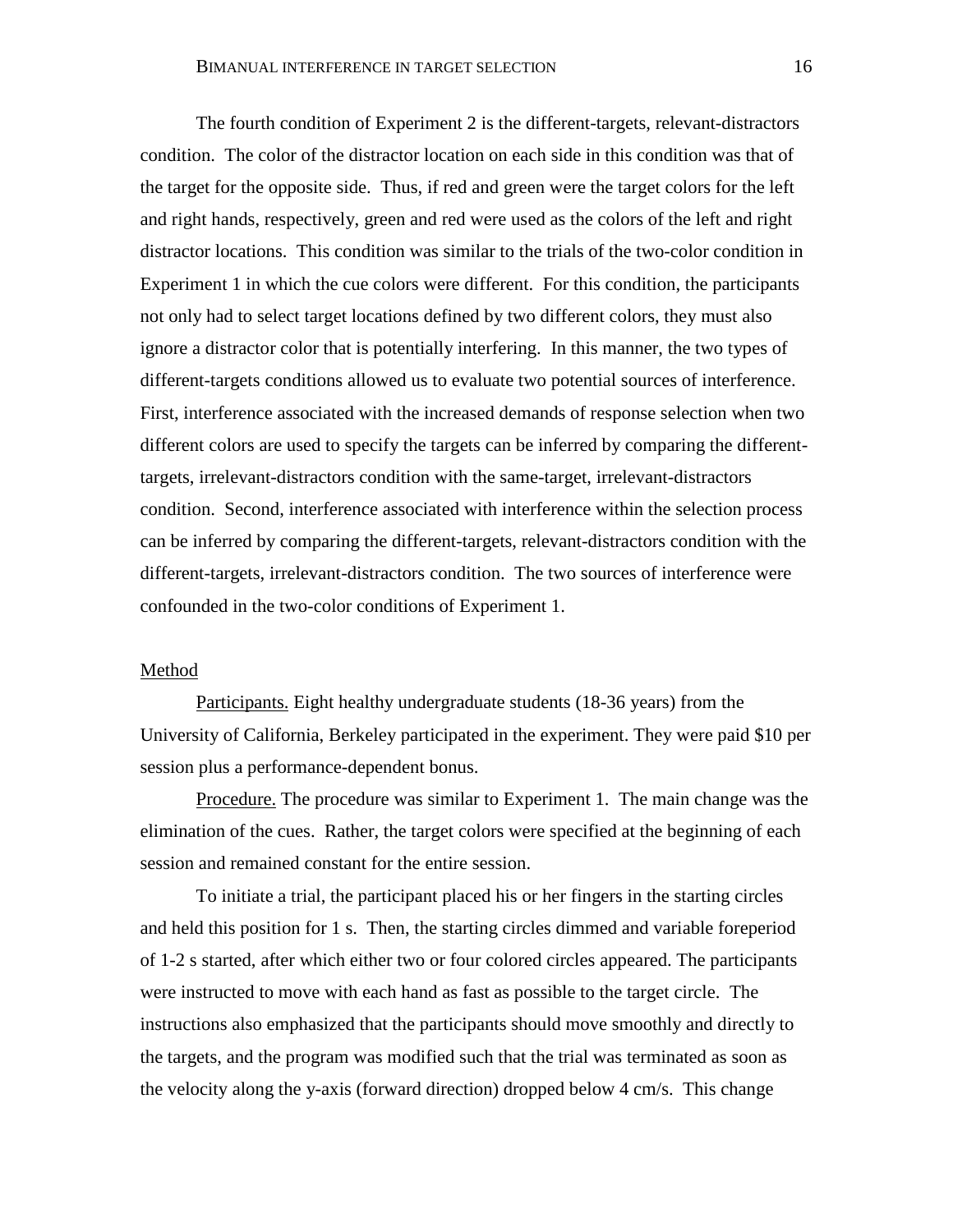The fourth condition of Experiment 2 is the different-targets, relevant-distractors condition. The color of the distractor location on each side in this condition was that of the target for the opposite side. Thus, if red and green were the target colors for the left and right hands, respectively, green and red were used as the colors of the left and right distractor locations. This condition was similar to the trials of the two-color condition in Experiment 1 in which the cue colors were different. For this condition, the participants not only had to select target locations defined by two different colors, they must also ignore a distractor color that is potentially interfering. In this manner, the two types of different-targets conditions allowed us to evaluate two potential sources of interference. First, interference associated with the increased demands of response selection when two different colors are used to specify the targets can be inferred by comparing the differenttargets, irrelevant-distractors condition with the same-target, irrelevant-distractors condition. Second, interference associated with interference within the selection process can be inferred by comparing the different-targets, relevant-distractors condition with the different-targets, irrelevant-distractors condition. The two sources of interference were confounded in the two-color conditions of Experiment 1.

## Method

Participants. Eight healthy undergraduate students (18-36 years) from the University of California, Berkeley participated in the experiment. They were paid \$10 per session plus a performance-dependent bonus.

Procedure. The procedure was similar to Experiment 1. The main change was the elimination of the cues. Rather, the target colors were specified at the beginning of each session and remained constant for the entire session.

To initiate a trial, the participant placed his or her fingers in the starting circles and held this position for 1 s. Then, the starting circles dimmed and variable foreperiod of 1-2 s started, after which either two or four colored circles appeared. The participants were instructed to move with each hand as fast as possible to the target circle. The instructions also emphasized that the participants should move smoothly and directly to the targets, and the program was modified such that the trial was terminated as soon as the velocity along the y-axis (forward direction) dropped below 4 cm/s. This change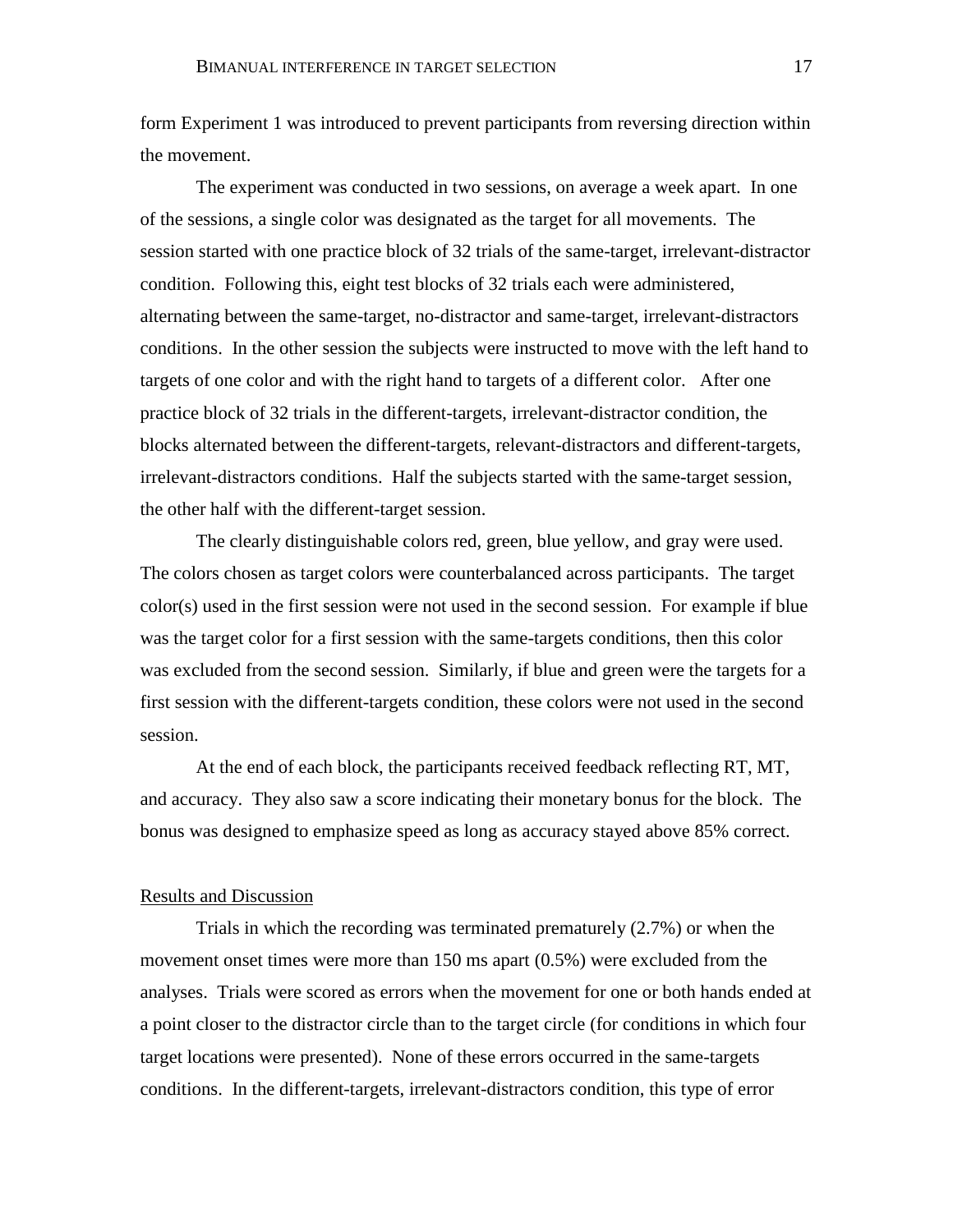form Experiment 1 was introduced to prevent participants from reversing direction within the movement.

The experiment was conducted in two sessions, on average a week apart. In one of the sessions, a single color was designated as the target for all movements. The session started with one practice block of 32 trials of the same-target, irrelevant-distractor condition. Following this, eight test blocks of 32 trials each were administered, alternating between the same-target, no-distractor and same-target, irrelevant-distractors conditions. In the other session the subjects were instructed to move with the left hand to targets of one color and with the right hand to targets of a different color. After one practice block of 32 trials in the different-targets, irrelevant-distractor condition, the blocks alternated between the different-targets, relevant-distractors and different-targets, irrelevant-distractors conditions. Half the subjects started with the same-target session, the other half with the different-target session.

The clearly distinguishable colors red, green, blue yellow, and gray were used. The colors chosen as target colors were counterbalanced across participants. The target color(s) used in the first session were not used in the second session. For example if blue was the target color for a first session with the same-targets conditions, then this color was excluded from the second session. Similarly, if blue and green were the targets for a first session with the different-targets condition, these colors were not used in the second session.

At the end of each block, the participants received feedback reflecting RT, MT, and accuracy. They also saw a score indicating their monetary bonus for the block. The bonus was designed to emphasize speed as long as accuracy stayed above 85% correct.

#### Results and Discussion

Trials in which the recording was terminated prematurely (2.7%) or when the movement onset times were more than 150 ms apart (0.5%) were excluded from the analyses. Trials were scored as errors when the movement for one or both hands ended at a point closer to the distractor circle than to the target circle (for conditions in which four target locations were presented). None of these errors occurred in the same-targets conditions. In the different-targets, irrelevant-distractors condition, this type of error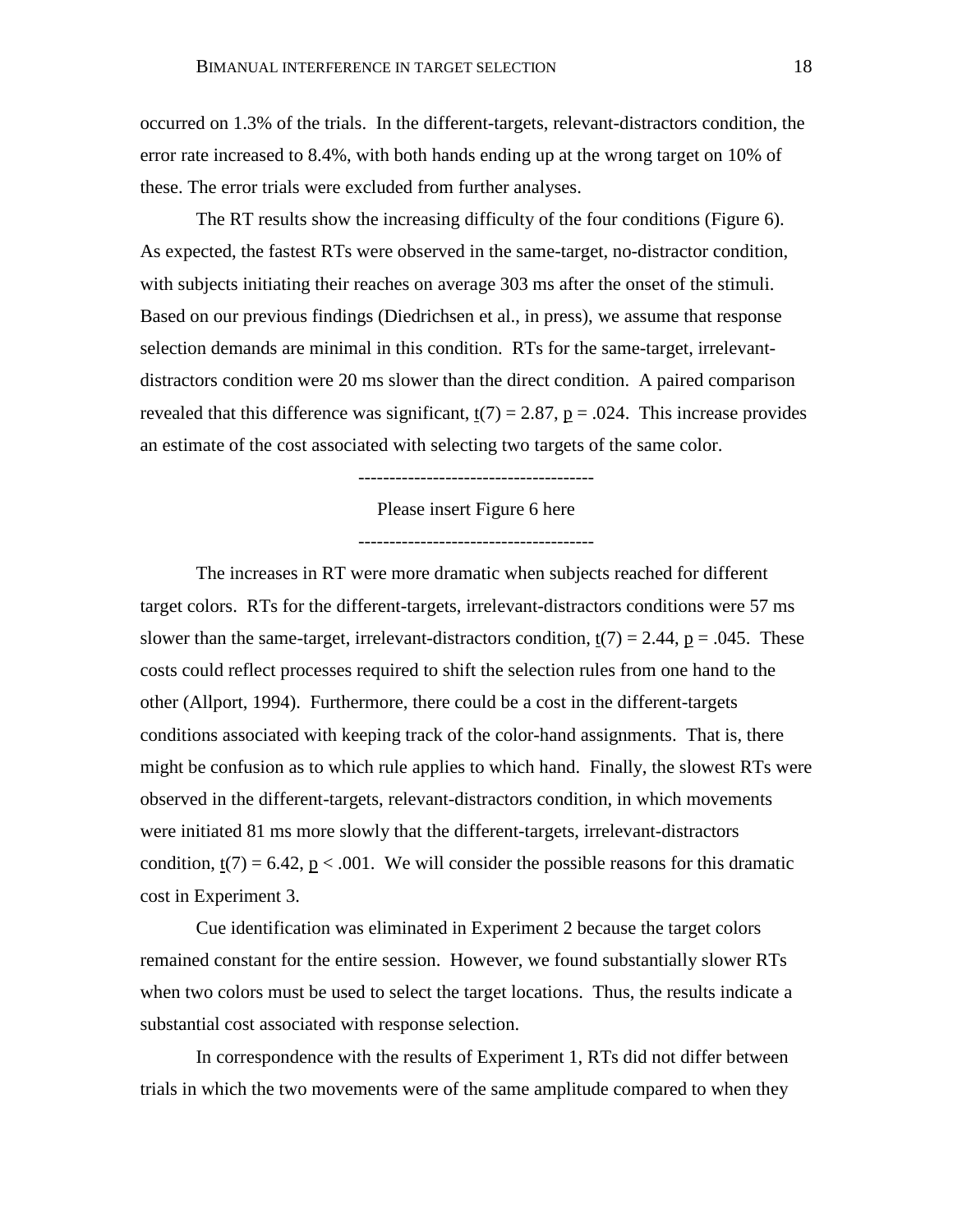occurred on 1.3% of the trials. In the different-targets, relevant-distractors condition, the error rate increased to 8.4%, with both hands ending up at the wrong target on 10% of these. The error trials were excluded from further analyses.

The RT results show the increasing difficulty of the four conditions (Figure 6). As expected, the fastest RTs were observed in the same-target, no-distractor condition, with subjects initiating their reaches on average 303 ms after the onset of the stimuli. Based on our previous findings (Diedrichsen et al., in press), we assume that response selection demands are minimal in this condition. RTs for the same-target, irrelevantdistractors condition were 20 ms slower than the direct condition. A paired comparison revealed that this difference was significant,  $t(7) = 2.87$ ,  $p = .024$ . This increase provides an estimate of the cost associated with selecting two targets of the same color.

--------------------------------------

Please insert Figure 6 here

--------------------------------------

The increases in RT were more dramatic when subjects reached for different target colors. RTs for the different-targets, irrelevant-distractors conditions were 57 ms slower than the same-target, irrelevant-distractors condition,  $t(7) = 2.44$ ,  $p = .045$ . These costs could reflect processes required to shift the selection rules from one hand to the other (Allport, 1994). Furthermore, there could be a cost in the different-targets conditions associated with keeping track of the color-hand assignments. That is, there might be confusion as to which rule applies to which hand. Finally, the slowest RTs were observed in the different-targets, relevant-distractors condition, in which movements were initiated 81 ms more slowly that the different-targets, irrelevant-distractors condition,  $\underline{t}(7) = 6.42$ ,  $\underline{p} < .001$ . We will consider the possible reasons for this dramatic cost in Experiment 3.

Cue identification was eliminated in Experiment 2 because the target colors remained constant for the entire session. However, we found substantially slower RTs when two colors must be used to select the target locations. Thus, the results indicate a substantial cost associated with response selection.

In correspondence with the results of Experiment 1, RTs did not differ between trials in which the two movements were of the same amplitude compared to when they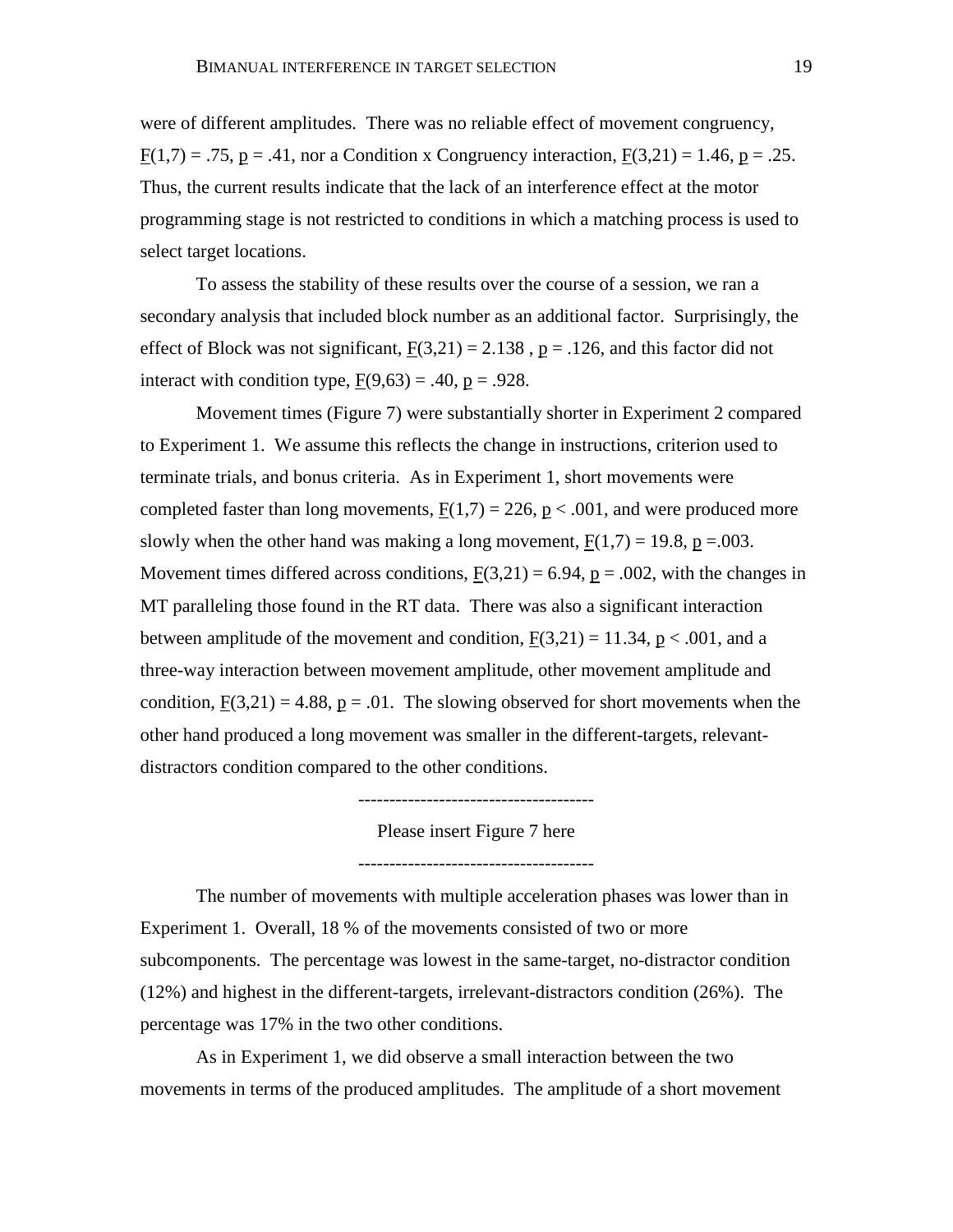were of different amplitudes. There was no reliable effect of movement congruency,  $F(1,7) = .75$ ,  $p = .41$ , nor a Condition x Congruency interaction,  $F(3,21) = 1.46$ ,  $p = .25$ . Thus, the current results indicate that the lack of an interference effect at the motor programming stage is not restricted to conditions in which a matching process is used to select target locations.

To assess the stability of these results over the course of a session, we ran a secondary analysis that included block number as an additional factor. Surprisingly, the effect of Block was not significant,  $F(3,21) = 2.138$ ,  $p = .126$ , and this factor did not interact with condition type,  $F(9,63) = .40$ ,  $p = .928$ .

Movement times (Figure 7) were substantially shorter in Experiment 2 compared to Experiment 1. We assume this reflects the change in instructions, criterion used to terminate trials, and bonus criteria. As in Experiment 1, short movements were completed faster than long movements,  $F(1,7) = 226$ ,  $p < .001$ , and were produced more slowly when the other hand was making a long movement,  $F(1,7) = 19.8$ , p = 0.003. Movement times differed across conditions,  $F(3,21) = 6.94$ ,  $p = .002$ , with the changes in MT paralleling those found in the RT data. There was also a significant interaction between amplitude of the movement and condition,  $F(3,21) = 11.34$ ,  $p < .001$ , and a three-way interaction between movement amplitude, other movement amplitude and condition,  $F(3,21) = 4.88$ ,  $p = .01$ . The slowing observed for short movements when the other hand produced a long movement was smaller in the different-targets, relevantdistractors condition compared to the other conditions.

--------------------------------------

Please insert Figure 7 here

--------------------------------------

The number of movements with multiple acceleration phases was lower than in Experiment 1. Overall, 18 % of the movements consisted of two or more subcomponents. The percentage was lowest in the same-target, no-distractor condition (12%) and highest in the different-targets, irrelevant-distractors condition (26%). The percentage was 17% in the two other conditions.

As in Experiment 1, we did observe a small interaction between the two movements in terms of the produced amplitudes. The amplitude of a short movement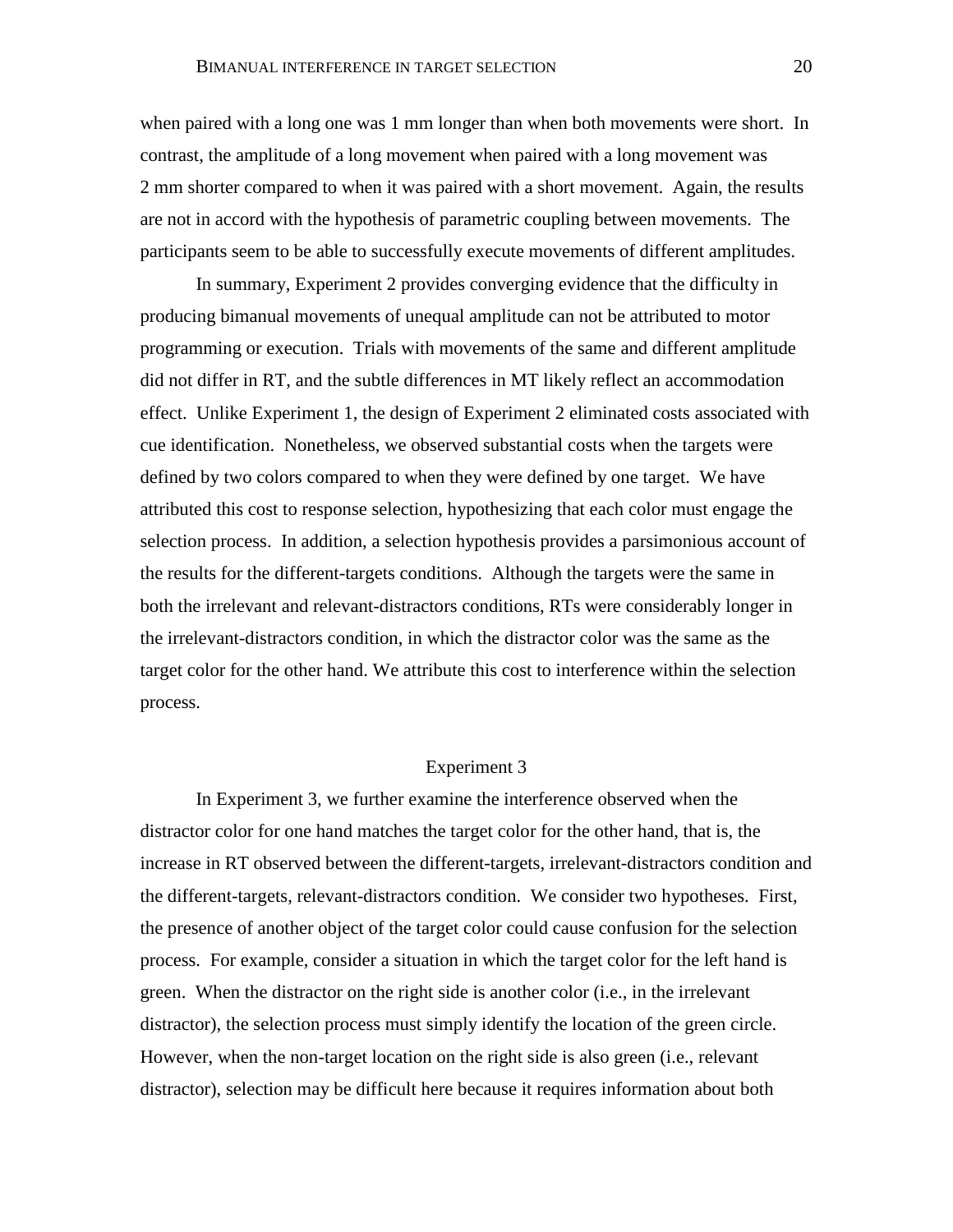when paired with a long one was 1 mm longer than when both movements were short. In contrast, the amplitude of a long movement when paired with a long movement was 2 mm shorter compared to when it was paired with a short movement. Again, the results are not in accord with the hypothesis of parametric coupling between movements. The participants seem to be able to successfully execute movements of different amplitudes.

In summary, Experiment 2 provides converging evidence that the difficulty in producing bimanual movements of unequal amplitude can not be attributed to motor programming or execution. Trials with movements of the same and different amplitude did not differ in RT, and the subtle differences in MT likely reflect an accommodation effect. Unlike Experiment 1, the design of Experiment 2 eliminated costs associated with cue identification. Nonetheless, we observed substantial costs when the targets were defined by two colors compared to when they were defined by one target. We have attributed this cost to response selection, hypothesizing that each color must engage the selection process. In addition, a selection hypothesis provides a parsimonious account of the results for the different-targets conditions. Although the targets were the same in both the irrelevant and relevant-distractors conditions, RTs were considerably longer in the irrelevant-distractors condition, in which the distractor color was the same as the target color for the other hand. We attribute this cost to interference within the selection process.

#### Experiment 3

In Experiment 3, we further examine the interference observed when the distractor color for one hand matches the target color for the other hand, that is, the increase in RT observed between the different-targets, irrelevant-distractors condition and the different-targets, relevant-distractors condition. We consider two hypotheses. First, the presence of another object of the target color could cause confusion for the selection process. For example, consider a situation in which the target color for the left hand is green. When the distractor on the right side is another color (i.e., in the irrelevant distractor), the selection process must simply identify the location of the green circle. However, when the non-target location on the right side is also green (i.e., relevant distractor), selection may be difficult here because it requires information about both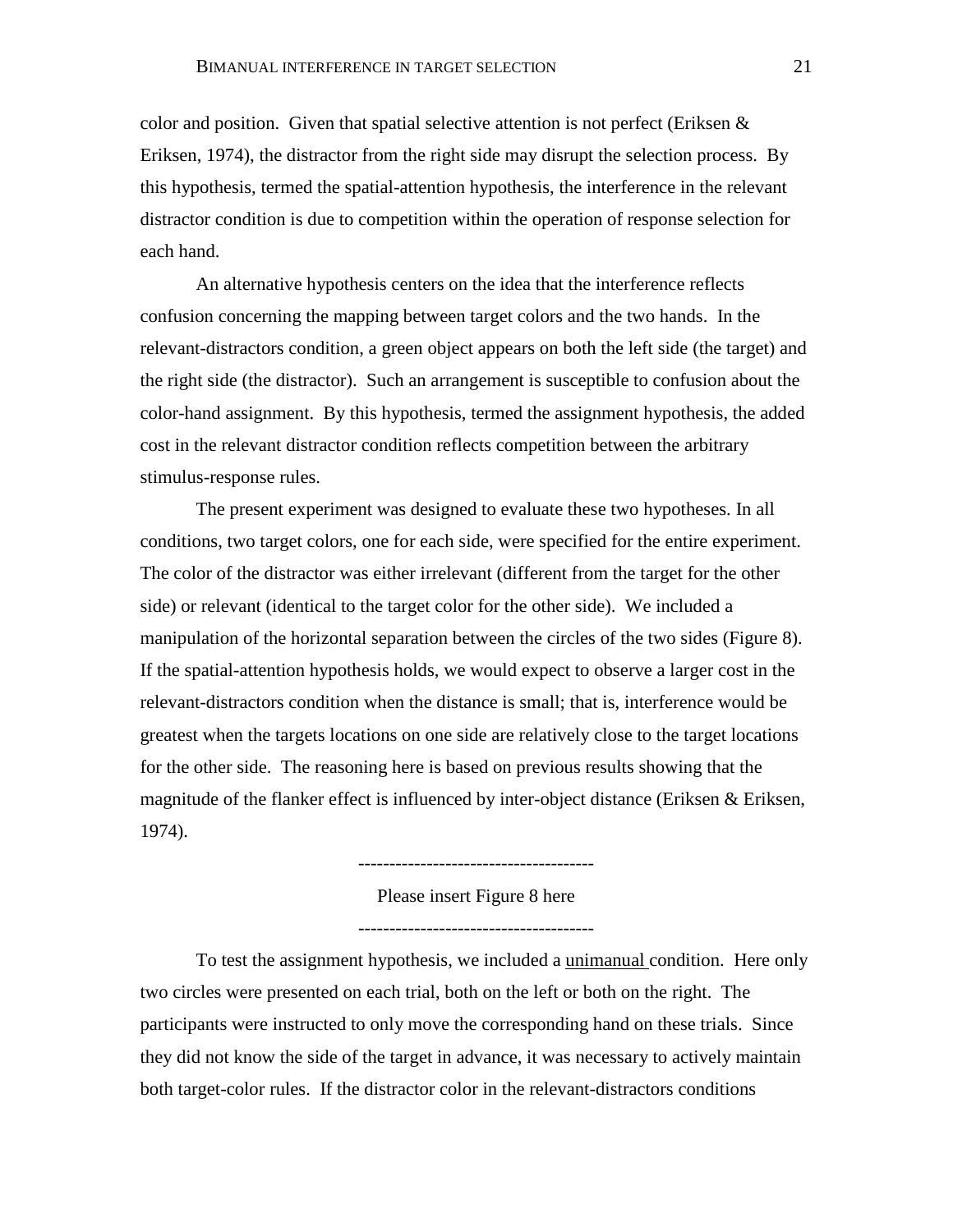color and position. Given that spatial selective attention is not perfect (Eriksen  $\&$ Eriksen, 1974), the distractor from the right side may disrupt the selection process. By this hypothesis, termed the spatial-attention hypothesis, the interference in the relevant distractor condition is due to competition within the operation of response selection for each hand.

An alternative hypothesis centers on the idea that the interference reflects confusion concerning the mapping between target colors and the two hands. In the relevant-distractors condition, a green object appears on both the left side (the target) and the right side (the distractor). Such an arrangement is susceptible to confusion about the color-hand assignment. By this hypothesis, termed the assignment hypothesis, the added cost in the relevant distractor condition reflects competition between the arbitrary stimulus-response rules.

The present experiment was designed to evaluate these two hypotheses. In all conditions, two target colors, one for each side, were specified for the entire experiment. The color of the distractor was either irrelevant (different from the target for the other side) or relevant (identical to the target color for the other side). We included a manipulation of the horizontal separation between the circles of the two sides (Figure 8). If the spatial-attention hypothesis holds, we would expect to observe a larger cost in the relevant-distractors condition when the distance is small; that is, interference would be greatest when the targets locations on one side are relatively close to the target locations for the other side. The reasoning here is based on previous results showing that the magnitude of the flanker effect is influenced by inter-object distance (Eriksen & Eriksen, 1974).

Please insert Figure 8 here

--------------------------------------

--------------------------------------

To test the assignment hypothesis, we included a unimanual condition. Here only two circles were presented on each trial, both on the left or both on the right. The participants were instructed to only move the corresponding hand on these trials. Since they did not know the side of the target in advance, it was necessary to actively maintain both target-color rules. If the distractor color in the relevant-distractors conditions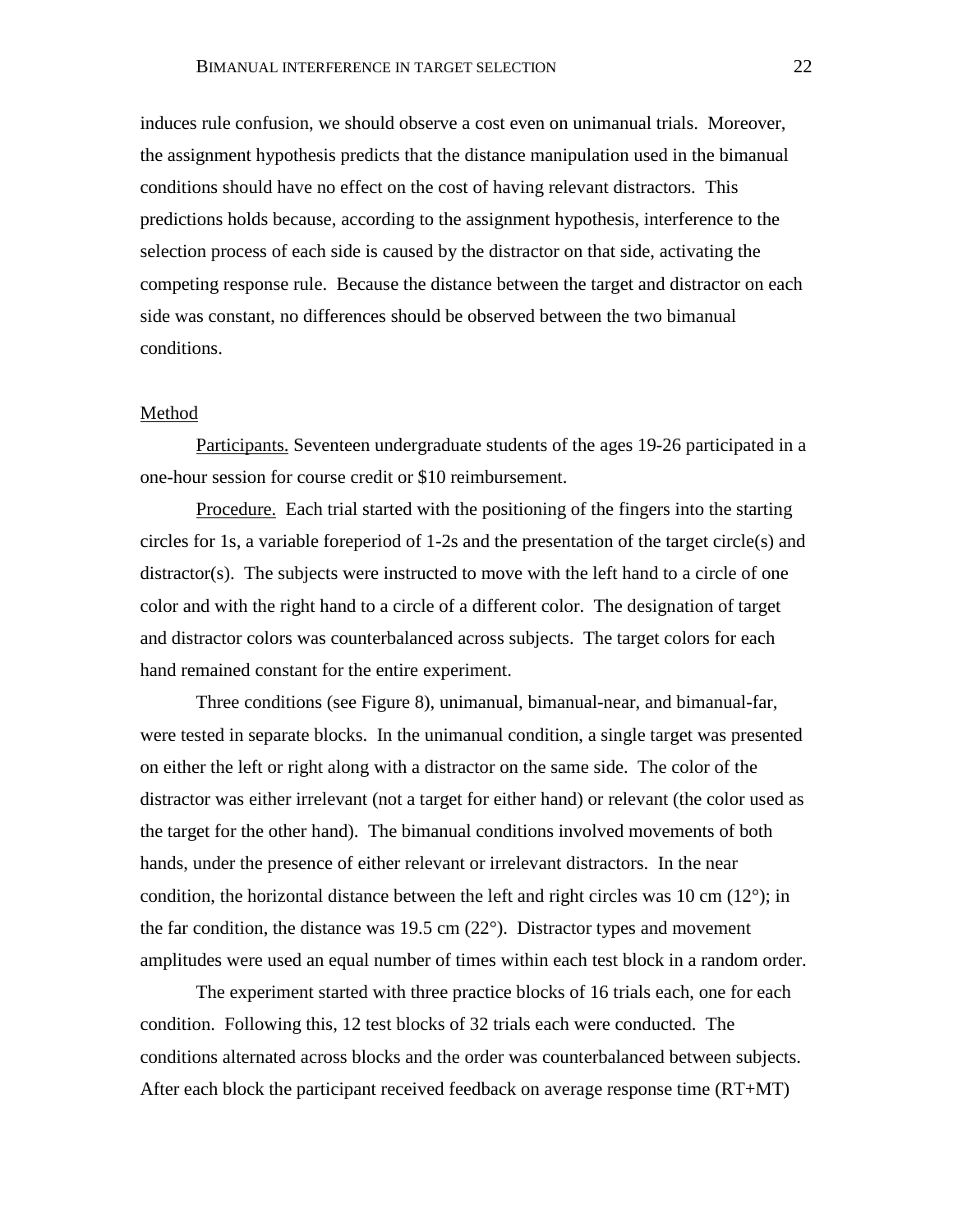induces rule confusion, we should observe a cost even on unimanual trials. Moreover, the assignment hypothesis predicts that the distance manipulation used in the bimanual conditions should have no effect on the cost of having relevant distractors. This predictions holds because, according to the assignment hypothesis, interference to the selection process of each side is caused by the distractor on that side, activating the competing response rule. Because the distance between the target and distractor on each side was constant, no differences should be observed between the two bimanual conditions.

### Method

Participants. Seventeen undergraduate students of the ages 19-26 participated in a one-hour session for course credit or \$10 reimbursement.

Procedure. Each trial started with the positioning of the fingers into the starting circles for 1s, a variable foreperiod of 1-2s and the presentation of the target circle(s) and distractor(s). The subjects were instructed to move with the left hand to a circle of one color and with the right hand to a circle of a different color. The designation of target and distractor colors was counterbalanced across subjects. The target colors for each hand remained constant for the entire experiment.

Three conditions (see Figure 8), unimanual, bimanual-near, and bimanual-far, were tested in separate blocks. In the unimanual condition, a single target was presented on either the left or right along with a distractor on the same side. The color of the distractor was either irrelevant (not a target for either hand) or relevant (the color used as the target for the other hand). The bimanual conditions involved movements of both hands, under the presence of either relevant or irrelevant distractors. In the near condition, the horizontal distance between the left and right circles was 10 cm  $(12^{\circ})$ ; in the far condition, the distance was 19.5 cm  $(22^{\circ})$ . Distractor types and movement amplitudes were used an equal number of times within each test block in a random order.

The experiment started with three practice blocks of 16 trials each, one for each condition. Following this, 12 test blocks of 32 trials each were conducted. The conditions alternated across blocks and the order was counterbalanced between subjects. After each block the participant received feedback on average response time (RT+MT)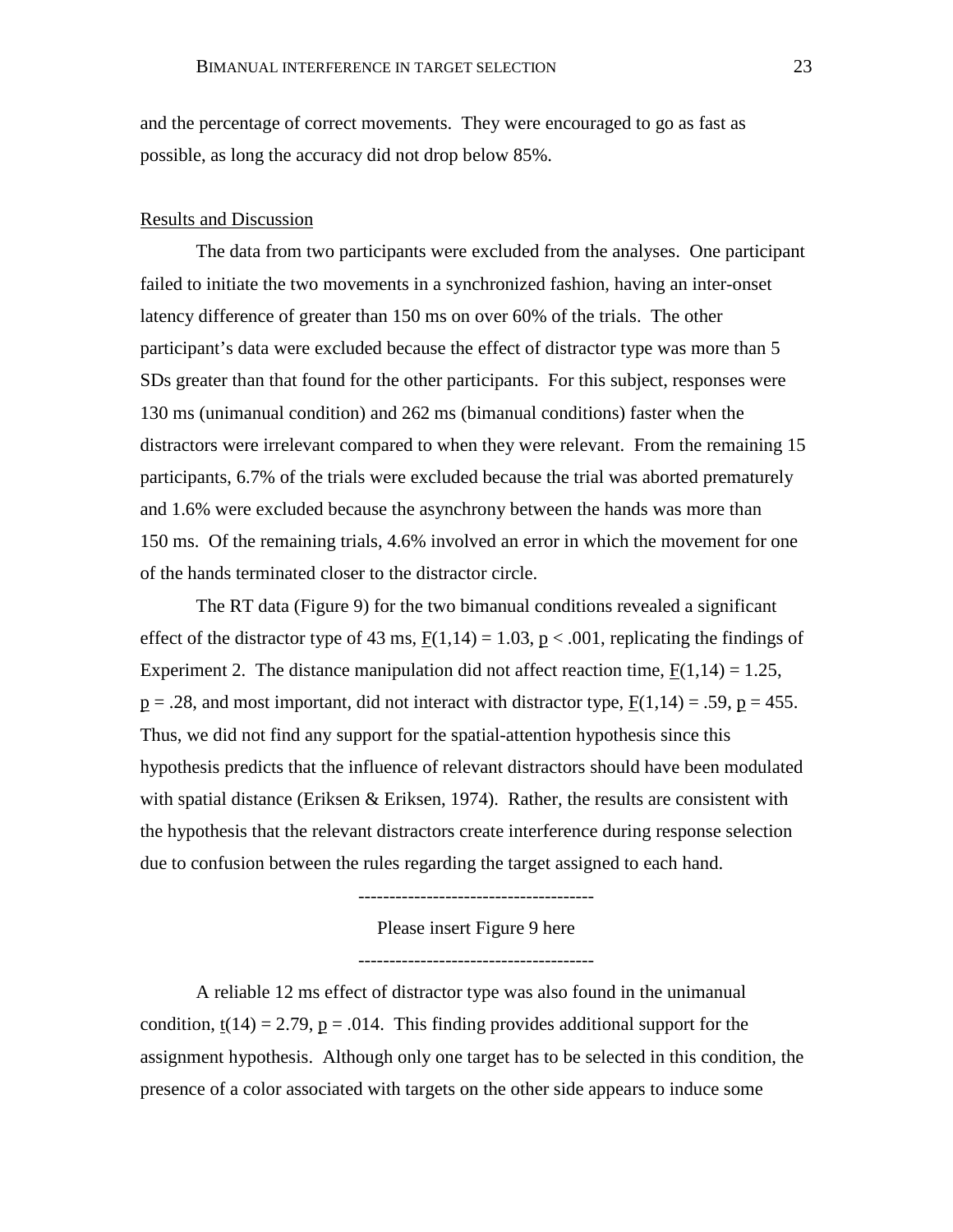and the percentage of correct movements. They were encouraged to go as fast as possible, as long the accuracy did not drop below 85%.

### Results and Discussion

The data from two participants were excluded from the analyses. One participant failed to initiate the two movements in a synchronized fashion, having an inter-onset latency difference of greater than 150 ms on over 60% of the trials. The other participant's data were excluded because the effect of distractor type was more than 5 SDs greater than that found for the other participants. For this subject, responses were 130 ms (unimanual condition) and 262 ms (bimanual conditions) faster when the distractors were irrelevant compared to when they were relevant. From the remaining 15 participants, 6.7% of the trials were excluded because the trial was aborted prematurely and 1.6% were excluded because the asynchrony between the hands was more than 150 ms. Of the remaining trials, 4.6% involved an error in which the movement for one of the hands terminated closer to the distractor circle.

The RT data (Figure 9) for the two bimanual conditions revealed a significant effect of the distractor type of 43 ms,  $F(1,14) = 1.03$ ,  $p < .001$ , replicating the findings of Experiment 2. The distance manipulation did not affect reaction time,  $F(1,14) = 1.25$ ,  $p = .28$ , and most important, did not interact with distractor type,  $F(1,14) = .59$ ,  $p = 455$ . Thus, we did not find any support for the spatial-attention hypothesis since this hypothesis predicts that the influence of relevant distractors should have been modulated with spatial distance (Eriksen & Eriksen, 1974). Rather, the results are consistent with the hypothesis that the relevant distractors create interference during response selection due to confusion between the rules regarding the target assigned to each hand.

> Please insert Figure 9 here --------------------------------------

> --------------------------------------

A reliable 12 ms effect of distractor type was also found in the unimanual condition,  $\underline{t}(14) = 2.79$ ,  $\underline{p} = .014$ . This finding provides additional support for the assignment hypothesis. Although only one target has to be selected in this condition, the presence of a color associated with targets on the other side appears to induce some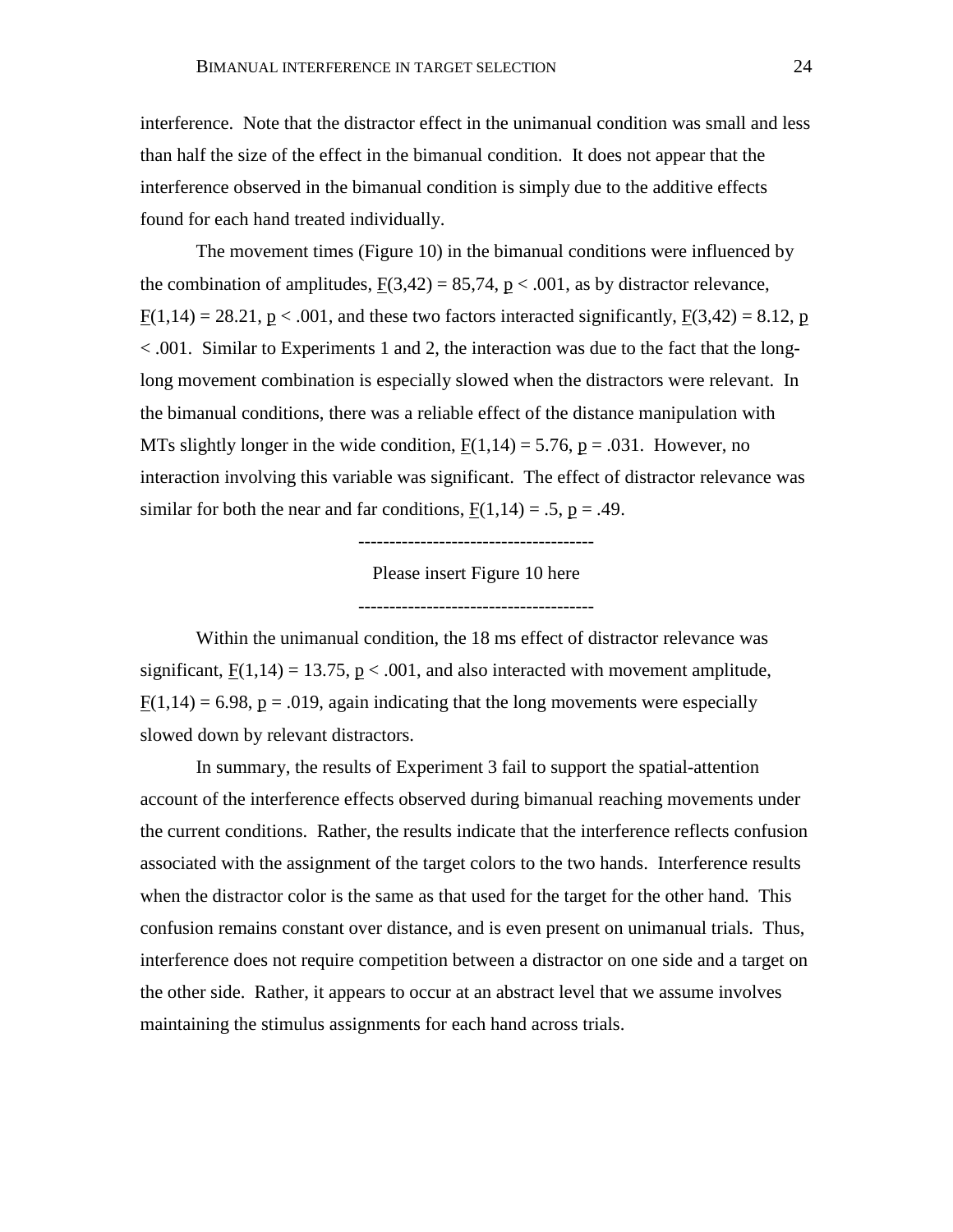interference. Note that the distractor effect in the unimanual condition was small and less than half the size of the effect in the bimanual condition. It does not appear that the interference observed in the bimanual condition is simply due to the additive effects found for each hand treated individually.

The movement times (Figure 10) in the bimanual conditions were influenced by the combination of amplitudes,  $F(3,42) = 85,74$ ,  $p < .001$ , as by distractor relevance,  $F(1,14) = 28.21$ ,  $p < .001$ , and these two factors interacted significantly,  $F(3,42) = 8.12$ , p < .001. Similar to Experiments 1 and 2, the interaction was due to the fact that the longlong movement combination is especially slowed when the distractors were relevant. In the bimanual conditions, there was a reliable effect of the distance manipulation with MTs slightly longer in the wide condition,  $F(1,14) = 5.76$ ,  $p = .031$ . However, no interaction involving this variable was significant. The effect of distractor relevance was similar for both the near and far conditions,  $F(1,14) = .5$ ,  $p = .49$ .

--------------------------------------

Please insert Figure 10 here

--------------------------------------

Within the unimanual condition, the 18 ms effect of distractor relevance was significant,  $F(1,14) = 13.75$ ,  $p < .001$ , and also interacted with movement amplitude,  $F(1,14) = 6.98$ ,  $p = .019$ , again indicating that the long movements were especially slowed down by relevant distractors.

In summary, the results of Experiment 3 fail to support the spatial-attention account of the interference effects observed during bimanual reaching movements under the current conditions. Rather, the results indicate that the interference reflects confusion associated with the assignment of the target colors to the two hands. Interference results when the distractor color is the same as that used for the target for the other hand. This confusion remains constant over distance, and is even present on unimanual trials. Thus, interference does not require competition between a distractor on one side and a target on the other side. Rather, it appears to occur at an abstract level that we assume involves maintaining the stimulus assignments for each hand across trials.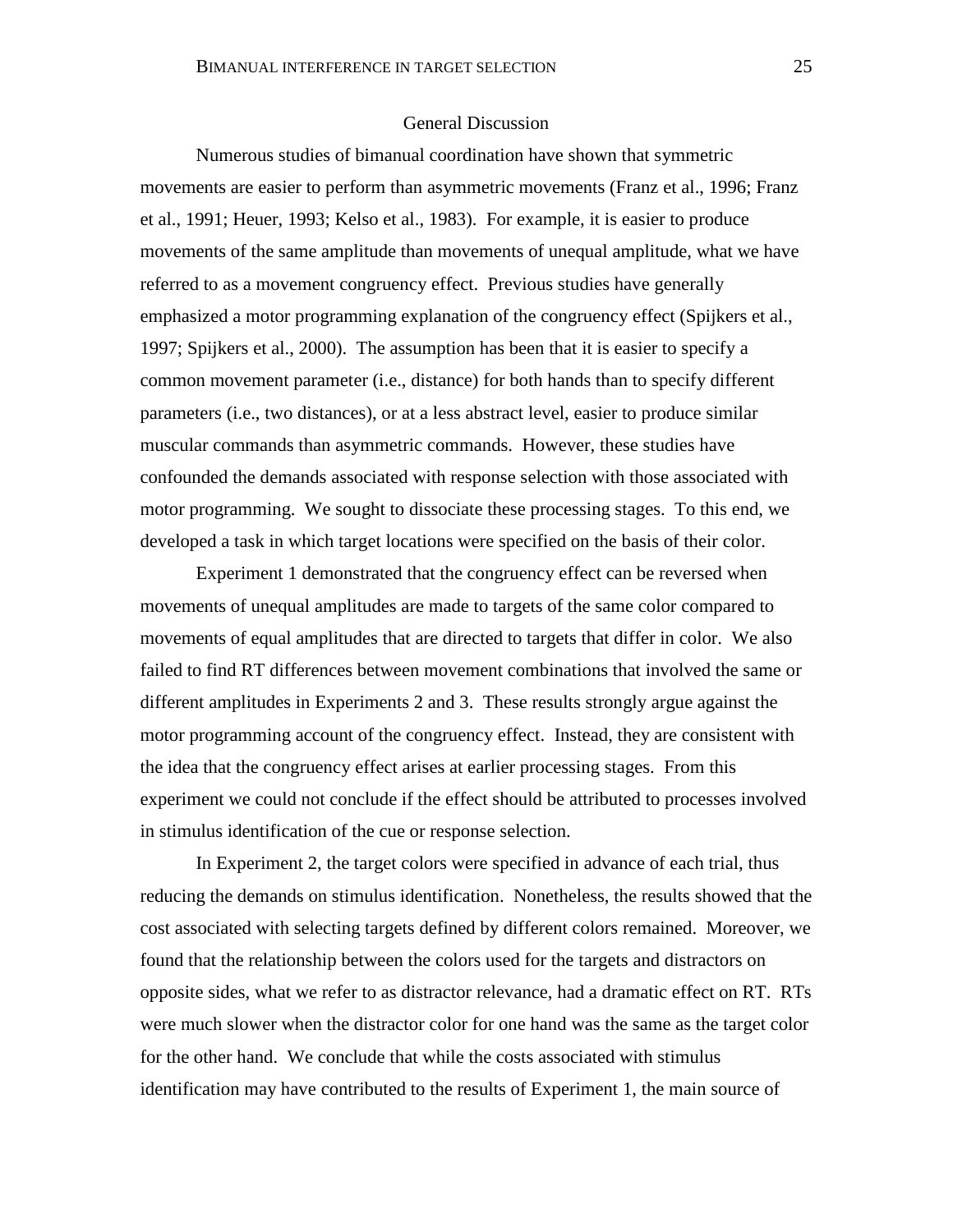## General Discussion

Numerous studies of bimanual coordination have shown that symmetric movements are easier to perform than asymmetric movements (Franz et al., 1996; Franz et al., 1991; Heuer, 1993; Kelso et al., 1983). For example, it is easier to produce movements of the same amplitude than movements of unequal amplitude, what we have referred to as a movement congruency effect. Previous studies have generally emphasized a motor programming explanation of the congruency effect (Spijkers et al., 1997; Spijkers et al., 2000). The assumption has been that it is easier to specify a common movement parameter (i.e., distance) for both hands than to specify different parameters (i.e., two distances), or at a less abstract level, easier to produce similar muscular commands than asymmetric commands. However, these studies have confounded the demands associated with response selection with those associated with motor programming. We sought to dissociate these processing stages. To this end, we developed a task in which target locations were specified on the basis of their color.

Experiment 1 demonstrated that the congruency effect can be reversed when movements of unequal amplitudes are made to targets of the same color compared to movements of equal amplitudes that are directed to targets that differ in color. We also failed to find RT differences between movement combinations that involved the same or different amplitudes in Experiments 2 and 3. These results strongly argue against the motor programming account of the congruency effect. Instead, they are consistent with the idea that the congruency effect arises at earlier processing stages. From this experiment we could not conclude if the effect should be attributed to processes involved in stimulus identification of the cue or response selection.

In Experiment 2, the target colors were specified in advance of each trial, thus reducing the demands on stimulus identification. Nonetheless, the results showed that the cost associated with selecting targets defined by different colors remained. Moreover, we found that the relationship between the colors used for the targets and distractors on opposite sides, what we refer to as distractor relevance, had a dramatic effect on RT. RTs were much slower when the distractor color for one hand was the same as the target color for the other hand. We conclude that while the costs associated with stimulus identification may have contributed to the results of Experiment 1, the main source of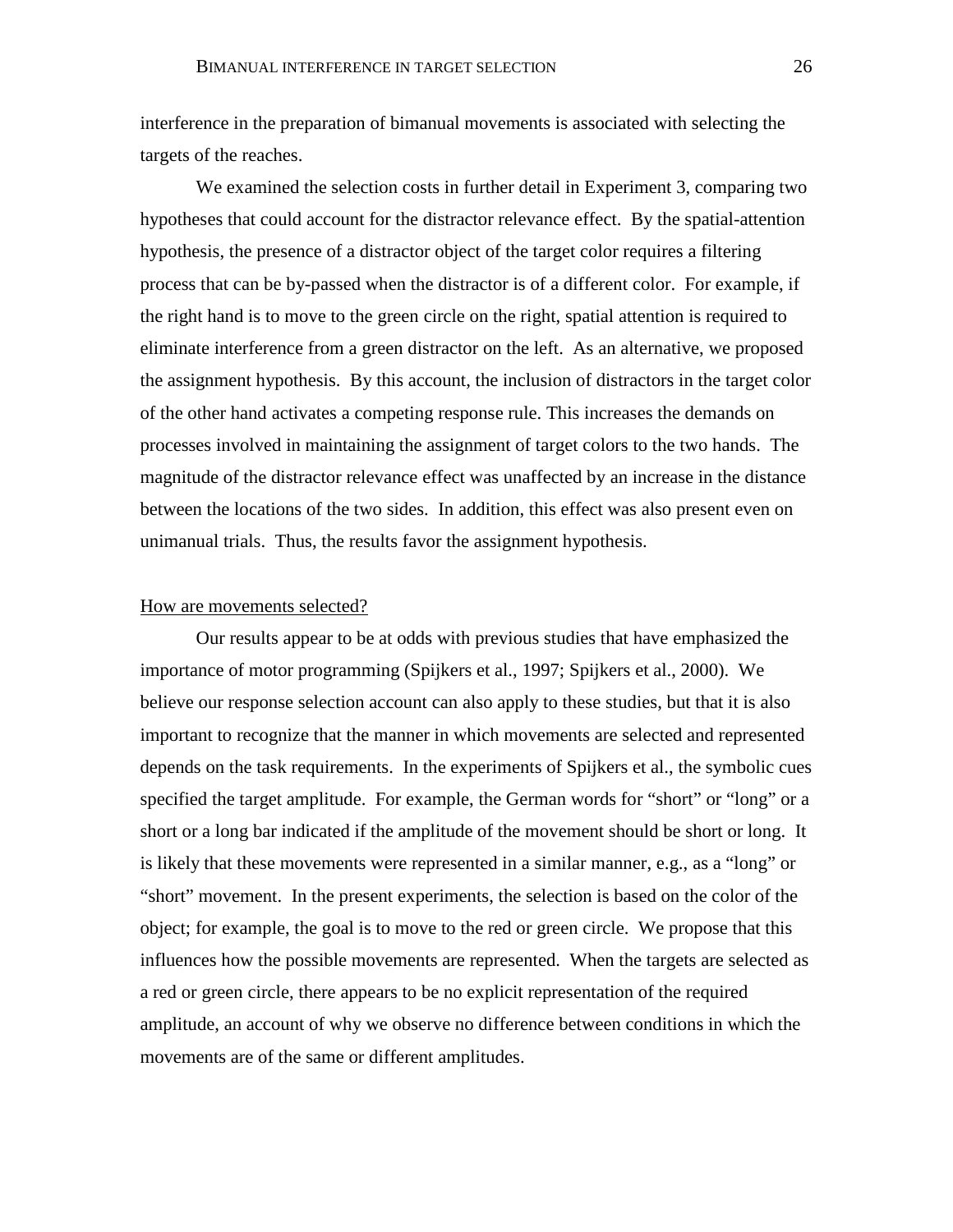interference in the preparation of bimanual movements is associated with selecting the targets of the reaches.

We examined the selection costs in further detail in Experiment 3, comparing two hypotheses that could account for the distractor relevance effect. By the spatial-attention hypothesis, the presence of a distractor object of the target color requires a filtering process that can be by-passed when the distractor is of a different color. For example, if the right hand is to move to the green circle on the right, spatial attention is required to eliminate interference from a green distractor on the left. As an alternative, we proposed the assignment hypothesis. By this account, the inclusion of distractors in the target color of the other hand activates a competing response rule. This increases the demands on processes involved in maintaining the assignment of target colors to the two hands. The magnitude of the distractor relevance effect was unaffected by an increase in the distance between the locations of the two sides. In addition, this effect was also present even on unimanual trials. Thus, the results favor the assignment hypothesis.

#### How are movements selected?

Our results appear to be at odds with previous studies that have emphasized the importance of motor programming (Spijkers et al., 1997; Spijkers et al., 2000). We believe our response selection account can also apply to these studies, but that it is also important to recognize that the manner in which movements are selected and represented depends on the task requirements. In the experiments of Spijkers et al., the symbolic cues specified the target amplitude. For example, the German words for "short" or "long" or a short or a long bar indicated if the amplitude of the movement should be short or long. It is likely that these movements were represented in a similar manner, e.g., as a "long" or "short" movement. In the present experiments, the selection is based on the color of the object; for example, the goal is to move to the red or green circle. We propose that this influences how the possible movements are represented. When the targets are selected as a red or green circle, there appears to be no explicit representation of the required amplitude, an account of why we observe no difference between conditions in which the movements are of the same or different amplitudes.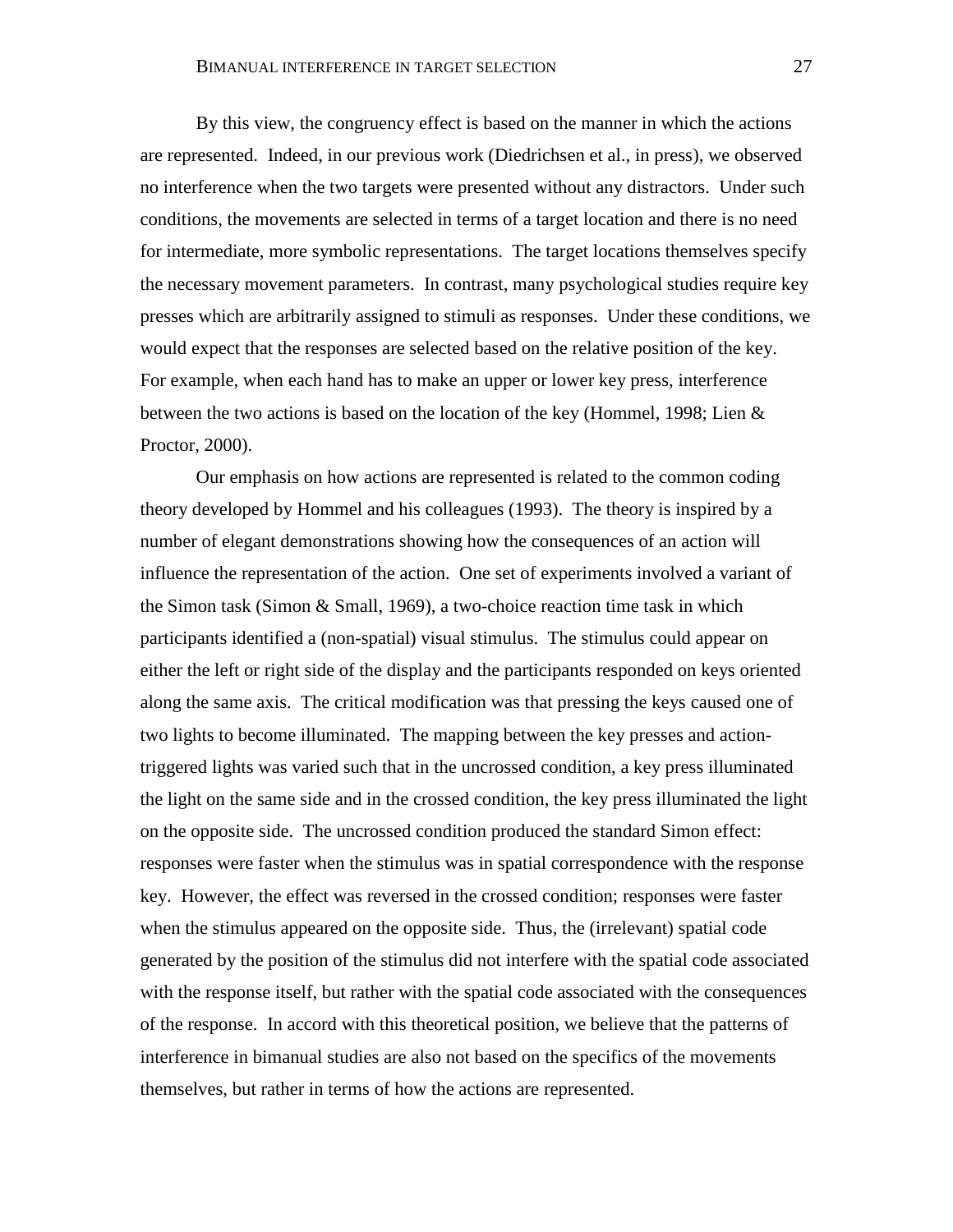By this view, the congruency effect is based on the manner in which the actions are represented. Indeed, in our previous work (Diedrichsen et al., in press), we observed no interference when the two targets were presented without any distractors. Under such conditions, the movements are selected in terms of a target location and there is no need for intermediate, more symbolic representations. The target locations themselves specify the necessary movement parameters. In contrast, many psychological studies require key presses which are arbitrarily assigned to stimuli as responses. Under these conditions, we would expect that the responses are selected based on the relative position of the key. For example, when each hand has to make an upper or lower key press, interference between the two actions is based on the location of the key (Hommel, 1998; Lien  $\&$ Proctor, 2000).

Our emphasis on how actions are represented is related to the common coding theory developed by Hommel and his colleagues (1993). The theory is inspired by a number of elegant demonstrations showing how the consequences of an action will influence the representation of the action. One set of experiments involved a variant of the Simon task (Simon & Small, 1969), a two-choice reaction time task in which participants identified a (non-spatial) visual stimulus. The stimulus could appear on either the left or right side of the display and the participants responded on keys oriented along the same axis. The critical modification was that pressing the keys caused one of two lights to become illuminated. The mapping between the key presses and actiontriggered lights was varied such that in the uncrossed condition, a key press illuminated the light on the same side and in the crossed condition, the key press illuminated the light on the opposite side. The uncrossed condition produced the standard Simon effect: responses were faster when the stimulus was in spatial correspondence with the response key. However, the effect was reversed in the crossed condition; responses were faster when the stimulus appeared on the opposite side. Thus, the (irrelevant) spatial code generated by the position of the stimulus did not interfere with the spatial code associated with the response itself, but rather with the spatial code associated with the consequences of the response. In accord with this theoretical position, we believe that the patterns of interference in bimanual studies are also not based on the specifics of the movements themselves, but rather in terms of how the actions are represented.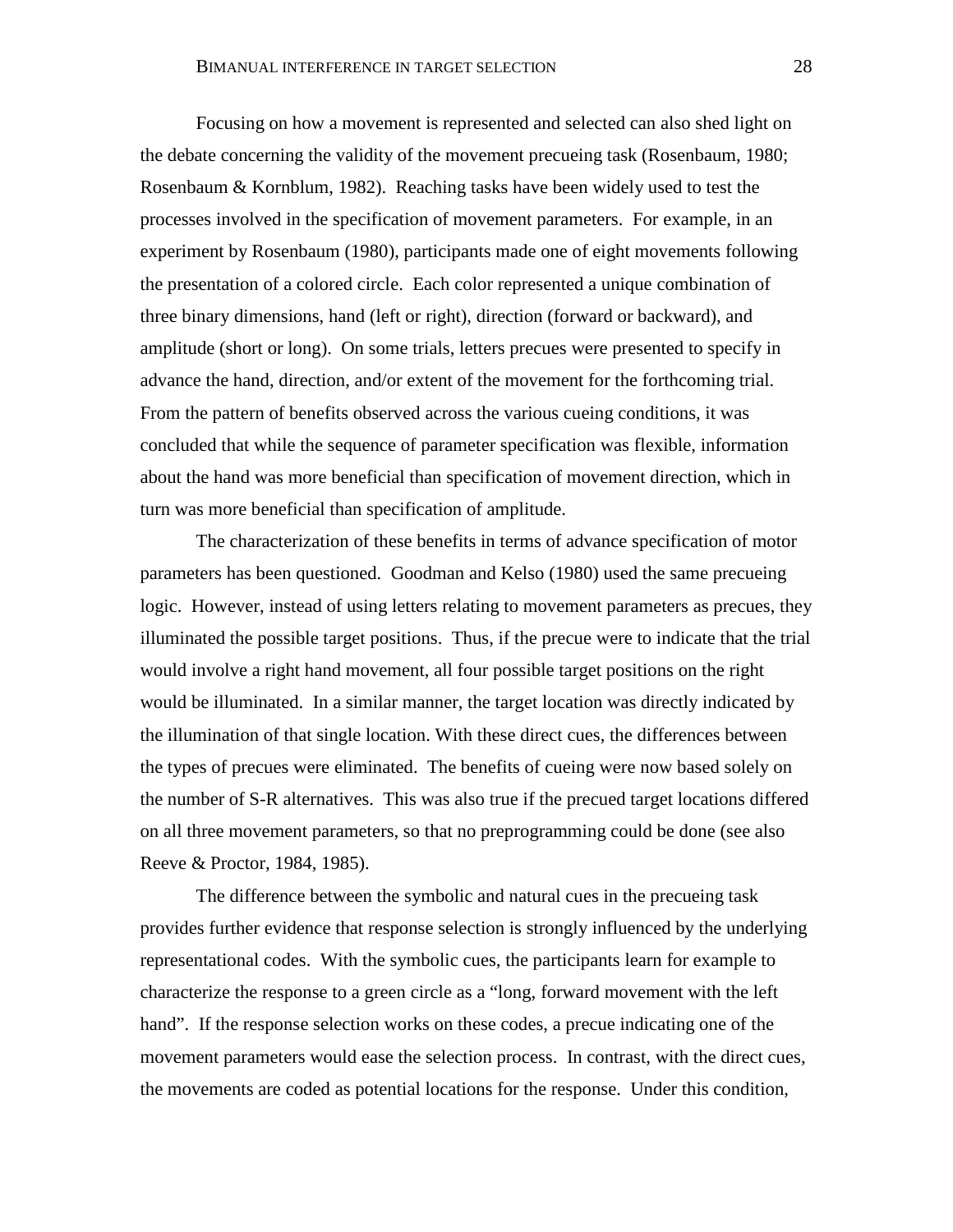Focusing on how a movement is represented and selected can also shed light on the debate concerning the validity of the movement precueing task (Rosenbaum, 1980; Rosenbaum & Kornblum, 1982). Reaching tasks have been widely used to test the processes involved in the specification of movement parameters. For example, in an experiment by Rosenbaum (1980), participants made one of eight movements following the presentation of a colored circle. Each color represented a unique combination of three binary dimensions, hand (left or right), direction (forward or backward), and amplitude (short or long). On some trials, letters precues were presented to specify in advance the hand, direction, and/or extent of the movement for the forthcoming trial. From the pattern of benefits observed across the various cueing conditions, it was concluded that while the sequence of parameter specification was flexible, information about the hand was more beneficial than specification of movement direction, which in turn was more beneficial than specification of amplitude.

The characterization of these benefits in terms of advance specification of motor parameters has been questioned. Goodman and Kelso (1980) used the same precueing logic. However, instead of using letters relating to movement parameters as precues, they illuminated the possible target positions. Thus, if the precue were to indicate that the trial would involve a right hand movement, all four possible target positions on the right would be illuminated. In a similar manner, the target location was directly indicated by the illumination of that single location. With these direct cues, the differences between the types of precues were eliminated. The benefits of cueing were now based solely on the number of S-R alternatives. This was also true if the precued target locations differed on all three movement parameters, so that no preprogramming could be done (see also Reeve & Proctor, 1984, 1985).

The difference between the symbolic and natural cues in the precueing task provides further evidence that response selection is strongly influenced by the underlying representational codes. With the symbolic cues, the participants learn for example to characterize the response to a green circle as a "long, forward movement with the left hand". If the response selection works on these codes, a precue indicating one of the movement parameters would ease the selection process. In contrast, with the direct cues, the movements are coded as potential locations for the response. Under this condition,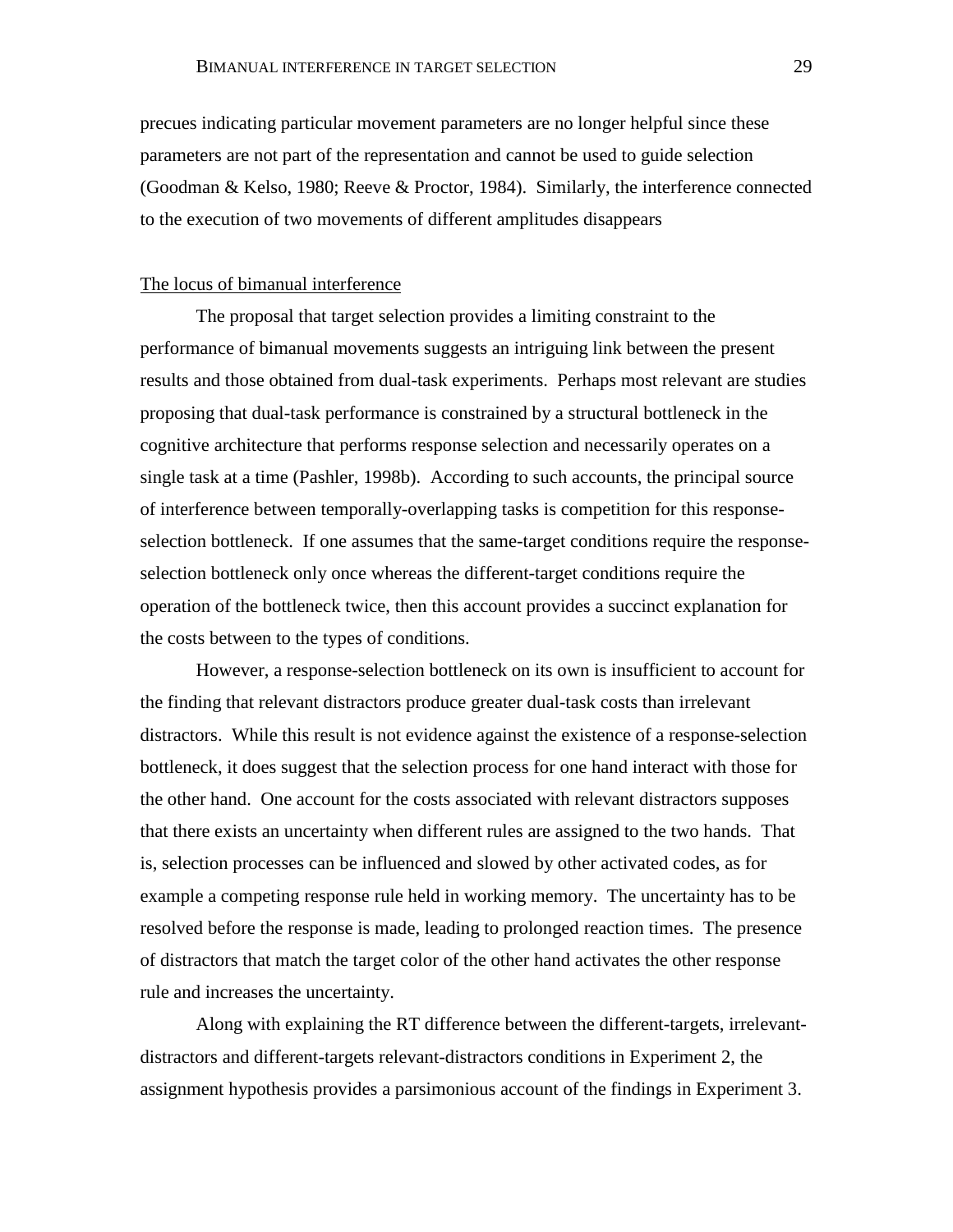precues indicating particular movement parameters are no longer helpful since these parameters are not part of the representation and cannot be used to guide selection (Goodman & Kelso, 1980; Reeve & Proctor, 1984). Similarly, the interference connected to the execution of two movements of different amplitudes disappears

## The locus of bimanual interference

The proposal that target selection provides a limiting constraint to the performance of bimanual movements suggests an intriguing link between the present results and those obtained from dual-task experiments. Perhaps most relevant are studies proposing that dual-task performance is constrained by a structural bottleneck in the cognitive architecture that performs response selection and necessarily operates on a single task at a time (Pashler, 1998b). According to such accounts, the principal source of interference between temporally-overlapping tasks is competition for this responseselection bottleneck. If one assumes that the same-target conditions require the responseselection bottleneck only once whereas the different-target conditions require the operation of the bottleneck twice, then this account provides a succinct explanation for the costs between to the types of conditions.

However, a response-selection bottleneck on its own is insufficient to account for the finding that relevant distractors produce greater dual-task costs than irrelevant distractors. While this result is not evidence against the existence of a response-selection bottleneck, it does suggest that the selection process for one hand interact with those for the other hand. One account for the costs associated with relevant distractors supposes that there exists an uncertainty when different rules are assigned to the two hands. That is, selection processes can be influenced and slowed by other activated codes, as for example a competing response rule held in working memory. The uncertainty has to be resolved before the response is made, leading to prolonged reaction times. The presence of distractors that match the target color of the other hand activates the other response rule and increases the uncertainty.

Along with explaining the RT difference between the different-targets, irrelevantdistractors and different-targets relevant-distractors conditions in Experiment 2, the assignment hypothesis provides a parsimonious account of the findings in Experiment 3.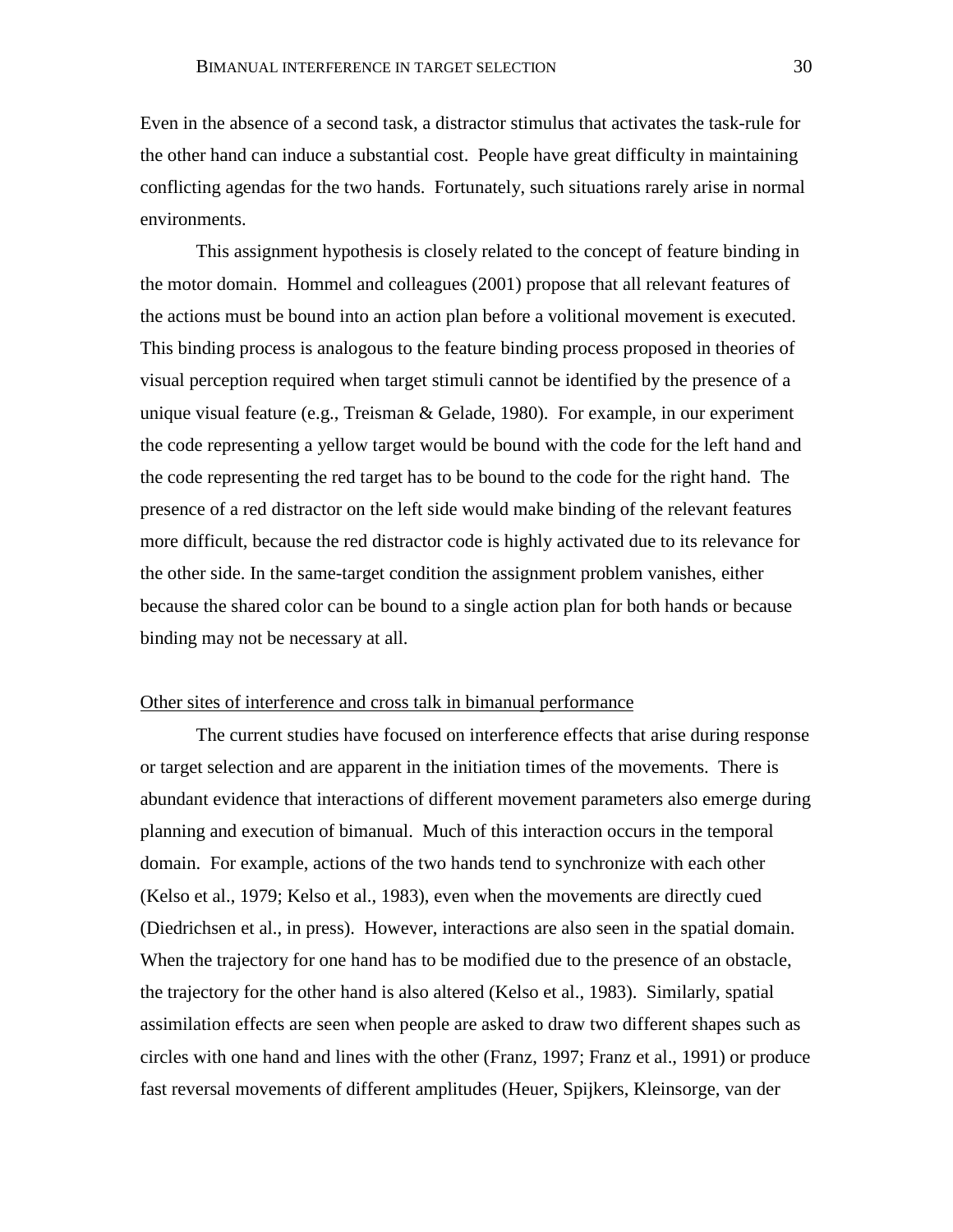Even in the absence of a second task, a distractor stimulus that activates the task-rule for the other hand can induce a substantial cost. People have great difficulty in maintaining conflicting agendas for the two hands. Fortunately, such situations rarely arise in normal environments.

This assignment hypothesis is closely related to the concept of feature binding in the motor domain. Hommel and colleagues (2001) propose that all relevant features of the actions must be bound into an action plan before a volitional movement is executed. This binding process is analogous to the feature binding process proposed in theories of visual perception required when target stimuli cannot be identified by the presence of a unique visual feature (e.g., Treisman & Gelade, 1980). For example, in our experiment the code representing a yellow target would be bound with the code for the left hand and the code representing the red target has to be bound to the code for the right hand. The presence of a red distractor on the left side would make binding of the relevant features more difficult, because the red distractor code is highly activated due to its relevance for the other side. In the same-target condition the assignment problem vanishes, either because the shared color can be bound to a single action plan for both hands or because binding may not be necessary at all.

# Other sites of interference and cross talk in bimanual performance

The current studies have focused on interference effects that arise during response or target selection and are apparent in the initiation times of the movements. There is abundant evidence that interactions of different movement parameters also emerge during planning and execution of bimanual. Much of this interaction occurs in the temporal domain. For example, actions of the two hands tend to synchronize with each other (Kelso et al., 1979; Kelso et al., 1983), even when the movements are directly cued (Diedrichsen et al., in press). However, interactions are also seen in the spatial domain. When the trajectory for one hand has to be modified due to the presence of an obstacle, the trajectory for the other hand is also altered (Kelso et al., 1983). Similarly, spatial assimilation effects are seen when people are asked to draw two different shapes such as circles with one hand and lines with the other (Franz, 1997; Franz et al., 1991) or produce fast reversal movements of different amplitudes (Heuer, Spijkers, Kleinsorge, van der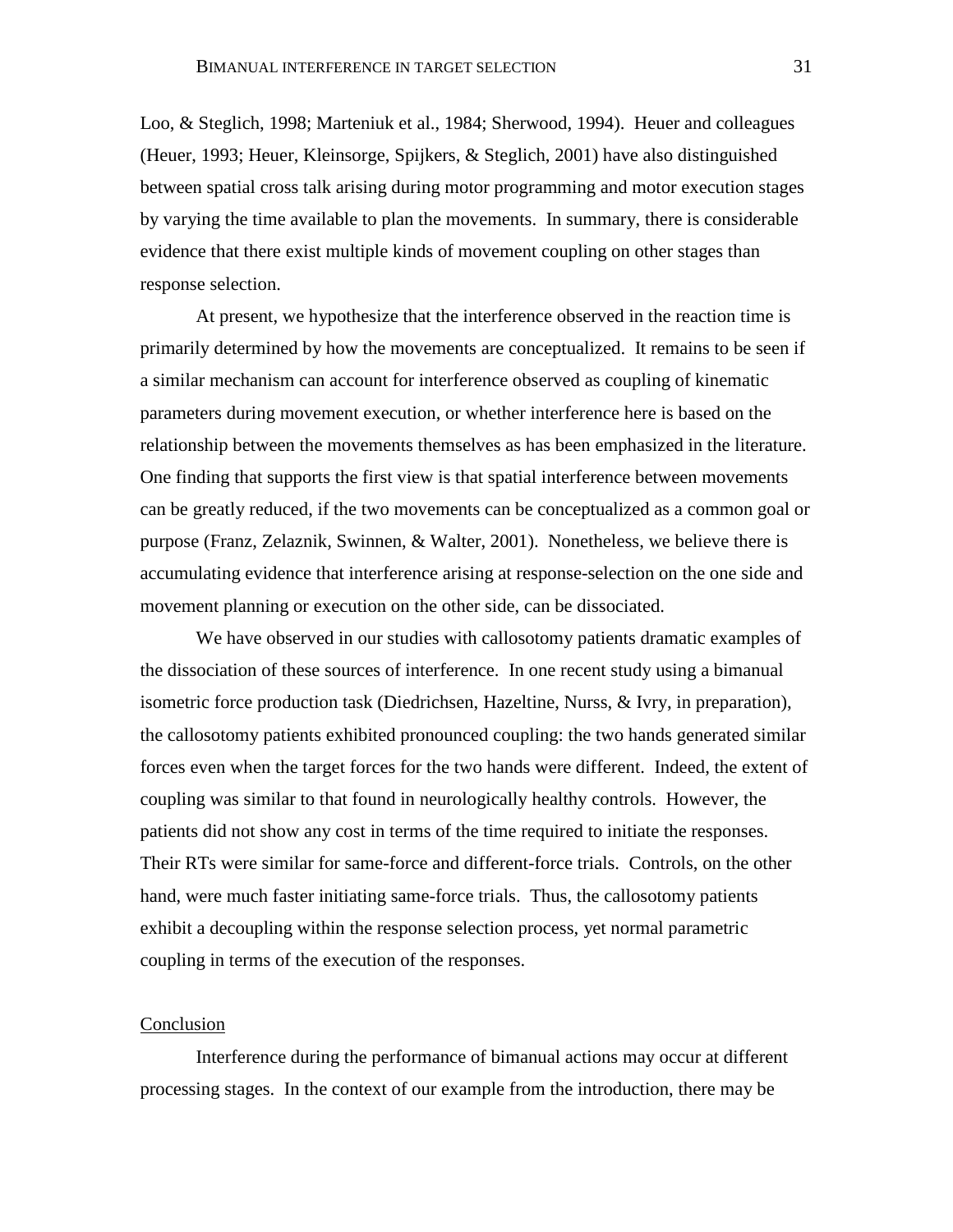Loo, & Steglich, 1998; Marteniuk et al., 1984; Sherwood, 1994). Heuer and colleagues (Heuer, 1993; Heuer, Kleinsorge, Spijkers, & Steglich, 2001) have also distinguished between spatial cross talk arising during motor programming and motor execution stages by varying the time available to plan the movements. In summary, there is considerable evidence that there exist multiple kinds of movement coupling on other stages than response selection.

At present, we hypothesize that the interference observed in the reaction time is primarily determined by how the movements are conceptualized. It remains to be seen if a similar mechanism can account for interference observed as coupling of kinematic parameters during movement execution, or whether interference here is based on the relationship between the movements themselves as has been emphasized in the literature. One finding that supports the first view is that spatial interference between movements can be greatly reduced, if the two movements can be conceptualized as a common goal or purpose (Franz, Zelaznik, Swinnen, & Walter, 2001). Nonetheless, we believe there is accumulating evidence that interference arising at response-selection on the one side and movement planning or execution on the other side, can be dissociated.

We have observed in our studies with callosotomy patients dramatic examples of the dissociation of these sources of interference. In one recent study using a bimanual isometric force production task (Diedrichsen, Hazeltine, Nurss, & Ivry, in preparation), the callosotomy patients exhibited pronounced coupling: the two hands generated similar forces even when the target forces for the two hands were different. Indeed, the extent of coupling was similar to that found in neurologically healthy controls. However, the patients did not show any cost in terms of the time required to initiate the responses. Their RTs were similar for same-force and different-force trials. Controls, on the other hand, were much faster initiating same-force trials. Thus, the callosotomy patients exhibit a decoupling within the response selection process, yet normal parametric coupling in terms of the execution of the responses.

#### Conclusion

Interference during the performance of bimanual actions may occur at different processing stages. In the context of our example from the introduction, there may be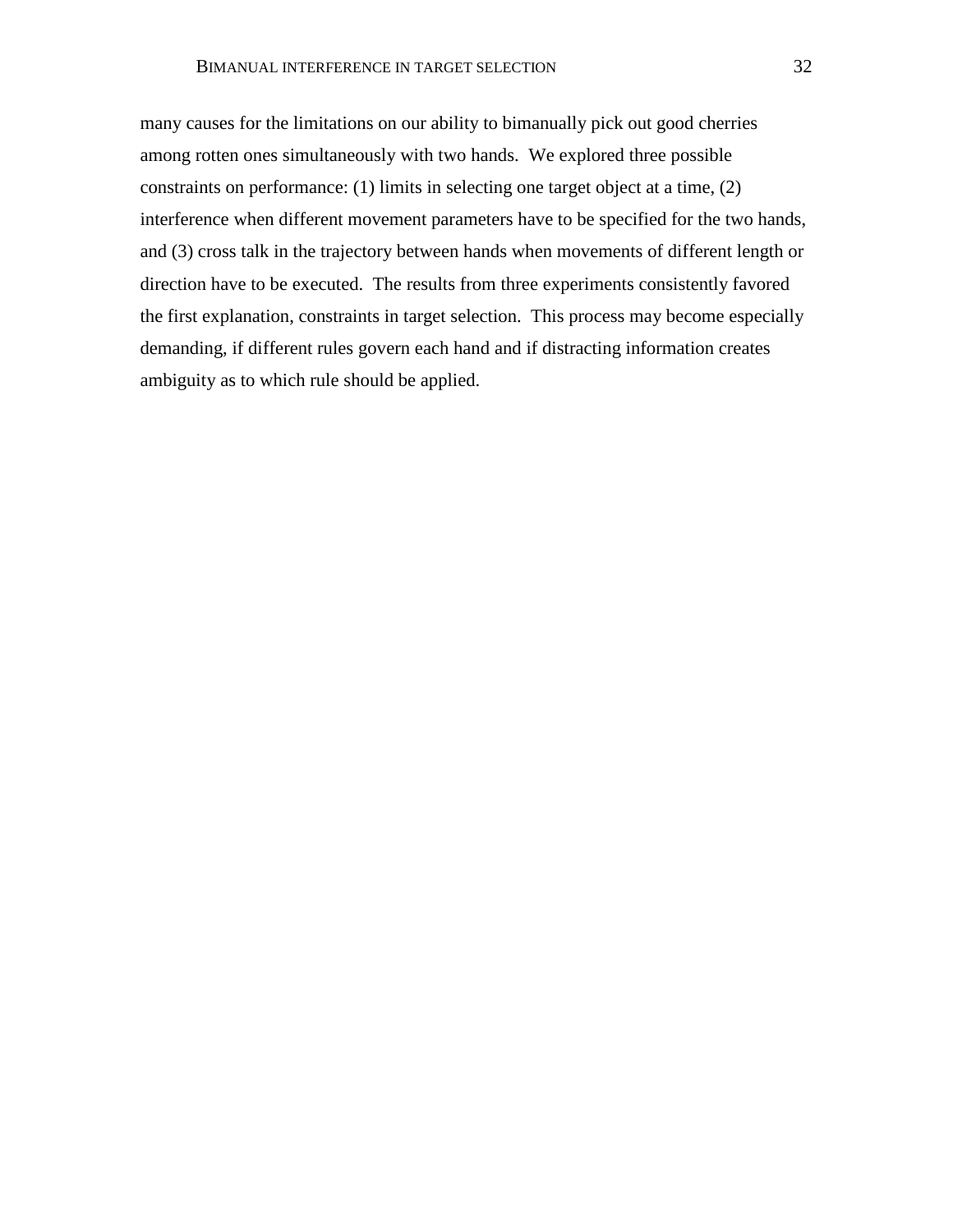many causes for the limitations on our ability to bimanually pick out good cherries among rotten ones simultaneously with two hands. We explored three possible constraints on performance: (1) limits in selecting one target object at a time, (2) interference when different movement parameters have to be specified for the two hands, and (3) cross talk in the trajectory between hands when movements of different length or direction have to be executed. The results from three experiments consistently favored the first explanation, constraints in target selection. This process may become especially demanding, if different rules govern each hand and if distracting information creates ambiguity as to which rule should be applied.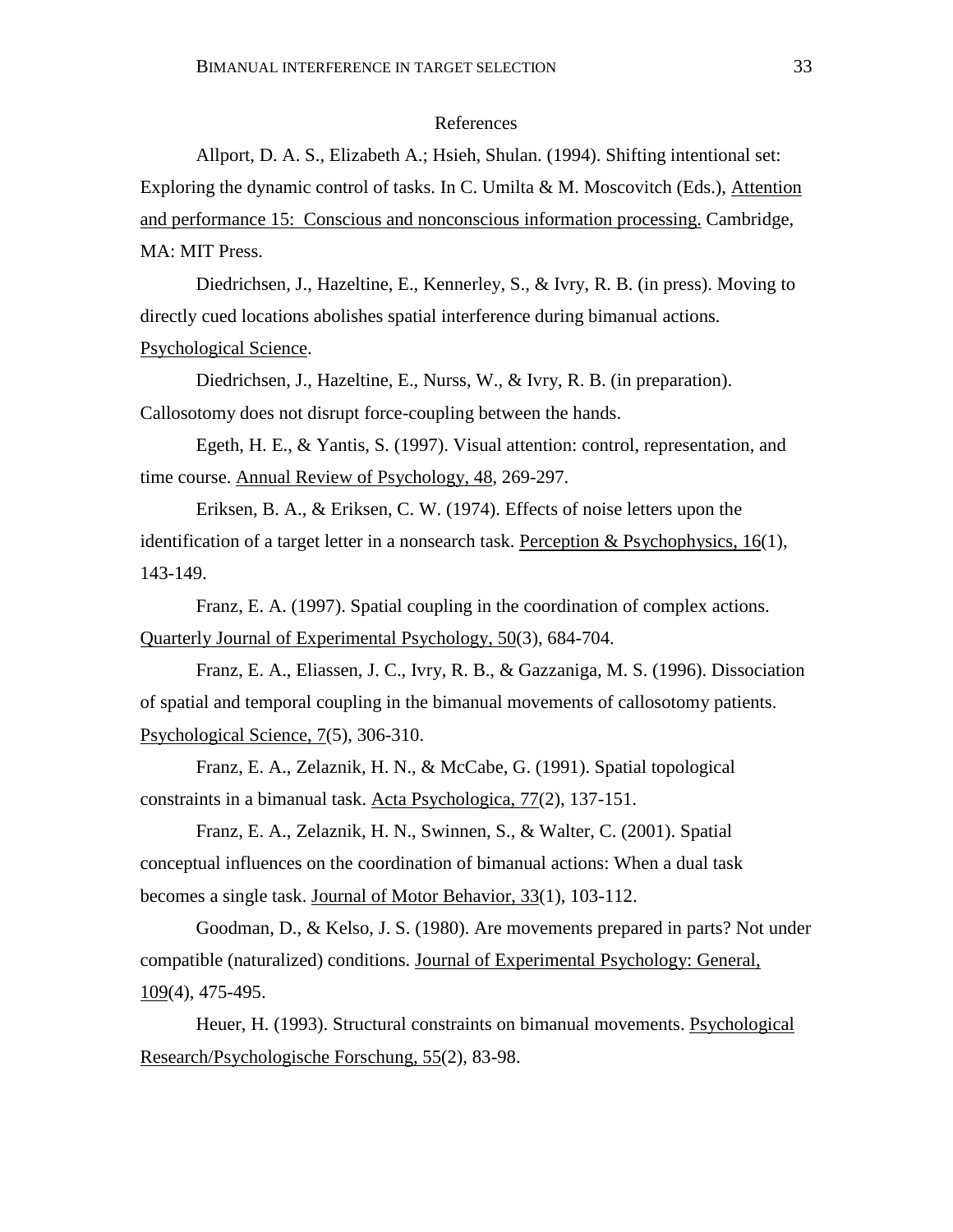## References

Allport, D. A. S., Elizabeth A.; Hsieh, Shulan. (1994). Shifting intentional set: Exploring the dynamic control of tasks. In C. Umilta & M. Moscovitch (Eds.), Attention and performance 15: Conscious and nonconscious information processing. Cambridge, MA: MIT Press.

Diedrichsen, J., Hazeltine, E., Kennerley, S., & Ivry, R. B. (in press). Moving to directly cued locations abolishes spatial interference during bimanual actions. Psychological Science.

Diedrichsen, J., Hazeltine, E., Nurss, W., & Ivry, R. B. (in preparation). Callosotomy does not disrupt force-coupling between the hands.

Egeth, H. E., & Yantis, S. (1997). Visual attention: control, representation, and time course. Annual Review of Psychology, 48, 269-297.

Eriksen, B. A., & Eriksen, C. W. (1974). Effects of noise letters upon the identification of a target letter in a nonsearch task. Perception  $\&$  Psychophysics, 16(1), 143-149.

Franz, E. A. (1997). Spatial coupling in the coordination of complex actions. Quarterly Journal of Experimental Psychology, 50(3), 684-704.

Franz, E. A., Eliassen, J. C., Ivry, R. B., & Gazzaniga, M. S. (1996). Dissociation of spatial and temporal coupling in the bimanual movements of callosotomy patients. Psychological Science, 7(5), 306-310.

Franz, E. A., Zelaznik, H. N., & McCabe, G. (1991). Spatial topological constraints in a bimanual task. Acta Psychologica, 77(2), 137-151.

Franz, E. A., Zelaznik, H. N., Swinnen, S., & Walter, C. (2001). Spatial conceptual influences on the coordination of bimanual actions: When a dual task becomes a single task. Journal of Motor Behavior, 33(1), 103-112.

Goodman, D., & Kelso, J. S. (1980). Are movements prepared in parts? Not under compatible (naturalized) conditions. Journal of Experimental Psychology: General, 109(4), 475-495.

Heuer, H. (1993). Structural constraints on bimanual movements. Psychological Research/Psychologische Forschung, 55(2), 83-98.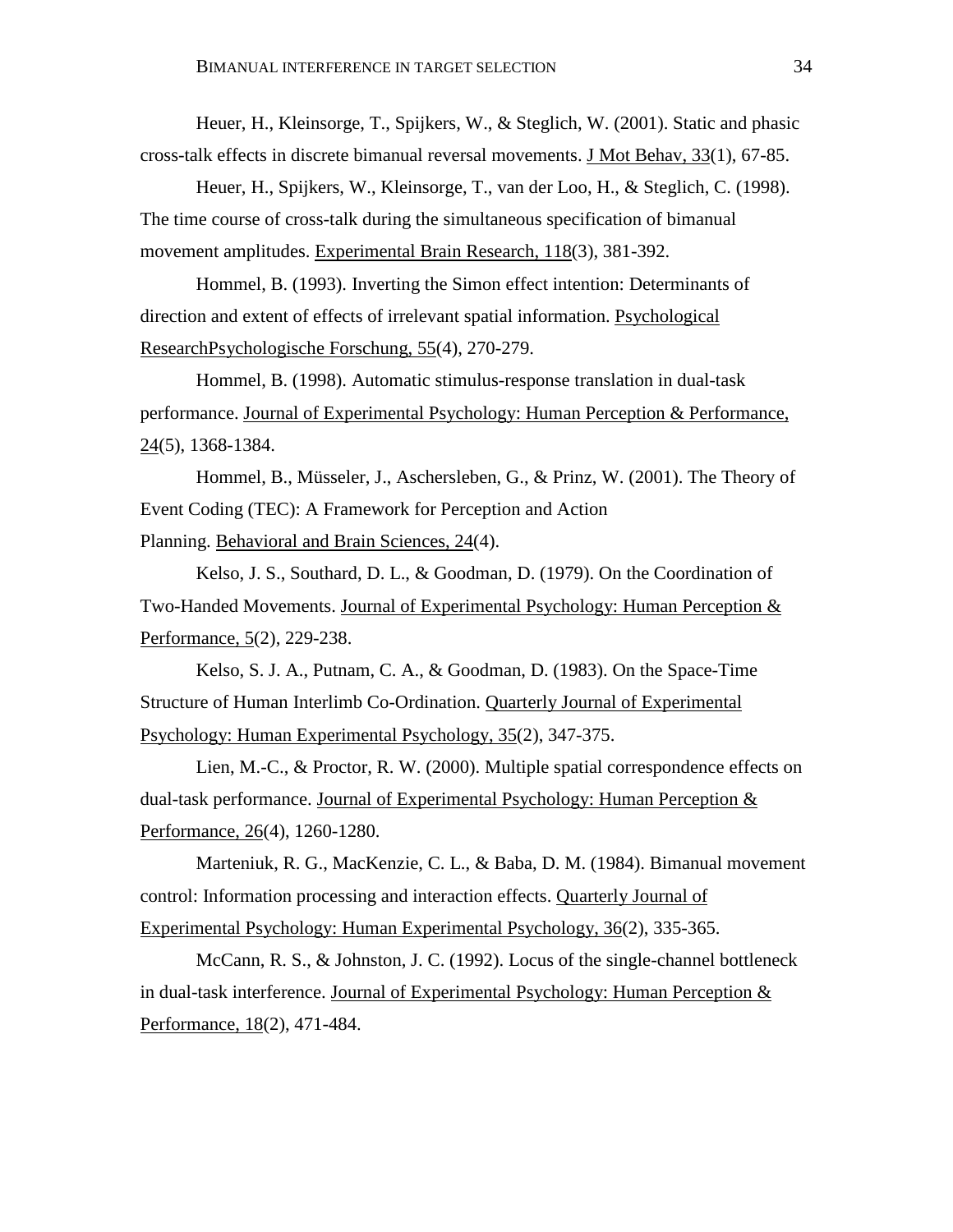Heuer, H., Kleinsorge, T., Spijkers, W., & Steglich, W. (2001). Static and phasic cross-talk effects in discrete bimanual reversal movements. J Mot Behav, 33(1), 67-85.

Heuer, H., Spijkers, W., Kleinsorge, T., van der Loo, H., & Steglich, C. (1998). The time course of cross-talk during the simultaneous specification of bimanual movement amplitudes. Experimental Brain Research, 118(3), 381-392.

Hommel, B. (1993). Inverting the Simon effect intention: Determinants of direction and extent of effects of irrelevant spatial information. Psychological ResearchPsychologische Forschung, 55(4), 270-279.

Hommel, B. (1998). Automatic stimulus-response translation in dual-task performance. Journal of Experimental Psychology: Human Perception & Performance, 24(5), 1368-1384.

Hommel, B., Müsseler, J., Aschersleben, G., & Prinz, W. (2001). The Theory of Event Coding (TEC): A Framework for Perception and Action Planning. Behavioral and Brain Sciences, 24(4).

Kelso, J. S., Southard, D. L., & Goodman, D. (1979). On the Coordination of Two-Handed Movements. Journal of Experimental Psychology: Human Perception & Performance, 5(2), 229-238.

Kelso, S. J. A., Putnam, C. A., & Goodman, D. (1983). On the Space-Time Structure of Human Interlimb Co-Ordination. Quarterly Journal of Experimental Psychology: Human Experimental Psychology, 35(2), 347-375.

Lien, M.-C., & Proctor, R. W. (2000). Multiple spatial correspondence effects on dual-task performance. Journal of Experimental Psychology: Human Perception & Performance, 26(4), 1260-1280.

Marteniuk, R. G., MacKenzie, C. L., & Baba, D. M. (1984). Bimanual movement control: Information processing and interaction effects. Quarterly Journal of Experimental Psychology: Human Experimental Psychology, 36(2), 335-365.

McCann, R. S., & Johnston, J. C. (1992). Locus of the single-channel bottleneck in dual-task interference. Journal of Experimental Psychology: Human Perception  $&$ Performance, 18(2), 471-484.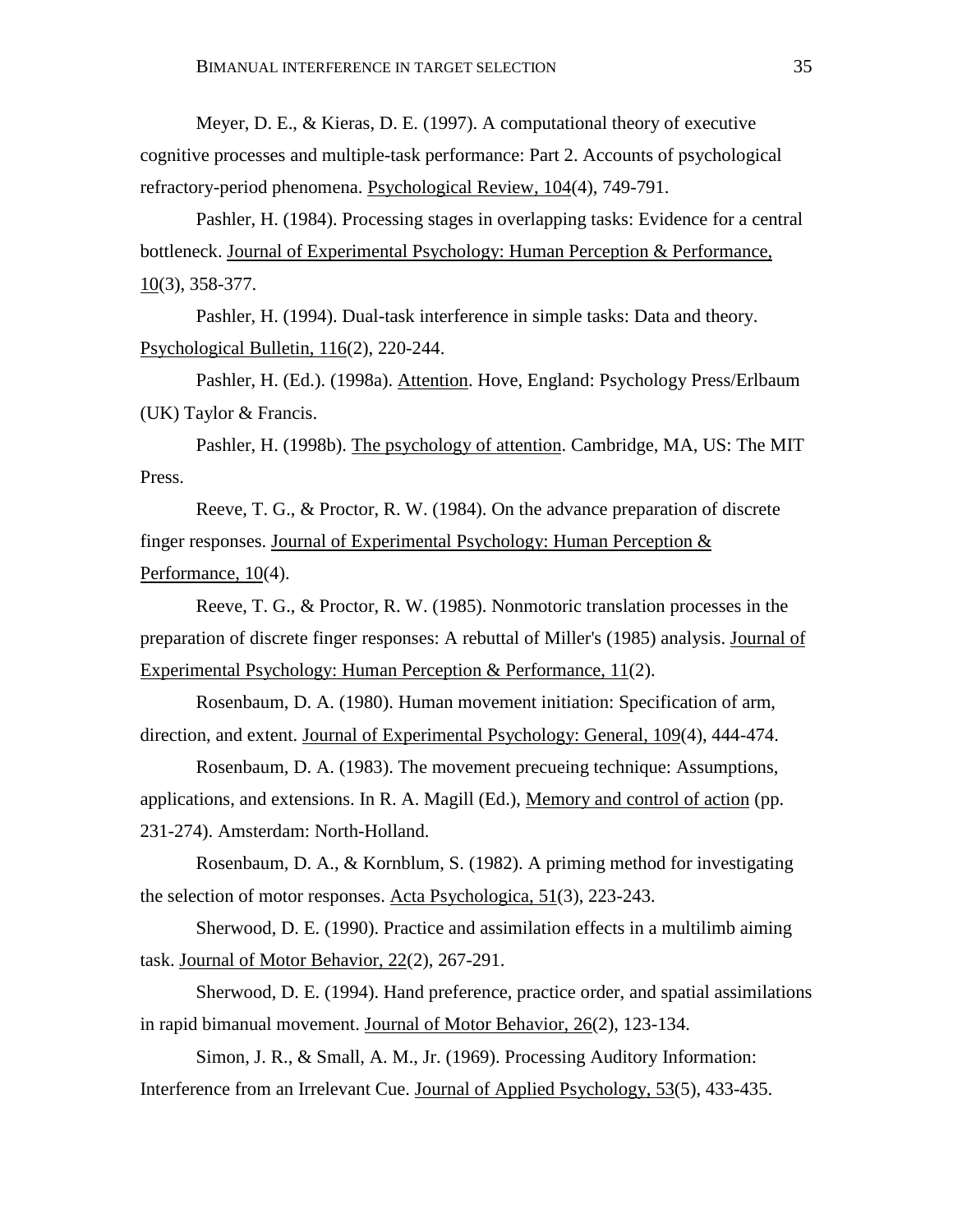Meyer, D. E., & Kieras, D. E. (1997). A computational theory of executive cognitive processes and multiple-task performance: Part 2. Accounts of psychological refractory-period phenomena. Psychological Review, 104(4), 749-791.

Pashler, H. (1984). Processing stages in overlapping tasks: Evidence for a central bottleneck. Journal of Experimental Psychology: Human Perception & Performance, 10(3), 358-377.

Pashler, H. (1994). Dual-task interference in simple tasks: Data and theory. Psychological Bulletin, 116(2), 220-244.

Pashler, H. (Ed.). (1998a). Attention. Hove, England: Psychology Press/Erlbaum (UK) Taylor & Francis.

Pashler, H. (1998b). The psychology of attention. Cambridge, MA, US: The MIT Press.

Reeve, T. G., & Proctor, R. W. (1984). On the advance preparation of discrete finger responses. Journal of Experimental Psychology: Human Perception & Performance, 10(4).

Reeve, T. G., & Proctor, R. W. (1985). Nonmotoric translation processes in the preparation of discrete finger responses: A rebuttal of Miller's (1985) analysis. Journal of Experimental Psychology: Human Perception & Performance, 11(2).

Rosenbaum, D. A. (1980). Human movement initiation: Specification of arm, direction, and extent. Journal of Experimental Psychology: General, 109(4), 444-474.

Rosenbaum, D. A. (1983). The movement precueing technique: Assumptions, applications, and extensions. In R. A. Magill (Ed.), Memory and control of action (pp. 231-274). Amsterdam: North-Holland.

Rosenbaum, D. A., & Kornblum, S. (1982). A priming method for investigating the selection of motor responses. Acta Psychologica, 51(3), 223-243.

Sherwood, D. E. (1990). Practice and assimilation effects in a multilimb aiming task. Journal of Motor Behavior, 22(2), 267-291.

Sherwood, D. E. (1994). Hand preference, practice order, and spatial assimilations in rapid bimanual movement. Journal of Motor Behavior, 26(2), 123-134.

Simon, J. R., & Small, A. M., Jr. (1969). Processing Auditory Information: Interference from an Irrelevant Cue. Journal of Applied Psychology, 53(5), 433-435.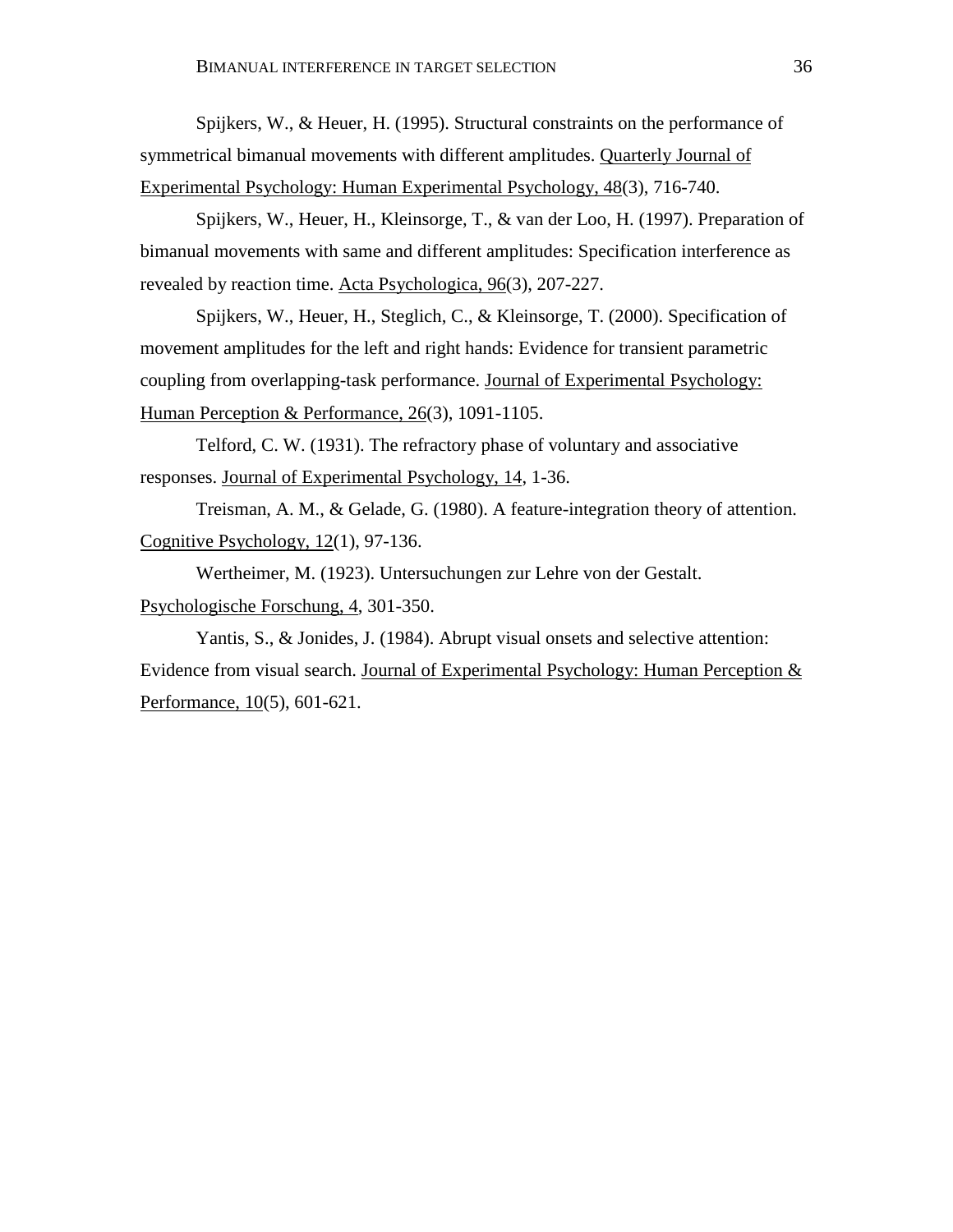Spijkers, W., & Heuer, H. (1995). Structural constraints on the performance of symmetrical bimanual movements with different amplitudes. Quarterly Journal of Experimental Psychology: Human Experimental Psychology, 48(3), 716-740.

Spijkers, W., Heuer, H., Kleinsorge, T., & van der Loo, H. (1997). Preparation of bimanual movements with same and different amplitudes: Specification interference as revealed by reaction time. Acta Psychologica, 96(3), 207-227.

Spijkers, W., Heuer, H., Steglich, C., & Kleinsorge, T. (2000). Specification of movement amplitudes for the left and right hands: Evidence for transient parametric coupling from overlapping-task performance. Journal of Experimental Psychology: Human Perception & Performance, 26(3), 1091-1105.

Telford, C. W. (1931). The refractory phase of voluntary and associative responses. Journal of Experimental Psychology, 14, 1-36.

Treisman, A. M., & Gelade, G. (1980). A feature-integration theory of attention. Cognitive Psychology, 12(1), 97-136.

Wertheimer, M. (1923). Untersuchungen zur Lehre von der Gestalt. Psychologische Forschung, 4, 301-350.

Yantis, S., & Jonides, J. (1984). Abrupt visual onsets and selective attention: Evidence from visual search. Journal of Experimental Psychology: Human Perception & Performance, 10(5), 601-621.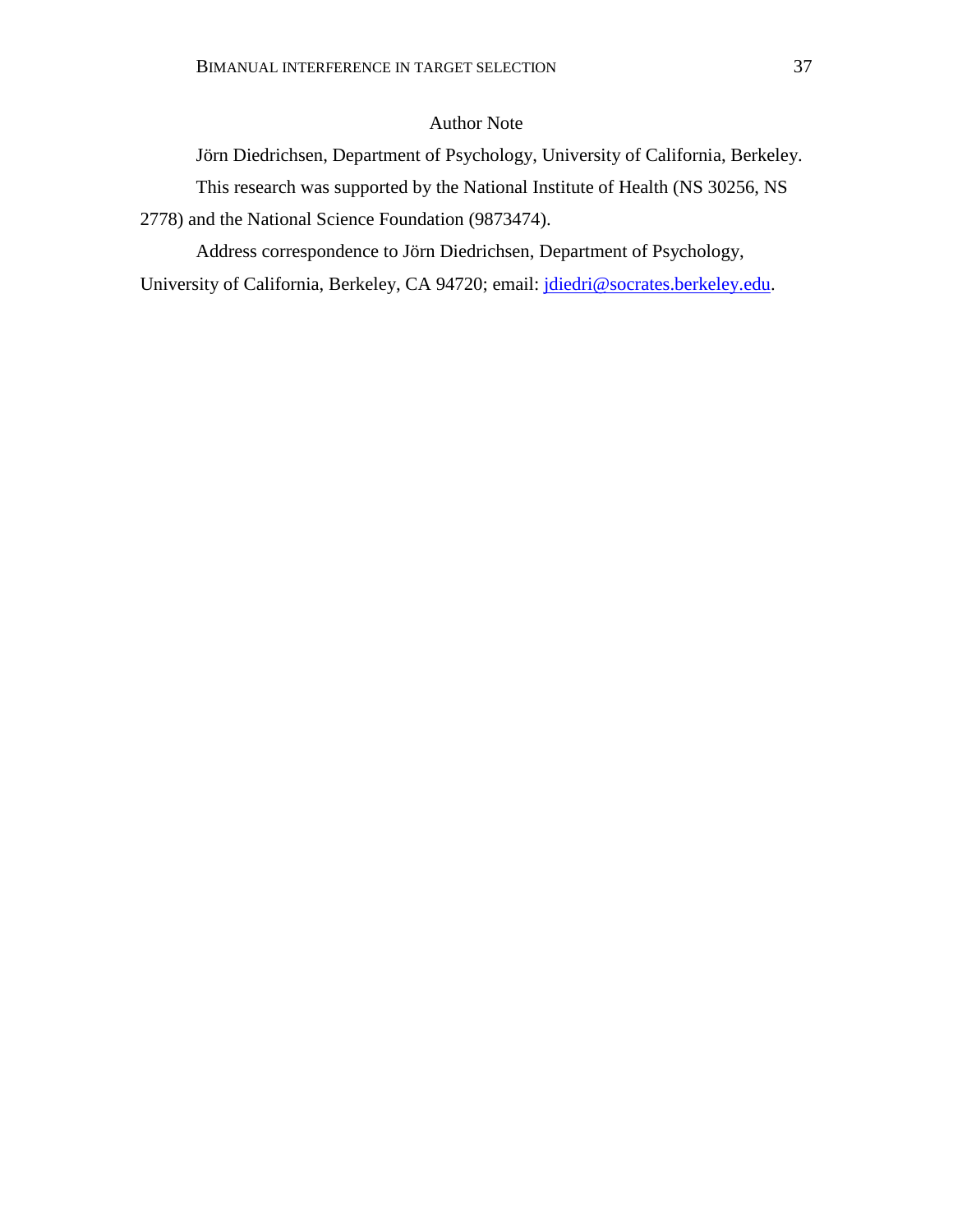# Author Note

Jörn Diedrichsen, Department of Psychology, University of California, Berkeley. This research was supported by the National Institute of Health (NS 30256, NS

2778) and the National Science Foundation (9873474).

Address correspondence to Jörn Diedrichsen, Department of Psychology,

University of California, Berkeley, CA 94720; email: jdiedri@socrates.berkeley.edu.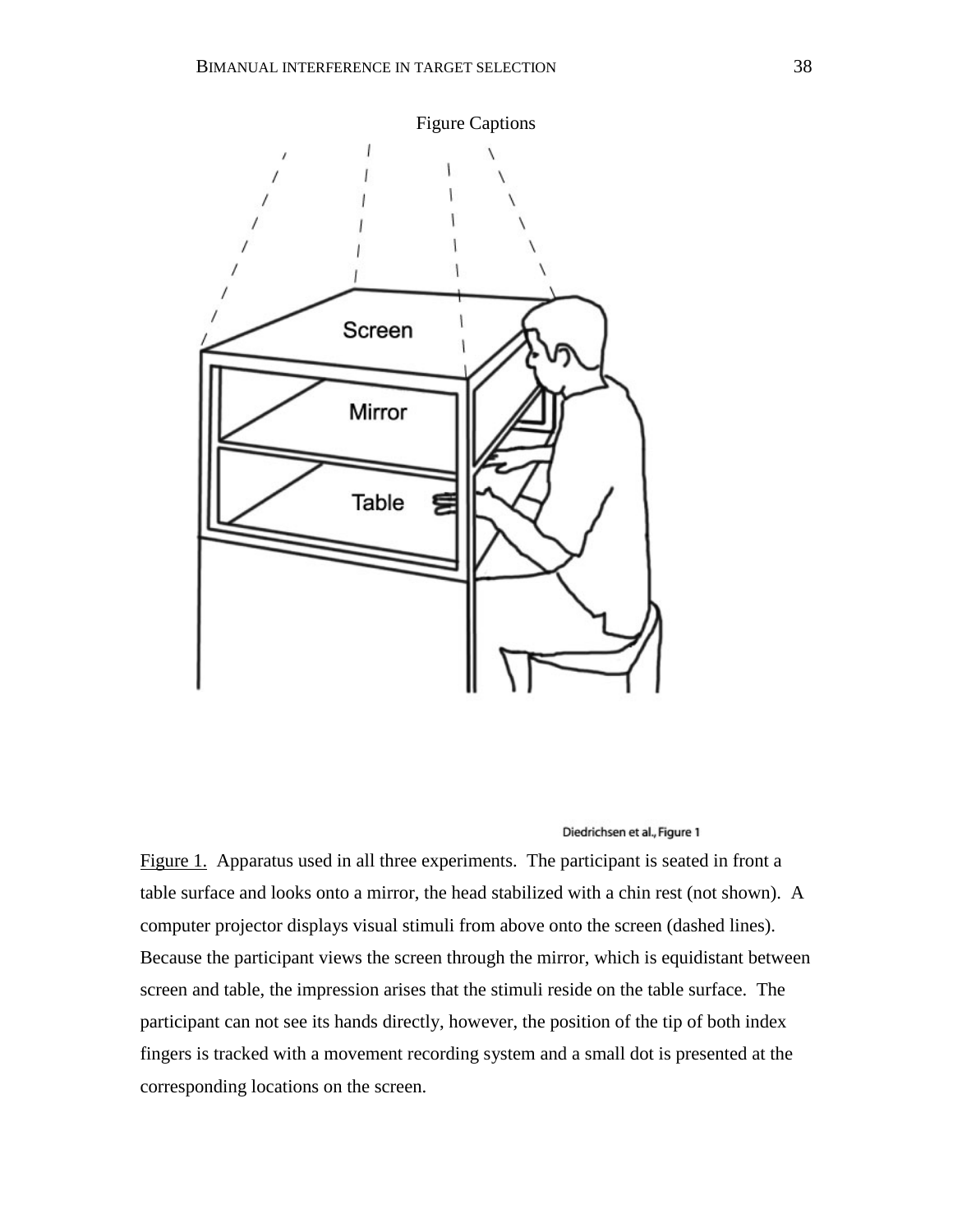

Figure 1. Apparatus used in all three experiments. The participant is seated in front a table surface and looks onto a mirror, the head stabilized with a chin rest (not shown). A computer projector displays visual stimuli from above onto the screen (dashed lines). Because the participant views the screen through the mirror, which is equidistant between screen and table, the impression arises that the stimuli reside on the table surface. The participant can not see its hands directly, however, the position of the tip of both index fingers is tracked with a movement recording system and a small dot is presented at the corresponding locations on the screen.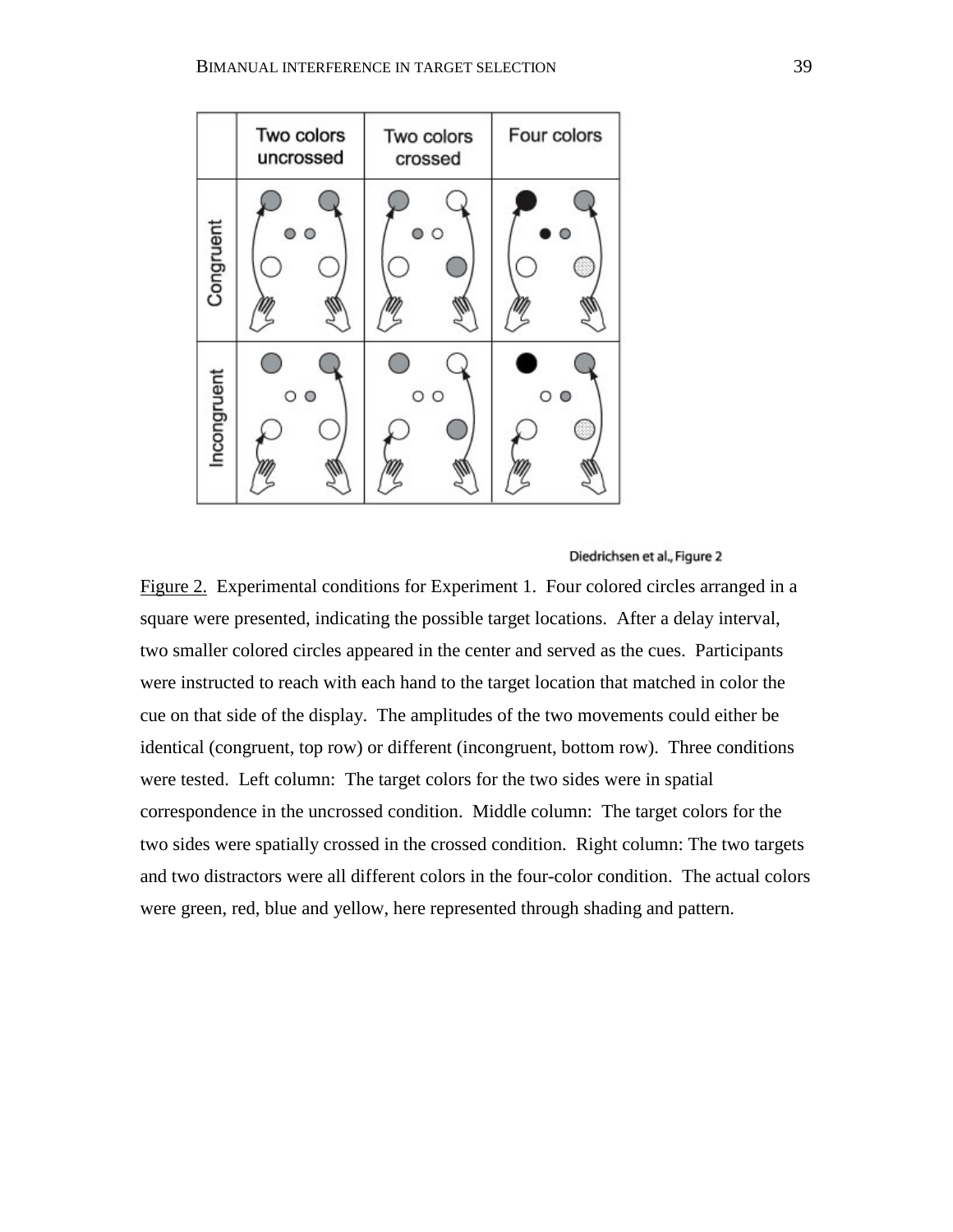

Figure 2. Experimental conditions for Experiment 1. Four colored circles arranged in a square were presented, indicating the possible target locations. After a delay interval, two smaller colored circles appeared in the center and served as the cues. Participants were instructed to reach with each hand to the target location that matched in color the cue on that side of the display. The amplitudes of the two movements could either be identical (congruent, top row) or different (incongruent, bottom row). Three conditions were tested. Left column: The target colors for the two sides were in spatial correspondence in the uncrossed condition. Middle column: The target colors for the two sides were spatially crossed in the crossed condition. Right column: The two targets and two distractors were all different colors in the four-color condition. The actual colors were green, red, blue and yellow, here represented through shading and pattern.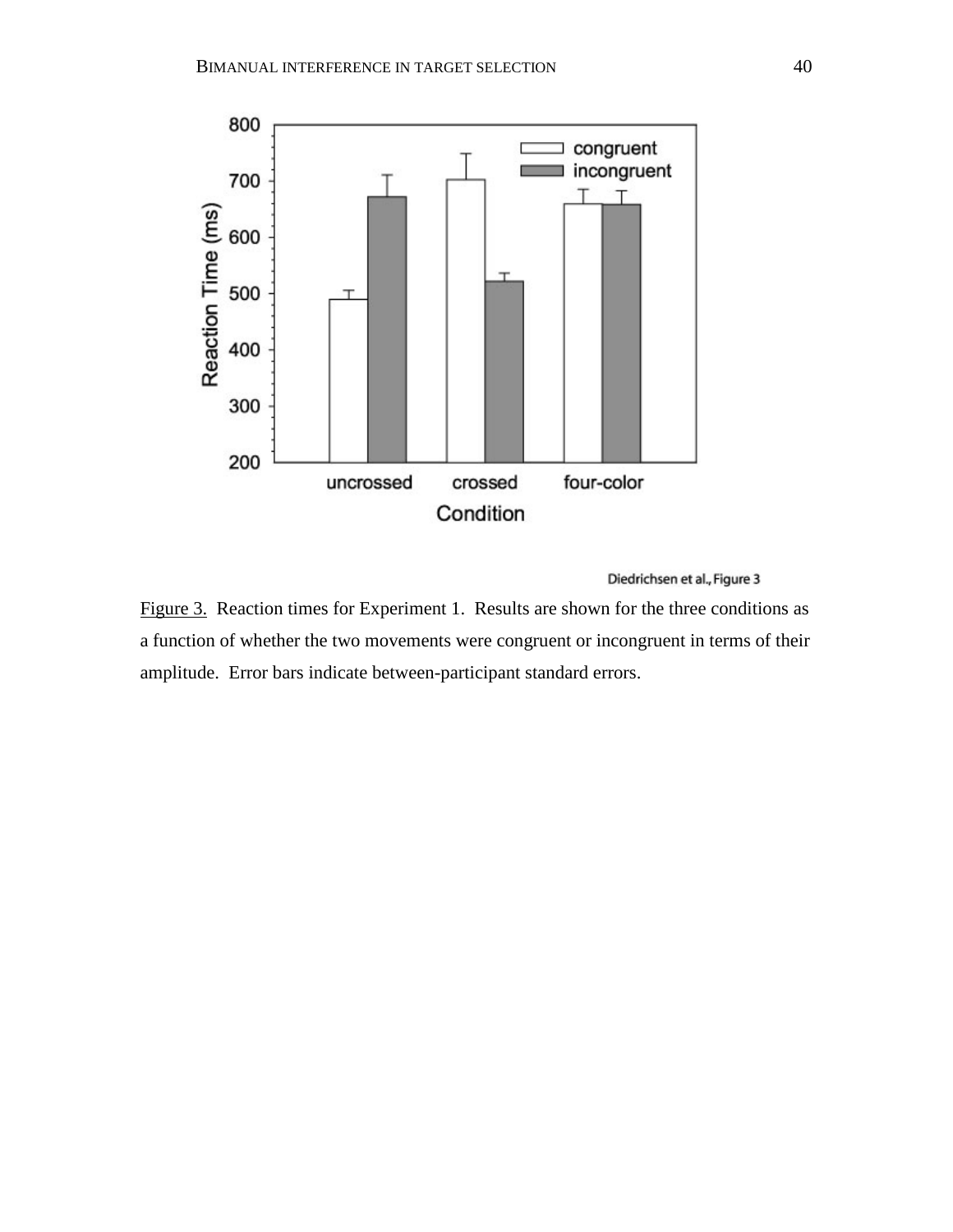

Figure 3. Reaction times for Experiment 1. Results are shown for the three conditions as a function of whether the two movements were congruent or incongruent in terms of their amplitude. Error bars indicate between-participant standard errors.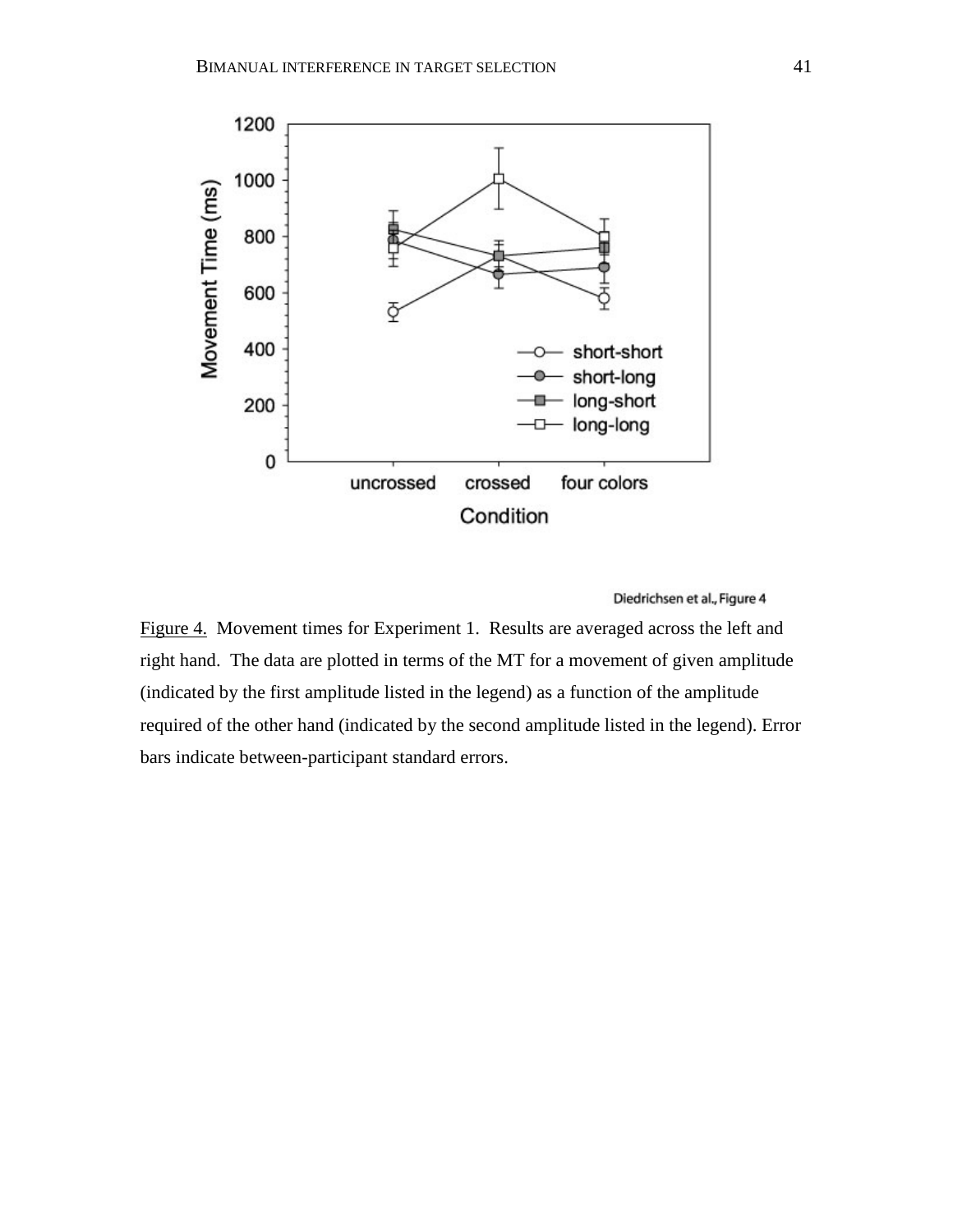

Figure 4. Movement times for Experiment 1. Results are averaged across the left and right hand. The data are plotted in terms of the MT for a movement of given amplitude (indicated by the first amplitude listed in the legend) as a function of the amplitude required of the other hand (indicated by the second amplitude listed in the legend). Error bars indicate between-participant standard errors.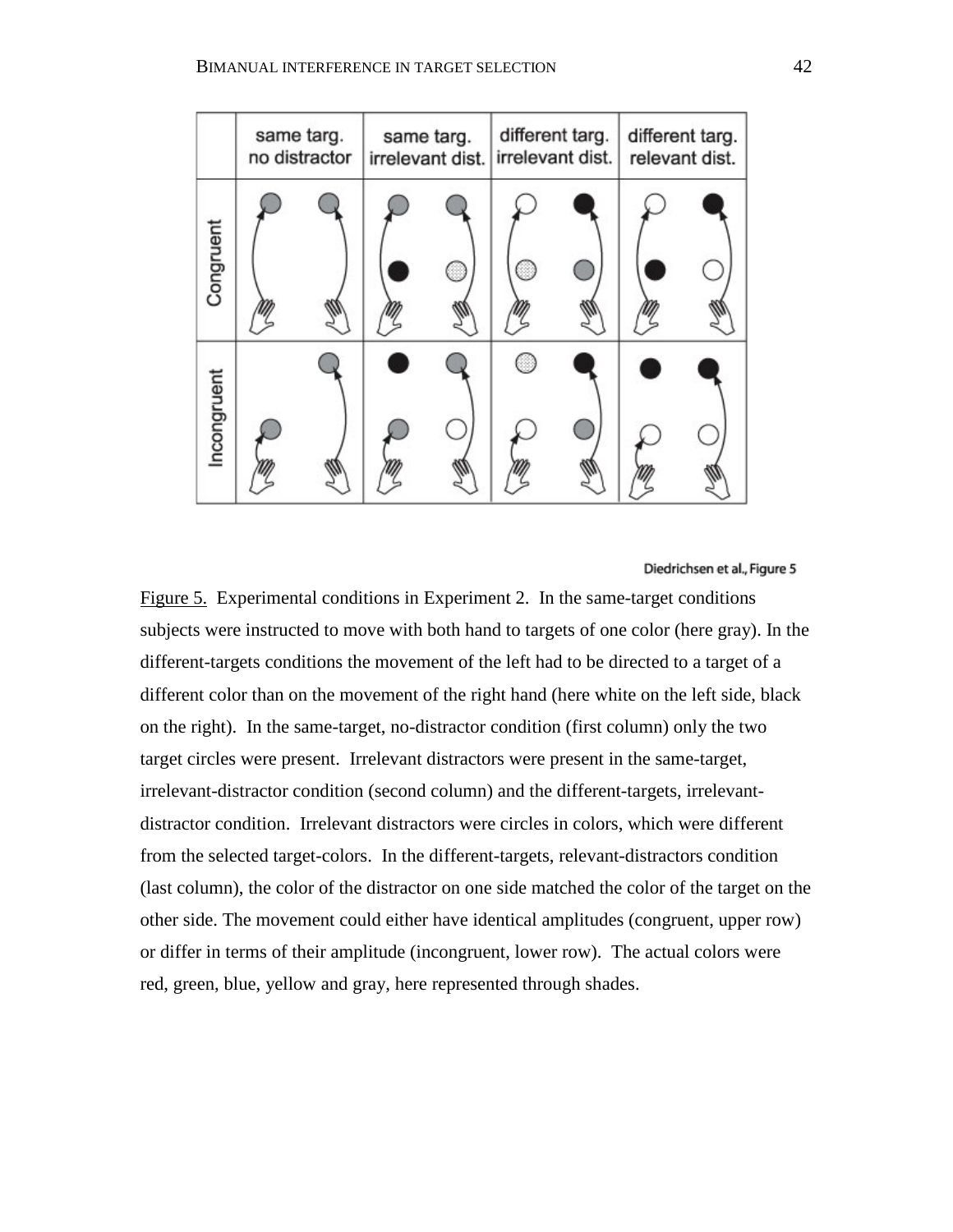

Figure 5. Experimental conditions in Experiment 2. In the same-target conditions subjects were instructed to move with both hand to targets of one color (here gray). In the different-targets conditions the movement of the left had to be directed to a target of a different color than on the movement of the right hand (here white on the left side, black on the right). In the same-target, no-distractor condition (first column) only the two target circles were present. Irrelevant distractors were present in the same-target, irrelevant-distractor condition (second column) and the different-targets, irrelevantdistractor condition. Irrelevant distractors were circles in colors, which were different from the selected target-colors. In the different-targets, relevant-distractors condition (last column), the color of the distractor on one side matched the color of the target on the other side. The movement could either have identical amplitudes (congruent, upper row) or differ in terms of their amplitude (incongruent, lower row). The actual colors were red, green, blue, yellow and gray, here represented through shades.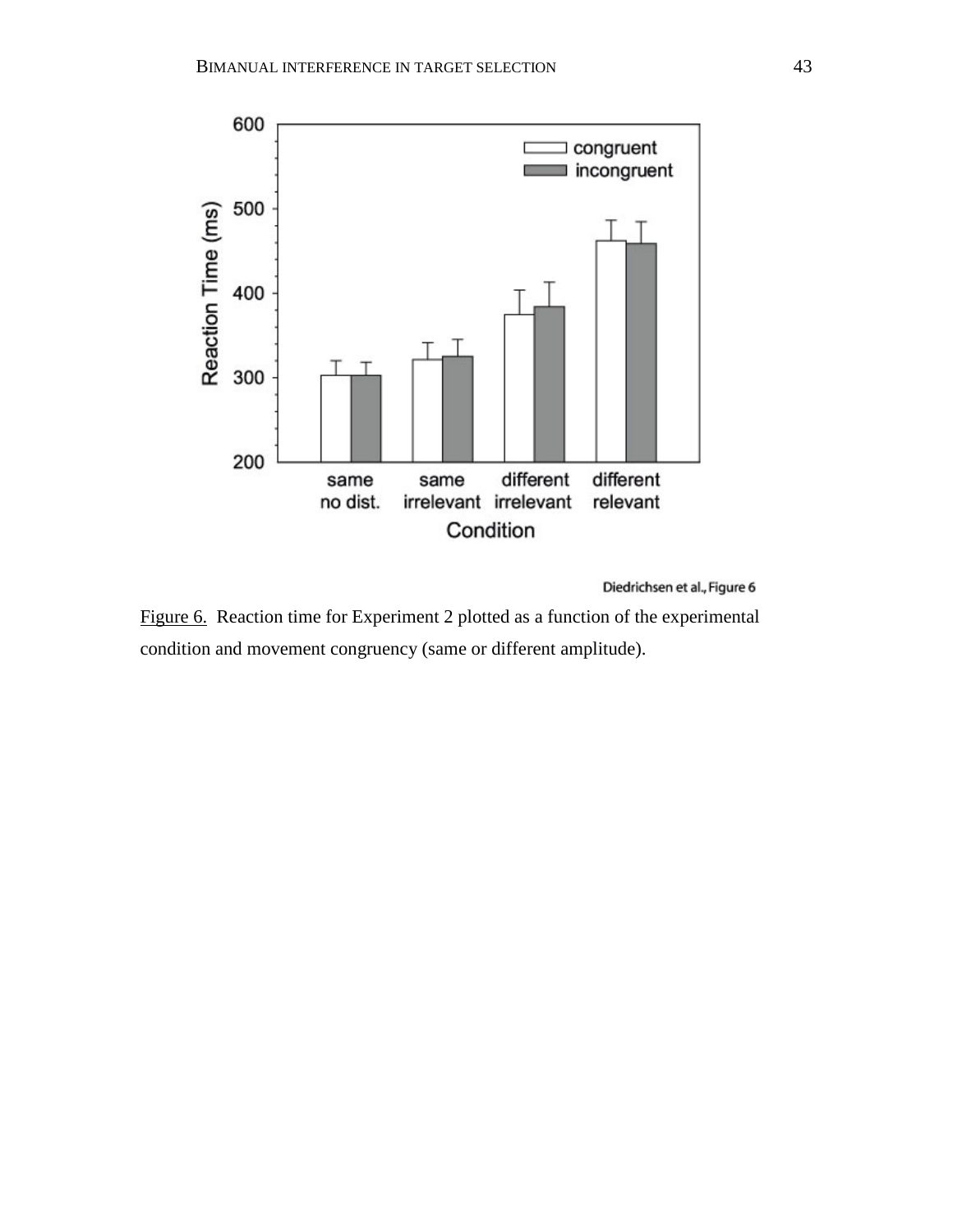

Diedrichsen et al., Figure 6

Figure 6. Reaction time for Experiment 2 plotted as a function of the experimental condition and movement congruency (same or different amplitude).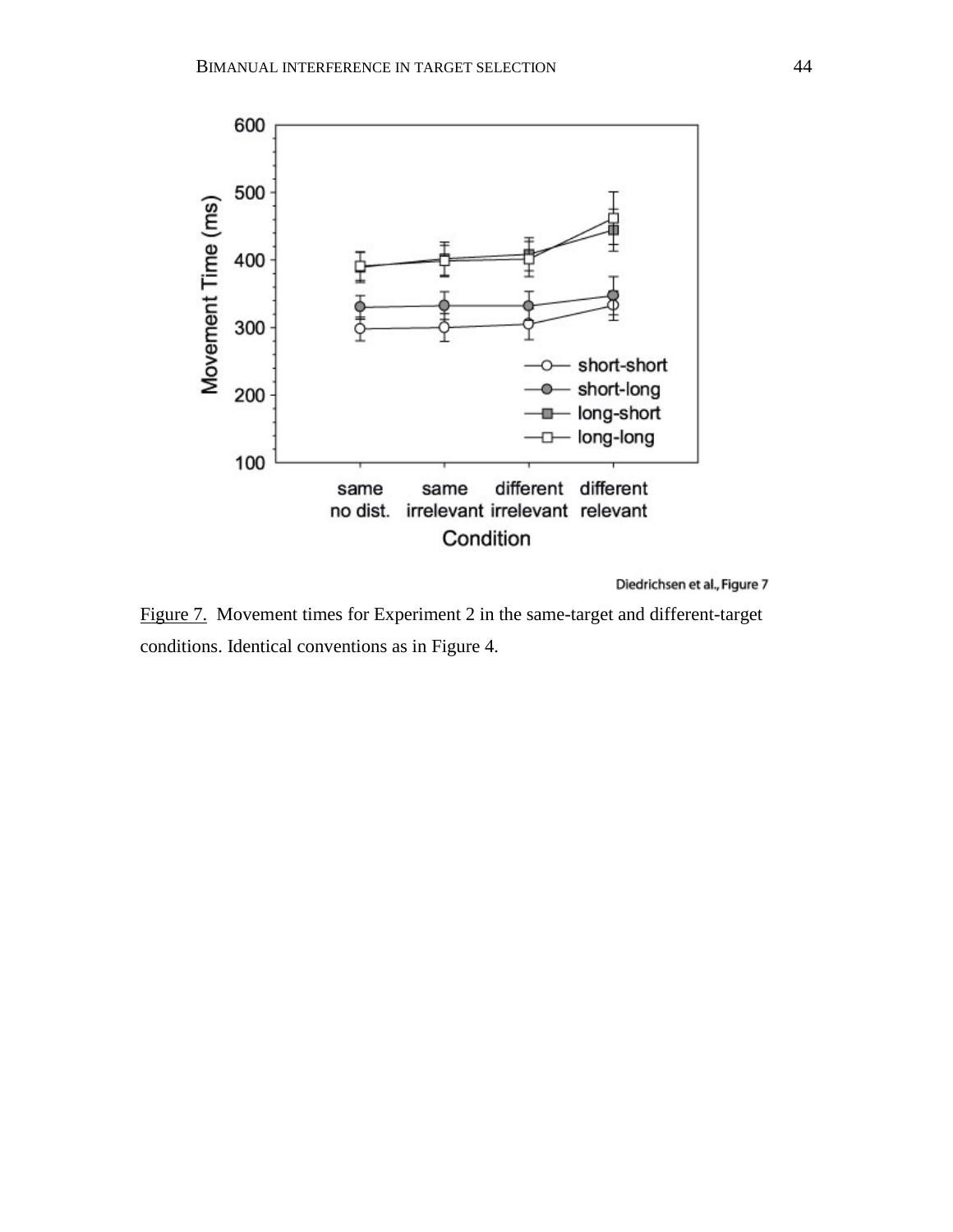

Figure 7. Movement times for Experiment 2 in the same-target and different-target conditions. Identical conventions as in Figure 4.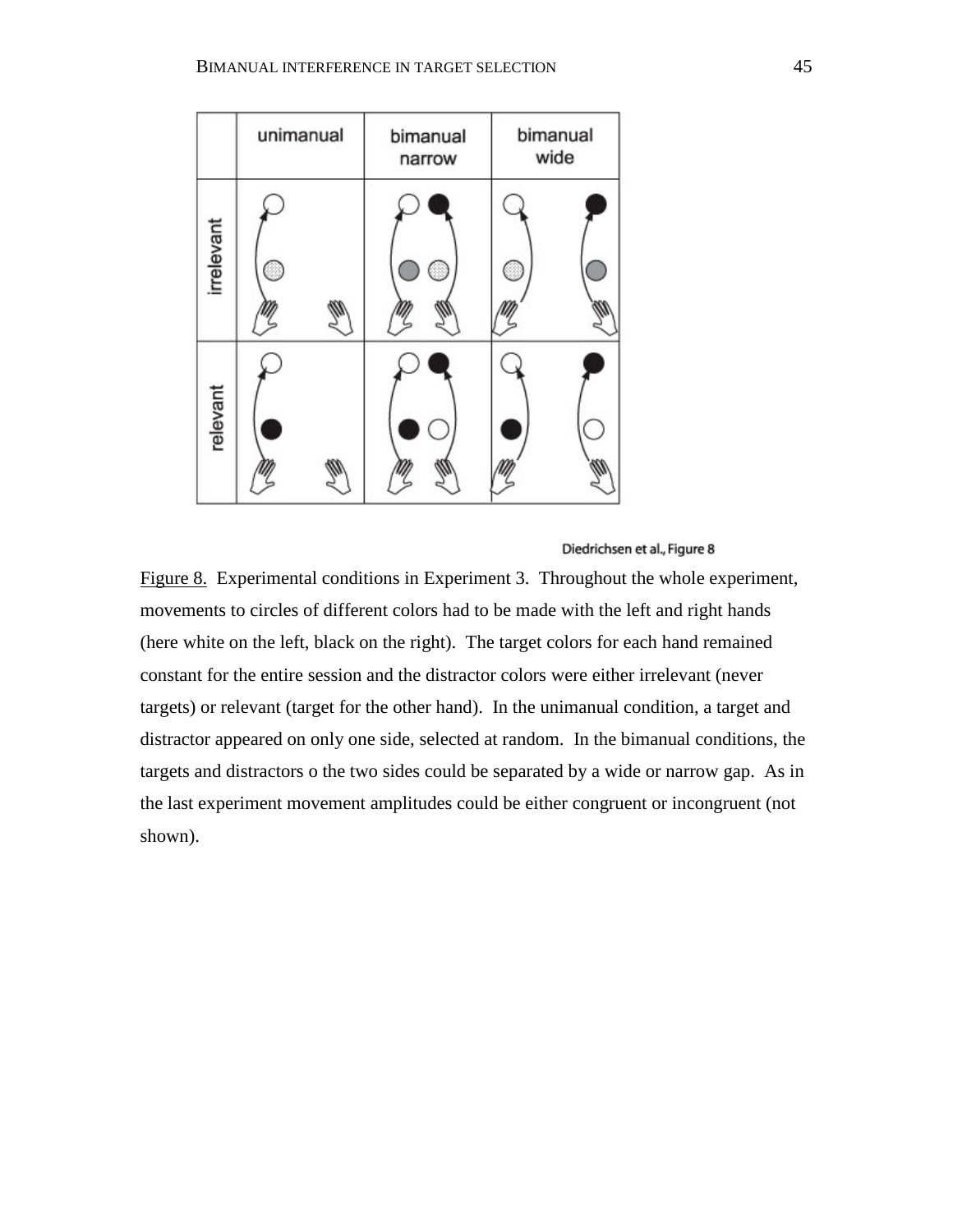|            | unimanual | bimanual<br>narrow | bimanual<br>wide |
|------------|-----------|--------------------|------------------|
| irrelevant | B         |                    | 8                |
| relevant   |           |                    |                  |

Figure 8. Experimental conditions in Experiment 3. Throughout the whole experiment, movements to circles of different colors had to be made with the left and right hands (here white on the left, black on the right). The target colors for each hand remained constant for the entire session and the distractor colors were either irrelevant (never targets) or relevant (target for the other hand). In the unimanual condition, a target and distractor appeared on only one side, selected at random. In the bimanual conditions, the targets and distractors o the two sides could be separated by a wide or narrow gap. As in the last experiment movement amplitudes could be either congruent or incongruent (not shown).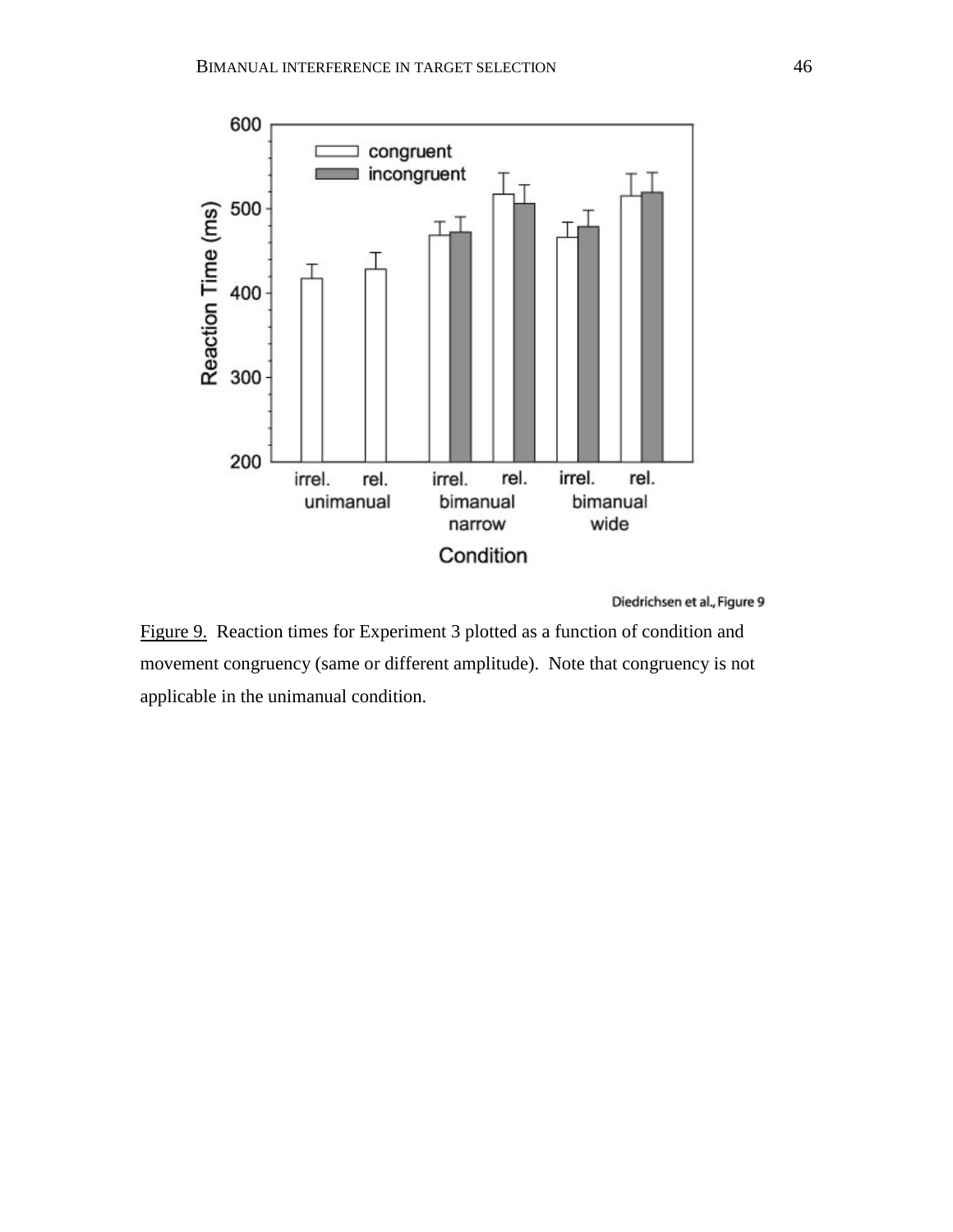

Figure 9. Reaction times for Experiment 3 plotted as a function of condition and movement congruency (same or different amplitude). Note that congruency is not applicable in the unimanual condition.